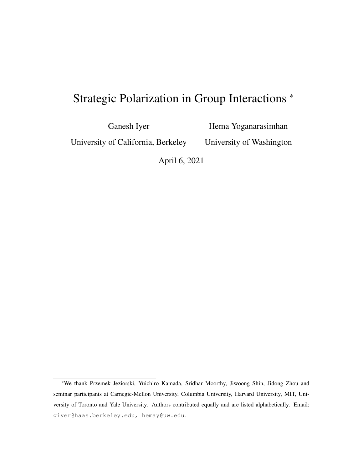# Strategic Polarization in Group Interactions \*

Ganesh Iyer

Hema Yoganarasimhan

University of California, Berkeley

University of Washington

April 6, 2021

<sup>\*</sup>We thank Przemek Jeziorski, Yuichiro Kamada, Sridhar Moorthy, Jiwoong Shin, Jidong Zhou and seminar participants at Carnegie-Mellon University, Columbia University, Harvard University, MIT, University of Toronto and Yale University. Authors contributed equally and are listed alphabetically. Email: giyer@haas.berkeley.edu, hemay@uw.edu.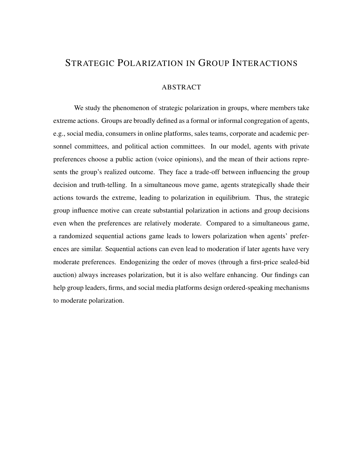### STRATEGIC POLARIZATION IN GROUP INTERACTIONS

#### ABSTRACT

We study the phenomenon of strategic polarization in groups, where members take extreme actions. Groups are broadly defined as a formal or informal congregation of agents, e.g., social media, consumers in online platforms, sales teams, corporate and academic personnel committees, and political action committees. In our model, agents with private preferences choose a public action (voice opinions), and the mean of their actions represents the group's realized outcome. They face a trade-off between influencing the group decision and truth-telling. In a simultaneous move game, agents strategically shade their actions towards the extreme, leading to polarization in equilibrium. Thus, the strategic group influence motive can create substantial polarization in actions and group decisions even when the preferences are relatively moderate. Compared to a simultaneous game, a randomized sequential actions game leads to lowers polarization when agents' preferences are similar. Sequential actions can even lead to moderation if later agents have very moderate preferences. Endogenizing the order of moves (through a first-price sealed-bid auction) always increases polarization, but it is also welfare enhancing. Our findings can help group leaders, firms, and social media platforms design ordered-speaking mechanisms to moderate polarization.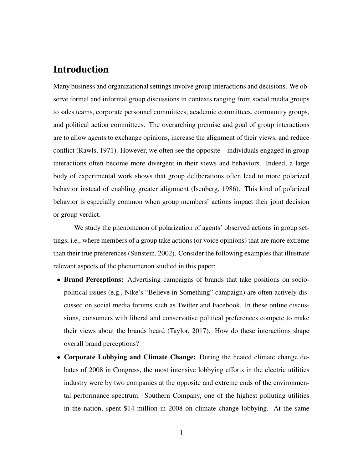### Introduction

Many business and organizational settings involve group interactions and decisions. We observe formal and informal group discussions in contexts ranging from social media groups to sales teams, corporate personnel committees, academic committees, community groups, and political action committees. The overarching premise and goal of group interactions are to allow agents to exchange opinions, increase the alignment of their views, and reduce conflict (Rawls, 1971). However, we often see the opposite – individuals engaged in group interactions often become more divergent in their views and behaviors. Indeed, a large body of experimental work shows that group deliberations often lead to more polarized behavior instead of enabling greater alignment (Isenberg, 1986). This kind of polarized behavior is especially common when group members' actions impact their joint decision or group verdict.

We study the phenomenon of polarization of agents' observed actions in group settings, i.e., where members of a group take actions (or voice opinions) that are more extreme than their true preferences (Sunstein, 2002). Consider the following examples that illustrate relevant aspects of the phenomenon studied in this paper:

- Brand Perceptions: Advertising campaigns of brands that take positions on sociopolitical issues (e.g., Nike's "Believe in Something" campaign) are often actively discussed on social media forums such as Twitter and Facebook. In these online discussions, consumers with liberal and conservative political preferences compete to make their views about the brands heard (Taylor, 2017). How do these interactions shape overall brand perceptions?
- Corporate Lobbying and Climate Change: During the heated climate change debates of 2008 in Congress, the most intensive lobbying efforts in the electric utilities industry were by two companies at the opposite and extreme ends of the environmental performance spectrum. Southern Company, one of the highest polluting utilities in the nation, spent \$14 million in 2008 on climate change lobbying. At the same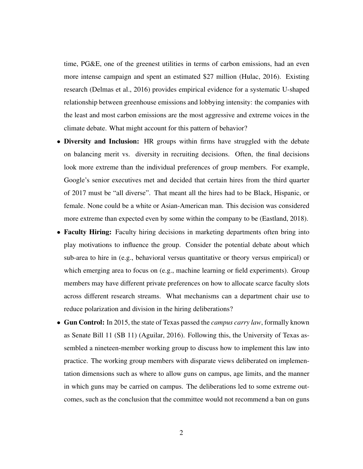time, PG&E, one of the greenest utilities in terms of carbon emissions, had an even more intense campaign and spent an estimated \$27 million (Hulac, 2016). Existing research (Delmas et al., 2016) provides empirical evidence for a systematic U-shaped relationship between greenhouse emissions and lobbying intensity: the companies with the least and most carbon emissions are the most aggressive and extreme voices in the climate debate. What might account for this pattern of behavior?

- Diversity and Inclusion: HR groups within firms have struggled with the debate on balancing merit vs. diversity in recruiting decisions. Often, the final decisions look more extreme than the individual preferences of group members. For example, Google's senior executives met and decided that certain hires from the third quarter of 2017 must be "all diverse". That meant all the hires had to be Black, Hispanic, or female. None could be a white or Asian-American man. This decision was considered more extreme than expected even by some within the company to be (Eastland, 2018).
- Faculty Hiring: Faculty hiring decisions in marketing departments often bring into play motivations to influence the group. Consider the potential debate about which sub-area to hire in (e.g., behavioral versus quantitative or theory versus empirical) or which emerging area to focus on (e.g., machine learning or field experiments). Group members may have different private preferences on how to allocate scarce faculty slots across different research streams. What mechanisms can a department chair use to reduce polarization and division in the hiring deliberations?
- Gun Control: In 2015, the state of Texas passed the *campus carry law*, formally known as Senate Bill 11 (SB 11) (Aguilar, 2016). Following this, the University of Texas assembled a nineteen-member working group to discuss how to implement this law into practice. The working group members with disparate views deliberated on implementation dimensions such as where to allow guns on campus, age limits, and the manner in which guns may be carried on campus. The deliberations led to some extreme outcomes, such as the conclusion that the committee would not recommend a ban on guns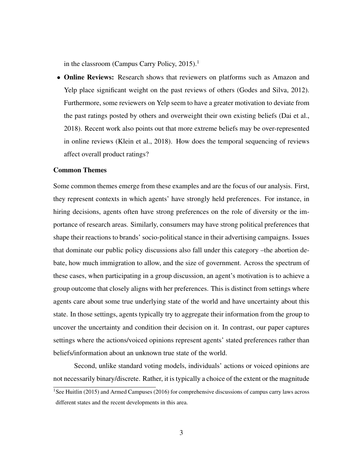in the classroom (Campus Carry Policy, 2015).<sup>1</sup>

• Online Reviews: Research shows that reviewers on platforms such as Amazon and Yelp place significant weight on the past reviews of others (Godes and Silva, 2012). Furthermore, some reviewers on Yelp seem to have a greater motivation to deviate from the past ratings posted by others and overweight their own existing beliefs (Dai et al., 2018). Recent work also points out that more extreme beliefs may be over-represented in online reviews (Klein et al., 2018). How does the temporal sequencing of reviews affect overall product ratings?

#### Common Themes

Some common themes emerge from these examples and are the focus of our analysis. First, they represent contexts in which agents' have strongly held preferences. For instance, in hiring decisions, agents often have strong preferences on the role of diversity or the importance of research areas. Similarly, consumers may have strong political preferences that shape their reactions to brands' socio-political stance in their advertising campaigns. Issues that dominate our public policy discussions also fall under this category –the abortion debate, how much immigration to allow, and the size of government. Across the spectrum of these cases, when participating in a group discussion, an agent's motivation is to achieve a group outcome that closely aligns with her preferences. This is distinct from settings where agents care about some true underlying state of the world and have uncertainty about this state. In those settings, agents typically try to aggregate their information from the group to uncover the uncertainty and condition their decision on it. In contrast, our paper captures settings where the actions/voiced opinions represent agents' stated preferences rather than beliefs/information about an unknown true state of the world.

Second, unlike standard voting models, individuals' actions or voiced opinions are not necessarily binary/discrete. Rather, it is typically a choice of the extent or the magnitude <sup>1</sup>See Huitlin (2015) and Armed Campuses (2016) for comprehensive discussions of campus carry laws across different states and the recent developments in this area.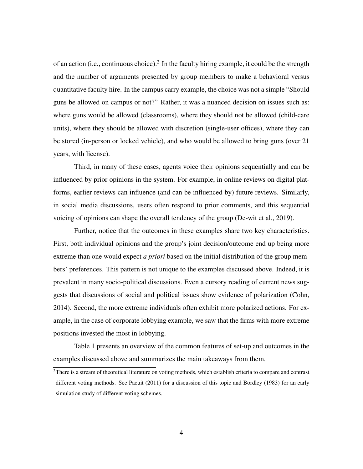of an action (i.e., continuous choice).<sup>2</sup> In the faculty hiring example, it could be the strength and the number of arguments presented by group members to make a behavioral versus quantitative faculty hire. In the campus carry example, the choice was not a simple "Should guns be allowed on campus or not?" Rather, it was a nuanced decision on issues such as: where guns would be allowed (classrooms), where they should not be allowed (child-care units), where they should be allowed with discretion (single-user offices), where they can be stored (in-person or locked vehicle), and who would be allowed to bring guns (over 21 years, with license).

Third, in many of these cases, agents voice their opinions sequentially and can be influenced by prior opinions in the system. For example, in online reviews on digital platforms, earlier reviews can influence (and can be influenced by) future reviews. Similarly, in social media discussions, users often respond to prior comments, and this sequential voicing of opinions can shape the overall tendency of the group (De-wit et al., 2019).

Further, notice that the outcomes in these examples share two key characteristics. First, both individual opinions and the group's joint decision/outcome end up being more extreme than one would expect *a priori* based on the initial distribution of the group members' preferences. This pattern is not unique to the examples discussed above. Indeed, it is prevalent in many socio-political discussions. Even a cursory reading of current news suggests that discussions of social and political issues show evidence of polarization (Cohn, 2014). Second, the more extreme individuals often exhibit more polarized actions. For example, in the case of corporate lobbying example, we saw that the firms with more extreme positions invested the most in lobbying.

Table 1 presents an overview of the common features of set-up and outcomes in the examples discussed above and summarizes the main takeaways from them.

<sup>&</sup>lt;sup>2</sup>There is a stream of theoretical literature on voting methods, which establish criteria to compare and contrast different voting methods. See Pacuit (2011) for a discussion of this topic and Bordley (1983) for an early simulation study of different voting schemes.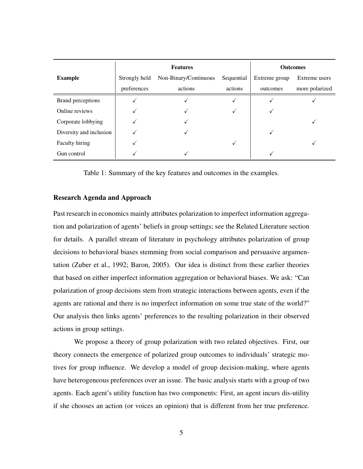|                         | <b>Features</b> |                       |            | <b>Outcomes</b> |                |
|-------------------------|-----------------|-----------------------|------------|-----------------|----------------|
| <b>Example</b>          | Strongly held   | Non-Binary/Continuous | Sequential | Extreme group   | Extreme users  |
|                         | preferences     | actions               | actions    | outcomes        | more polarized |
| Brand perceptions       |                 |                       |            |                 |                |
| Online reviews          |                 |                       |            |                 |                |
| Corporate lobbying      |                 |                       |            |                 |                |
| Diversity and inclusion |                 |                       |            |                 |                |
| Faculty hiring          |                 |                       | ✓          |                 |                |
| Gun control             |                 |                       |            |                 |                |

Table 1: Summary of the key features and outcomes in the examples.

#### Research Agenda and Approach

Past research in economics mainly attributes polarization to imperfect information aggregation and polarization of agents' beliefs in group settings; see the Related Literature section for details. A parallel stream of literature in psychology attributes polarization of group decisions to behavioral biases stemming from social comparison and persuasive argumentation (Zuber et al., 1992; Baron, 2005). Our idea is distinct from these earlier theories that based on either imperfect information aggregation or behavioral biases. We ask: "Can polarization of group decisions stem from strategic interactions between agents, even if the agents are rational and there is no imperfect information on some true state of the world?" Our analysis then links agents' preferences to the resulting polarization in their observed actions in group settings.

We propose a theory of group polarization with two related objectives. First, our theory connects the emergence of polarized group outcomes to individuals' strategic motives for group influence. We develop a model of group decision-making, where agents have heterogeneous preferences over an issue. The basic analysis starts with a group of two agents. Each agent's utility function has two components: First, an agent incurs dis-utility if she chooses an action (or voices an opinion) that is different from her true preference.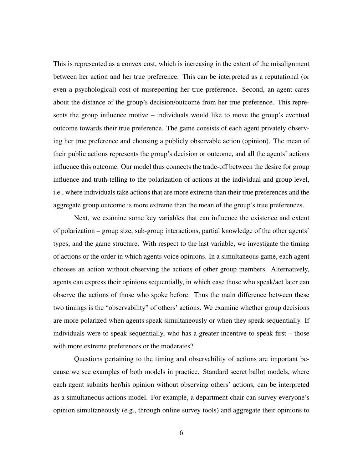This is represented as a convex cost, which is increasing in the extent of the misalignment between her action and her true preference. This can be interpreted as a reputational (or even a psychological) cost of misreporting her true preference. Second, an agent cares about the distance of the group's decision/outcome from her true preference. This represents the group influence motive – individuals would like to move the group's eventual outcome towards their true preference. The game consists of each agent privately observing her true preference and choosing a publicly observable action (opinion). The mean of their public actions represents the group's decision or outcome, and all the agents' actions influence this outcome. Our model thus connects the trade-off between the desire for group influence and truth-telling to the polarization of actions at the individual and group level, i.e., where individuals take actions that are more extreme than their true preferences and the aggregate group outcome is more extreme than the mean of the group's true preferences.

Next, we examine some key variables that can influence the existence and extent of polarization – group size, sub-group interactions, partial knowledge of the other agents' types, and the game structure. With respect to the last variable, we investigate the timing of actions or the order in which agents voice opinions. In a simultaneous game, each agent chooses an action without observing the actions of other group members. Alternatively, agents can express their opinions sequentially, in which case those who speak/act later can observe the actions of those who spoke before. Thus the main difference between these two timings is the "observability" of others' actions. We examine whether group decisions are more polarized when agents speak simultaneously or when they speak sequentially. If individuals were to speak sequentially, who has a greater incentive to speak first – those with more extreme preferences or the moderates?

Questions pertaining to the timing and observability of actions are important because we see examples of both models in practice. Standard secret ballot models, where each agent submits her/his opinion without observing others' actions, can be interpreted as a simultaneous actions model. For example, a department chair can survey everyone's opinion simultaneously (e.g., through online survey tools) and aggregate their opinions to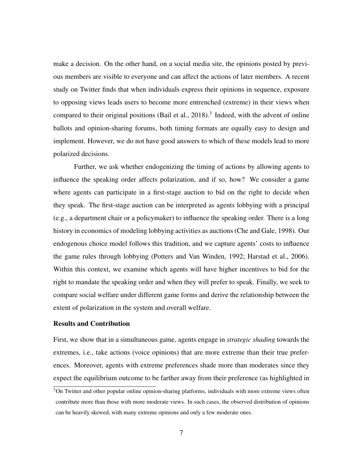make a decision. On the other hand, on a social media site, the opinions posted by previous members are visible to everyone and can affect the actions of later members. A recent study on Twitter finds that when individuals express their opinions in sequence, exposure to opposing views leads users to become more entrenched (extreme) in their views when compared to their original positions (Bail et al., 2018).<sup>3</sup> Indeed, with the advent of online ballots and opinion-sharing forums, both timing formats are equally easy to design and implement. However, we do not have good answers to which of these models lead to more polarized decisions.

Further, we ask whether endogenizing the timing of actions by allowing agents to influence the speaking order affects polarization, and if so, how? We consider a game where agents can participate in a first-stage auction to bid on the right to decide when they speak. The first-stage auction can be interpreted as agents lobbying with a principal (e.g., a department chair or a policymaker) to influence the speaking order. There is a long history in economics of modeling lobbying activities as auctions (Che and Gale, 1998). Our endogenous choice model follows this tradition, and we capture agents' costs to influence the game rules through lobbying (Potters and Van Winden, 1992; Harstad et al., 2006). Within this context, we examine which agents will have higher incentives to bid for the right to mandate the speaking order and when they will prefer to speak. Finally, we seek to compare social welfare under different game forms and derive the relationship between the extent of polarization in the system and overall welfare.

#### Results and Contribution

First, we show that in a simultaneous game, agents engage in *strategic shading* towards the extremes, i.e., take actions (voice opinions) that are more extreme than their true preferences. Moreover, agents with extreme preferences shade more than moderates since they expect the equilibrium outcome to be farther away from their preference (as highlighted in

<sup>&</sup>lt;sup>3</sup>On Twitter and other popular online opinion-sharing platforms, individuals with more extreme views often contribute more than those with more moderate views. In such cases, the observed distribution of opinions can be heavily skewed, with many extreme opinions and only a few moderate ones.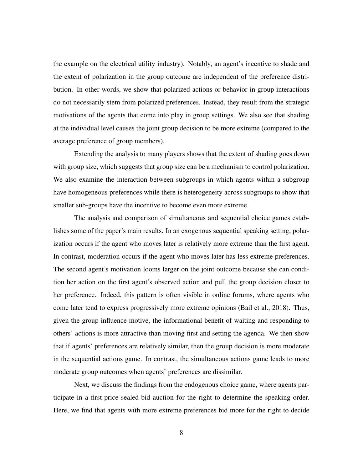the example on the electrical utility industry). Notably, an agent's incentive to shade and the extent of polarization in the group outcome are independent of the preference distribution. In other words, we show that polarized actions or behavior in group interactions do not necessarily stem from polarized preferences. Instead, they result from the strategic motivations of the agents that come into play in group settings. We also see that shading at the individual level causes the joint group decision to be more extreme (compared to the average preference of group members).

Extending the analysis to many players shows that the extent of shading goes down with group size, which suggests that group size can be a mechanism to control polarization. We also examine the interaction between subgroups in which agents within a subgroup have homogeneous preferences while there is heterogeneity across subgroups to show that smaller sub-groups have the incentive to become even more extreme.

The analysis and comparison of simultaneous and sequential choice games establishes some of the paper's main results. In an exogenous sequential speaking setting, polarization occurs if the agent who moves later is relatively more extreme than the first agent. In contrast, moderation occurs if the agent who moves later has less extreme preferences. The second agent's motivation looms larger on the joint outcome because she can condition her action on the first agent's observed action and pull the group decision closer to her preference. Indeed, this pattern is often visible in online forums, where agents who come later tend to express progressively more extreme opinions (Bail et al., 2018). Thus, given the group influence motive, the informational benefit of waiting and responding to others' actions is more attractive than moving first and setting the agenda. We then show that if agents' preferences are relatively similar, then the group decision is more moderate in the sequential actions game. In contrast, the simultaneous actions game leads to more moderate group outcomes when agents' preferences are dissimilar.

Next, we discuss the findings from the endogenous choice game, where agents participate in a first-price sealed-bid auction for the right to determine the speaking order. Here, we find that agents with more extreme preferences bid more for the right to decide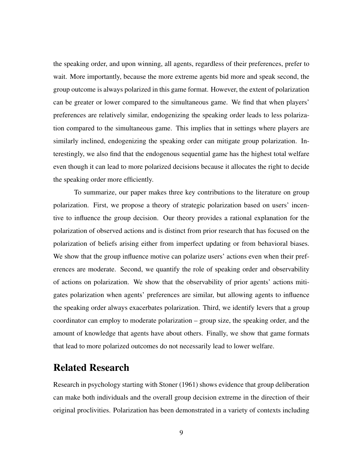the speaking order, and upon winning, all agents, regardless of their preferences, prefer to wait. More importantly, because the more extreme agents bid more and speak second, the group outcome is always polarized in this game format. However, the extent of polarization can be greater or lower compared to the simultaneous game. We find that when players' preferences are relatively similar, endogenizing the speaking order leads to less polarization compared to the simultaneous game. This implies that in settings where players are similarly inclined, endogenizing the speaking order can mitigate group polarization. Interestingly, we also find that the endogenous sequential game has the highest total welfare even though it can lead to more polarized decisions because it allocates the right to decide the speaking order more efficiently.

To summarize, our paper makes three key contributions to the literature on group polarization. First, we propose a theory of strategic polarization based on users' incentive to influence the group decision. Our theory provides a rational explanation for the polarization of observed actions and is distinct from prior research that has focused on the polarization of beliefs arising either from imperfect updating or from behavioral biases. We show that the group influence motive can polarize users' actions even when their preferences are moderate. Second, we quantify the role of speaking order and observability of actions on polarization. We show that the observability of prior agents' actions mitigates polarization when agents' preferences are similar, but allowing agents to influence the speaking order always exacerbates polarization. Third, we identify levers that a group coordinator can employ to moderate polarization – group size, the speaking order, and the amount of knowledge that agents have about others. Finally, we show that game formats that lead to more polarized outcomes do not necessarily lead to lower welfare.

### Related Research

Research in psychology starting with Stoner (1961) shows evidence that group deliberation can make both individuals and the overall group decision extreme in the direction of their original proclivities. Polarization has been demonstrated in a variety of contexts including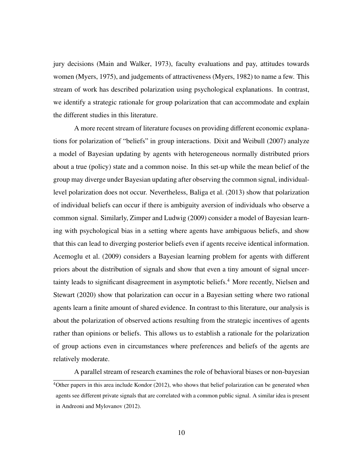jury decisions (Main and Walker, 1973), faculty evaluations and pay, attitudes towards women (Myers, 1975), and judgements of attractiveness (Myers, 1982) to name a few. This stream of work has described polarization using psychological explanations. In contrast, we identify a strategic rationale for group polarization that can accommodate and explain the different studies in this literature.

A more recent stream of literature focuses on providing different economic explanations for polarization of "beliefs" in group interactions. Dixit and Weibull (2007) analyze a model of Bayesian updating by agents with heterogeneous normally distributed priors about a true (policy) state and a common noise. In this set-up while the mean belief of the group may diverge under Bayesian updating after observing the common signal, individuallevel polarization does not occur. Nevertheless, Baliga et al. (2013) show that polarization of individual beliefs can occur if there is ambiguity aversion of individuals who observe a common signal. Similarly, Zimper and Ludwig (2009) consider a model of Bayesian learning with psychological bias in a setting where agents have ambiguous beliefs, and show that this can lead to diverging posterior beliefs even if agents receive identical information. Acemoglu et al. (2009) considers a Bayesian learning problem for agents with different priors about the distribution of signals and show that even a tiny amount of signal uncertainty leads to significant disagreement in asymptotic beliefs.<sup>4</sup> More recently, Nielsen and Stewart (2020) show that polarization can occur in a Bayesian setting where two rational agents learn a finite amount of shared evidence. In contrast to this literature, our analysis is about the polarization of observed actions resulting from the strategic incentives of agents rather than opinions or beliefs. This allows us to establish a rationale for the polarization of group actions even in circumstances where preferences and beliefs of the agents are relatively moderate.

A parallel stream of research examines the role of behavioral biases or non-bayesian  $4$ Other papers in this area include Kondor (2012), who shows that belief polarization can be generated when agents see different private signals that are correlated with a common public signal. A similar idea is present in Andreoni and Mylovanov (2012).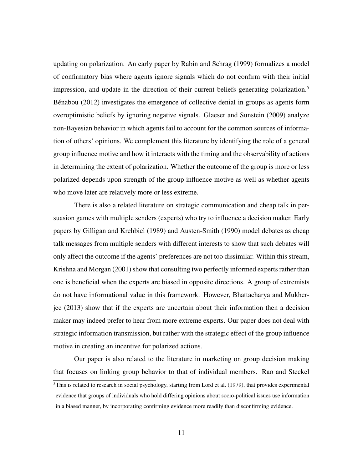updating on polarization. An early paper by Rabin and Schrag (1999) formalizes a model of confirmatory bias where agents ignore signals which do not confirm with their initial impression, and update in the direction of their current beliefs generating polarization.<sup>5</sup> Bénabou  $(2012)$  investigates the emergence of collective denial in groups as agents form overoptimistic beliefs by ignoring negative signals. Glaeser and Sunstein (2009) analyze non-Bayesian behavior in which agents fail to account for the common sources of information of others' opinions. We complement this literature by identifying the role of a general group influence motive and how it interacts with the timing and the observability of actions in determining the extent of polarization. Whether the outcome of the group is more or less polarized depends upon strength of the group influence motive as well as whether agents who move later are relatively more or less extreme.

There is also a related literature on strategic communication and cheap talk in persuasion games with multiple senders (experts) who try to influence a decision maker. Early papers by Gilligan and Krehbiel (1989) and Austen-Smith (1990) model debates as cheap talk messages from multiple senders with different interests to show that such debates will only affect the outcome if the agents' preferences are not too dissimilar. Within this stream, Krishna and Morgan (2001) show that consulting two perfectly informed experts rather than one is beneficial when the experts are biased in opposite directions. A group of extremists do not have informational value in this framework. However, Bhattacharya and Mukherjee (2013) show that if the experts are uncertain about their information then a decision maker may indeed prefer to hear from more extreme experts. Our paper does not deal with strategic information transmission, but rather with the strategic effect of the group influence motive in creating an incentive for polarized actions.

Our paper is also related to the literature in marketing on group decision making that focuses on linking group behavior to that of individual members. Rao and Steckel  $<sup>5</sup>$ This is related to research in social psychology, starting from Lord et al. (1979), that provides experimental</sup> evidence that groups of individuals who hold differing opinions about socio-political issues use information in a biased manner, by incorporating confirming evidence more readily than disconfirming evidence.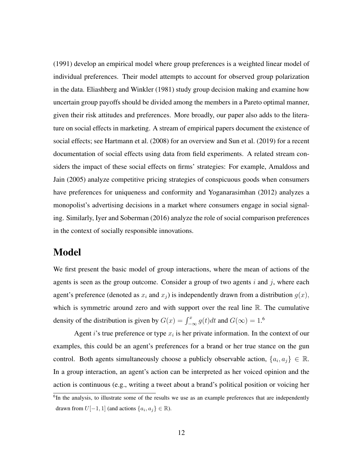(1991) develop an empirical model where group preferences is a weighted linear model of individual preferences. Their model attempts to account for observed group polarization in the data. Eliashberg and Winkler (1981) study group decision making and examine how uncertain group payoffs should be divided among the members in a Pareto optimal manner, given their risk attitudes and preferences. More broadly, our paper also adds to the literature on social effects in marketing. A stream of empirical papers document the existence of social effects; see Hartmann et al. (2008) for an overview and Sun et al. (2019) for a recent documentation of social effects using data from field experiments. A related stream considers the impact of these social effects on firms' strategies: For example, Amaldoss and Jain (2005) analyze competitive pricing strategies of conspicuous goods when consumers have preferences for uniqueness and conformity and Yoganarasimhan (2012) analyzes a monopolist's advertising decisions in a market where consumers engage in social signaling. Similarly, Iyer and Soberman (2016) analyze the role of social comparison preferences in the context of socially responsible innovations.

### Model

We first present the basic model of group interactions, where the mean of actions of the agents is seen as the group outcome. Consider a group of two agents  $i$  and  $j$ , where each agent's preference (denoted as  $x_i$  and  $x_j$ ) is independently drawn from a distribution  $g(x)$ , which is symmetric around zero and with support over the real line R. The cumulative density of the distribution is given by  $G(x) = \int_{-\infty}^{x} g(t)dt$  and  $G(\infty) = 1.6$ 

Agent *i*'s true preference or type  $x_i$  is her private information. In the context of our examples, this could be an agent's preferences for a brand or her true stance on the gun control. Both agents simultaneously choose a publicly observable action,  $\{a_i, a_j\} \in \mathbb{R}$ . In a group interaction, an agent's action can be interpreted as her voiced opinion and the action is continuous (e.g., writing a tweet about a brand's political position or voicing her

<sup>&</sup>lt;sup>6</sup>In the analysis, to illustrate some of the results we use as an example preferences that are independently drawn from  $U[-1, 1]$  (and actions  $\{a_i, a_j\} \in \mathbb{R}$ ).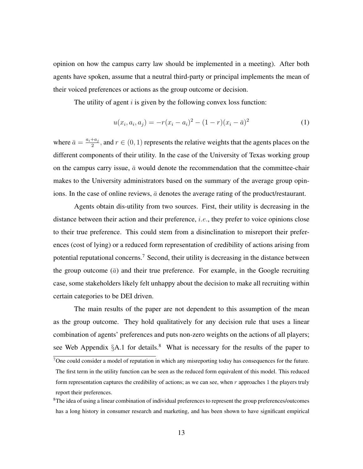opinion on how the campus carry law should be implemented in a meeting). After both agents have spoken, assume that a neutral third-party or principal implements the mean of their voiced preferences or actions as the group outcome or decision.

The utility of agent  $i$  is given by the following convex loss function:

$$
u(x_i, a_i, a_j) = -r(x_i - a_i)^2 - (1 - r)(x_i - \bar{a})^2
$$
\n(1)

where  $\bar{a} = \frac{a_i + a_j}{2}$  $\frac{a+a_j}{2}$ , and  $r \in (0,1)$  represents the relative weights that the agents places on the different components of their utility. In the case of the University of Texas working group on the campus carry issue,  $\bar{a}$  would denote the recommendation that the committee-chair makes to the University administrators based on the summary of the average group opinions. In the case of online reviews,  $\bar{a}$  denotes the average rating of the product/restaurant.

Agents obtain dis-utility from two sources. First, their utility is decreasing in the distance between their action and their preference, *i.e.*, they prefer to voice opinions close to their true preference. This could stem from a disinclination to misreport their preferences (cost of lying) or a reduced form representation of credibility of actions arising from potential reputational concerns.<sup>7</sup> Second, their utility is decreasing in the distance between the group outcome  $(\bar{a})$  and their true preference. For example, in the Google recruiting case, some stakeholders likely felt unhappy about the decision to make all recruiting within certain categories to be DEI driven.

The main results of the paper are not dependent to this assumption of the mean as the group outcome. They hold qualitatively for any decision rule that uses a linear combination of agents' preferences and puts non-zero weights on the actions of all players; see Web Appendix  $\S$ A.1 for details.<sup>8</sup> What is necessary for the results of the paper to

<sup>&</sup>lt;sup>7</sup>One could consider a model of reputation in which any misreporting today has consequences for the future. The first term in the utility function can be seen as the reduced form equivalent of this model. This reduced form representation captures the credibility of actions; as we can see, when  $r$  approaches 1 the players truly report their preferences.

<sup>&</sup>lt;sup>8</sup>The idea of using a linear combination of individual preferences to represent the group preferences/outcomes has a long history in consumer research and marketing, and has been shown to have significant empirical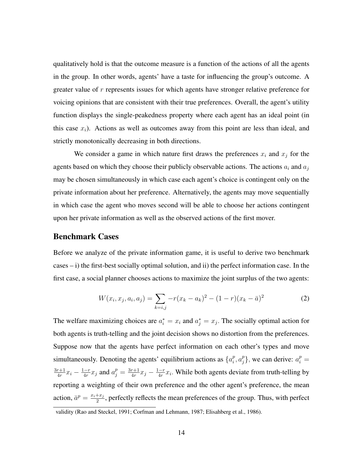qualitatively hold is that the outcome measure is a function of the actions of all the agents in the group. In other words, agents' have a taste for influencing the group's outcome. A greater value of r represents issues for which agents have stronger relative preference for voicing opinions that are consistent with their true preferences. Overall, the agent's utility function displays the single-peakedness property where each agent has an ideal point (in this case  $x_i$ ). Actions as well as outcomes away from this point are less than ideal, and strictly monotonically decreasing in both directions.

We consider a game in which nature first draws the preferences  $x_i$  and  $x_j$  for the agents based on which they choose their publicly observable actions. The actions  $a_i$  and  $a_j$ may be chosen simultaneously in which case each agent's choice is contingent only on the private information about her preference. Alternatively, the agents may move sequentially in which case the agent who moves second will be able to choose her actions contingent upon her private information as well as the observed actions of the first mover.

#### Benchmark Cases

Before we analyze of the private information game, it is useful to derive two benchmark  $cases - i)$  the first-best socially optimal solution, and ii) the perfect information case. In the first case, a social planner chooses actions to maximize the joint surplus of the two agents:

$$
W(x_i, x_j, a_i, a_j) = \sum_{k=i,j} -r(x_k - a_k)^2 - (1 - r)(x_k - \bar{a})^2
$$
 (2)

The welfare maximizing choices are  $a_i^* = x_i$  and  $a_j^* = x_j$ . The socially optimal action for both agents is truth-telling and the joint decision shows no distortion from the preferences. Suppose now that the agents have perfect information on each other's types and move simultaneously. Denoting the agents' equilibrium actions as  $\{a_i^p\}$  $_i^p, a_j^p$  $\{p_j\}$ , we can derive:  $a_i^p =$  $3r+1$  $\frac{r+1}{4r}x_i - \frac{1-r}{4r}$  $\frac{(-r}{4r}x_j$  and  $a_j^p = \frac{3r+1}{4r}$  $\frac{r+1}{4r}x_j - \frac{1-r}{4r}$  $\frac{-r}{4r}x_i$ . While both agents deviate from truth-telling by reporting a weighting of their own preference and the other agent's preference, the mean action,  $\bar{a}^p = \frac{x_i + x_j}{2}$  $\frac{+x_j}{2}$ , perfectly reflects the mean preferences of the group. Thus, with perfect

validity (Rao and Steckel, 1991; Corfman and Lehmann, 1987; Elisahberg et al., 1986).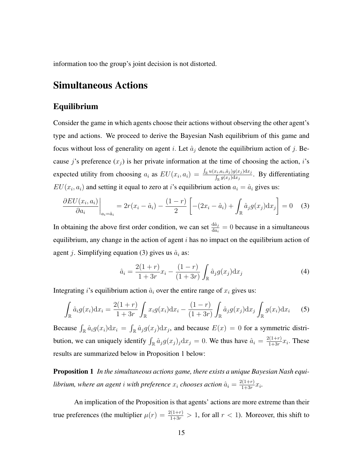information too the group's joint decision is not distorted.

### Simultaneous Actions

### Equilibrium

Consider the game in which agents choose their actions without observing the other agent's type and actions. We proceed to derive the Bayesian Nash equilibrium of this game and focus without loss of generality on agent i. Let  $\hat{a}_j$  denote the equilibrium action of j. Because j's preference  $(x_i)$  is her private information at the time of choosing the action, i's expected utility from choosing  $a_i$  as  $EU(x_i, a_i) = \frac{\int_{\mathbb{R}} u(x_i, a_i, \hat{a}_j)g(x_j)dx_j}{\int_{\mathbb{R}} g(x_i)dx_j}$  $\frac{\int_{E_i} a_{i,i} a_{j,j} g(x_j) dx_j}{\int_{\mathbb{R}} g(x_j) dx_j}$ . By differentiating  $EU(x_i, a_i)$  and setting it equal to zero at *i*'s equilibrium action  $a_i = \hat{a}_i$  gives us:

$$
\frac{\partial EU(x_i, a_i)}{\partial a_i}\bigg|_{a_i = \hat{a}_i} = 2r(x_i - \hat{a}_i) - \frac{(1 - r)}{2} \left[ -(2x_i - \hat{a}_i) + \int_{\mathbb{R}} \hat{a}_j g(x_j) dx_j \right] = 0 \quad (3)
$$

In obtaining the above first order condition, we can set  $\frac{d\hat{a}_j}{da_i} = 0$  because in a simultaneous equilibrium, any change in the action of agent  $i$  has no impact on the equilibrium action of agent j. Simplifying equation (3) gives us  $\hat{a}_i$  as:

$$
\hat{a}_i = \frac{2(1+r)}{1+3r}x_i - \frac{(1-r)}{(1+3r)} \int_{\mathbb{R}} \hat{a}_j g(x_j) dx_j \tag{4}
$$

Integrating *i*'s equilibrium action  $\hat{a}_i$  over the entire range of  $x_i$  gives us:

$$
\int_{\mathbb{R}} \hat{a}_i g(x_i) dx_i = \frac{2(1+r)}{1+3r} \int_{\mathbb{R}} x_i g(x_i) dx_i - \frac{(1-r)}{(1+3r)} \int_{\mathbb{R}} \hat{a}_j g(x_j) dx_j \int_{\mathbb{R}} g(x_i) dx_i \tag{5}
$$

Because  $\int_{\mathbb{R}} \hat{a}_i g(x_i) dx_i = \int_{\mathbb{R}} \hat{a}_j g(x_j) dx_j$ , and because  $E(x) = 0$  for a symmetric distribution, we can uniquely identify  $\int_{\mathbb{R}} \hat{a}_j g(x_j)_j dx_j = 0$ . We thus have  $\hat{a}_i = \frac{2(1+r)}{1+3r}$  $\frac{1+3r}{1+3r}x_i$ . These results are summarized below in Proposition 1 below:

Proposition 1 *In the simultaneous actions game, there exists a unique Bayesian Nash equilibrium, where an agent i with preference*  $x_i$  *chooses action*  $\hat{a}_i = \frac{2(1+r)}{1+3r}$  $\frac{x(1+r)}{1+3r}x_i$ .

An implication of the Proposition is that agents' actions are more extreme than their true preferences (the multiplier  $\mu(r) = \frac{2(1+r)}{1+3r} > 1$ , for all  $r < 1$ ). Moreover, this shift to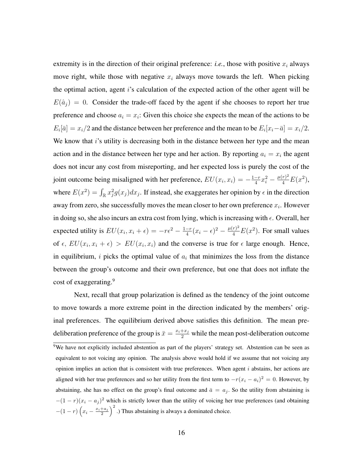extremity is in the direction of their original preference: *i.e.*, those with positive  $x_i$  always move right, while those with negative  $x_i$  always move towards the left. When picking the optimal action, agent i's calculation of the expected action of the other agent will be  $E(\hat{a}_j) = 0$ . Consider the trade-off faced by the agent if she chooses to report her true preference and choose  $a_i = x_i$ : Given this choice she expects the mean of the actions to be  $E_i[\bar{a}] = x_i/2$  and the distance between her preference and the mean to be  $E_i[x_i - \bar{a}] = x_i/2$ . We know that  $i$ 's utility is decreasing both in the distance between her type and the mean action and in the distance between her type and her action. By reporting  $a_i = x_i$  the agent does not incur any cost from misreporting, and her expected loss is purely the cost of the joint outcome being misaligned with her preference,  $EU(x_i, x_i) = -\frac{1-r}{4}$  $\frac{-r}{4}x_i^2 - \frac{\mu(r)^2}{4}E(x^2),$ where  $E(x^2) = \int_{\mathbb{R}} x_j^2 g(x_j) dx_j$ . If instead, she exaggerates her opinion by  $\epsilon$  in the direction away from zero, she successfully moves the mean closer to her own preference  $x_i$ . However in doing so, she also incurs an extra cost from lying, which is increasing with  $\epsilon$ . Overall, her expected utility is  $EU(x_i, x_i + \epsilon) = -r\epsilon^2 - \frac{1-r}{4}$  $\frac{-r}{4}(x_i - \epsilon)^2 - \frac{\mu(r)^2}{4}E(x^2)$ . For small values of  $\epsilon$ ,  $EU(x_i, x_i + \epsilon) > EU(x_i, x_i)$  and the converse is true for  $\epsilon$  large enough. Hence, in equilibrium, i picks the optimal value of  $a_i$  that minimizes the loss from the distance between the group's outcome and their own preference, but one that does not inflate the cost of exaggerating.<sup>9</sup>

Next, recall that group polarization is defined as the tendency of the joint outcome to move towards a more extreme point in the direction indicated by the members' original preferences. The equilibrium derived above satisfies this definition. The mean predeliberation preference of the group is  $\bar{x} = \frac{x_i + x_j}{2}$  while the mean post-deliberation outcome <sup>9</sup>We have not explicitly included abstention as part of the players' strategy set. Abstention can be seen as equivalent to not voicing any opinion. The analysis above would hold if we assume that not voicing any opinion implies an action that is consistent with true preferences. When agent  $i$  abstains, her actions are aligned with her true preferences and so her utility from the first term to  $-r(x_i - a_i)^2 = 0$ . However, by abstaining, she has no effect on the group's final outcome and  $\bar{a} = a_j$ . So the utility from abstaining is  $-(1 - r)(x_i - a_j)^2$  which is strictly lower than the utility of voicing her true preferences (and obtaining  $-(1 - r) \left(x_i - \frac{x_i + a_j}{2}\right)$  $\left(\frac{+a_j}{2}\right)^2$  .) Thus abstaining is always a dominated choice.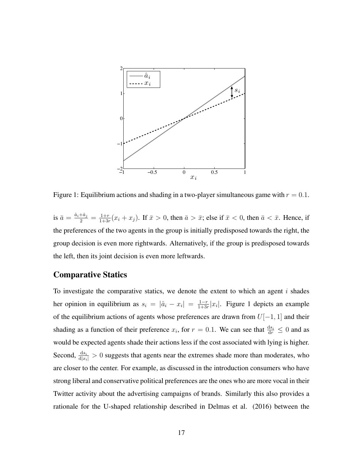

Figure 1: Equilibrium actions and shading in a two-player simultaneous game with  $r = 0.1$ .

is  $\bar{a} = \frac{\hat{a}_i + \hat{a}_j}{2} = \frac{1+r}{1+3r}$  $\frac{1+r}{1+3r}(x_i+x_j)$ . If  $\bar{x}>0$ , then  $\bar{a}>\bar{x}$ ; else if  $\bar{x}<0$ , then  $\bar{a}<\bar{x}$ . Hence, if the preferences of the two agents in the group is initially predisposed towards the right, the group decision is even more rightwards. Alternatively, if the group is predisposed towards the left, then its joint decision is even more leftwards.

### Comparative Statics

To investigate the comparative statics, we denote the extent to which an agent  $i$  shades her opinion in equilibrium as  $s_i = |\hat{a}_i - x_i| = \frac{1-r}{1+3i}$  $\frac{1-r}{1+3r}|x_i|$ . Figure 1 depicts an example of the equilibrium actions of agents whose preferences are drawn from  $U[-1, 1]$  and their shading as a function of their preference  $x_i$ , for  $r = 0.1$ . We can see that  $\frac{ds_i}{dr} \leq 0$  and as would be expected agents shade their actions less if the cost associated with lying is higher. Second,  $\frac{ds_i}{d|x_i|} > 0$  suggests that agents near the extremes shade more than moderates, who are closer to the center. For example, as discussed in the introduction consumers who have strong liberal and conservative political preferences are the ones who are more vocal in their Twitter activity about the advertising campaigns of brands. Similarly this also provides a rationale for the U-shaped relationship described in Delmas et al. (2016) between the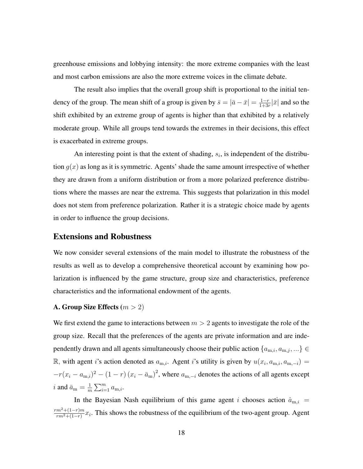greenhouse emissions and lobbying intensity: the more extreme companies with the least and most carbon emissions are also the more extreme voices in the climate debate.

The result also implies that the overall group shift is proportional to the initial tendency of the group. The mean shift of a group is given by  $\bar{s} = |\bar{a} - \bar{x}| = \frac{1-r}{1+3i}$  $\frac{1-r}{1+3r}|\bar{x}|$  and so the shift exhibited by an extreme group of agents is higher than that exhibited by a relatively moderate group. While all groups tend towards the extremes in their decisions, this effect is exacerbated in extreme groups.

An interesting point is that the extent of shading,  $s_i$ , is independent of the distribution  $q(x)$  as long as it is symmetric. Agents' shade the same amount irrespective of whether they are drawn from a uniform distribution or from a more polarized preference distributions where the masses are near the extrema. This suggests that polarization in this model does not stem from preference polarization. Rather it is a strategic choice made by agents in order to influence the group decisions.

#### Extensions and Robustness

We now consider several extensions of the main model to illustrate the robustness of the results as well as to develop a comprehensive theoretical account by examining how polarization is influenced by the game structure, group size and characteristics, preference characteristics and the informational endowment of the agents.

#### A. Group Size Effects  $(m > 2)$

We first extend the game to interactions between  $m > 2$  agents to investigate the role of the group size. Recall that the preferences of the agents are private information and are independently drawn and all agents simultaneously choose their public action  $\{a_{m,i}, a_{m,j}, ...\} \in$ R, with agent i's action denoted as  $a_{m,i}$ . Agent i's utility is given by  $u(x_i, a_{m,i}, a_{m,-i}) =$  $-r(x_i - a_{m,i})^2 - (1 - r)(x_i - \bar{a}_m)^2$ , where  $a_{m,-i}$  denotes the actions of all agents except i and  $\bar{a}_{\text{m}} = \frac{1}{m}$  $\frac{1}{m}\sum_{i=1}^m a_{m,i}.$ 

In the Bayesian Nash equilibrium of this game agent i chooses action  $\hat{a}_{m,i}$  =  $rm^2+(1-r)m$  $\frac{m^2+(1-r)m}{rm^2+(1-r)}x_i$ . This shows the robustness of the equilibrium of the two-agent group. Agent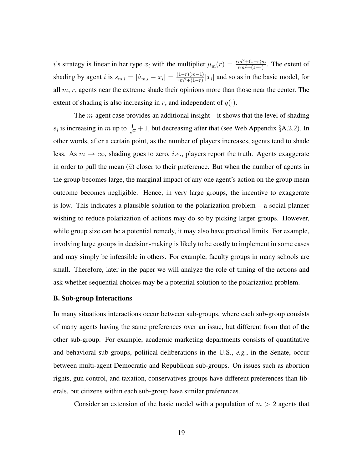i's strategy is linear in her type  $x_i$  with the multiplier  $\mu_m(r) = \frac{rm^2+(1-r)m}{rm^2+(1-r)}$ . The extent of shading by agent *i* is  $s_{m,i} = |\hat{a}_{m,i} - x_i| = \frac{(1-r)(m-1)}{rm^2 + (1-r)}$  $\frac{(1-r)(m-1)}{rm^2+(1-r)}|x_i|$  and so as in the basic model, for all  $m, r$ , agents near the extreme shade their opinions more than those near the center. The extent of shading is also increasing in r, and independent of  $g(\cdot)$ .

The  $m$ -agent case provides an additional insight – it shows that the level of shading  $s_i$  is increasing in m up to  $\frac{1}{\sqrt{r}} + 1$ , but decreasing after that (see Web Appendix §A.2.2). In other words, after a certain point, as the number of players increases, agents tend to shade less. As  $m \to \infty$ , shading goes to zero, *i.e.*, players report the truth. Agents exaggerate in order to pull the mean  $(\bar{a})$  closer to their preference. But when the number of agents in the group becomes large, the marginal impact of any one agent's action on the group mean outcome becomes negligible. Hence, in very large groups, the incentive to exaggerate is low. This indicates a plausible solution to the polarization problem – a social planner wishing to reduce polarization of actions may do so by picking larger groups. However, while group size can be a potential remedy, it may also have practical limits. For example, involving large groups in decision-making is likely to be costly to implement in some cases and may simply be infeasible in others. For example, faculty groups in many schools are small. Therefore, later in the paper we will analyze the role of timing of the actions and ask whether sequential choices may be a potential solution to the polarization problem.

#### B. Sub-group Interactions

In many situations interactions occur between sub-groups, where each sub-group consists of many agents having the same preferences over an issue, but different from that of the other sub-group. For example, academic marketing departments consists of quantitative and behavioral sub-groups, political deliberations in the U.S., *e.g.*, in the Senate, occur between multi-agent Democratic and Republican sub-groups. On issues such as abortion rights, gun control, and taxation, conservatives groups have different preferences than liberals, but citizens within each sub-group have similar preferences.

Consider an extension of the basic model with a population of  $m > 2$  agents that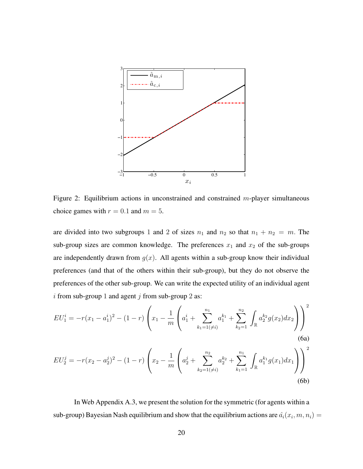

Figure 2: Equilibrium actions in unconstrained and constrained  $m$ -player simultaneous choice games with  $r = 0.1$  and  $m = 5$ .

are divided into two subgroups 1 and 2 of sizes  $n_1$  and  $n_2$  so that  $n_1 + n_2 = m$ . The sub-group sizes are common knowledge. The preferences  $x_1$  and  $x_2$  of the sub-groups are independently drawn from  $q(x)$ . All agents within a sub-group know their individual preferences (and that of the others within their sub-group), but they do not observe the preferences of the other sub-group. We can write the expected utility of an individual agent i from sub-group 1 and agent j from sub-group 2 as:

$$
EU_1^i = -r(x_1 - a_1^i)^2 - (1 - r) \left( x_1 - \frac{1}{m} \left( a_1^i + \sum_{k_1=1(\neq i)}^{n_1} a_1^{k_1} + \sum_{k_2=1}^{n_2} \int_{\mathbb{R}} a_2^{k_2} g(x_2) dx_2 \right) \right)^2
$$
\n
$$
(6a)
$$

$$
EU_2^j = -r(x_2 - a_2^j)^2 - (1 - r) \left( x_2 - \frac{1}{m} \left( a_2^j + \sum_{k_2=1(\neq i)}^{n_2} a_2^{k_2} + \sum_{k_1=1}^{n_1} \int_{\mathbb{R}} a_1^{k_1} g(x_1) dx_1 \right) \right)^2
$$
\n(6b)

In Web Appendix A.3, we present the solution for the symmetric (for agents within a sub-group) Bayesian Nash equilibrium and show that the equilibrium actions are  $\hat{a_i}(x_i,m,n_i) =$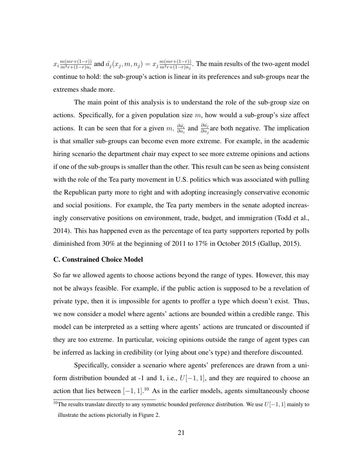$x_i \frac{m(mr+(1-r))}{m^2r+(1-r)n_i}$  $\frac{m(mr+(1-r))}{m^2r+(1-r)n_i}$  and  $\hat{a_j}(x_j,m,n_j)=x_j\frac{m(mr+(1-r))}{m^2r+(1-r)n_j}$  $\frac{m(mr+(1-r))}{m^2r+(1-r)n_j}$ . The main results of the two-agent model continue to hold: the sub-group's action is linear in its preferences and sub-groups near the extremes shade more.

The main point of this analysis is to understand the role of the sub-group size on actions. Specifically, for a given population size  $m$ , how would a sub-group's size affect actions. It can be seen that for a given m,  $\frac{\partial \hat{a_i}}{\partial n_i}$  and  $\frac{\partial \hat{a_j}}{\partial n_j}$  are both negative. The implication is that smaller sub-groups can become even more extreme. For example, in the academic hiring scenario the department chair may expect to see more extreme opinions and actions if one of the sub-groups is smaller than the other. This result can be seen as being consistent with the role of the Tea party movement in U.S. politics which was associated with pulling the Republican party more to right and with adopting increasingly conservative economic and social positions. For example, the Tea party members in the senate adopted increasingly conservative positions on environment, trade, budget, and immigration (Todd et al., 2014). This has happened even as the percentage of tea party supporters reported by polls diminished from 30% at the beginning of 2011 to 17% in October 2015 (Gallup, 2015).

#### C. Constrained Choice Model

So far we allowed agents to choose actions beyond the range of types. However, this may not be always feasible. For example, if the public action is supposed to be a revelation of private type, then it is impossible for agents to proffer a type which doesn't exist. Thus, we now consider a model where agents' actions are bounded within a credible range. This model can be interpreted as a setting where agents' actions are truncated or discounted if they are too extreme. In particular, voicing opinions outside the range of agent types can be inferred as lacking in credibility (or lying about one's type) and therefore discounted.

Specifically, consider a scenario where agents' preferences are drawn from a uniform distribution bounded at -1 and 1, i.e.,  $U[-1, 1]$ , and they are required to choose an action that lies between  $[-1, 1]$ .<sup>10</sup> As in the earlier models, agents simultaneously choose

<sup>&</sup>lt;sup>10</sup>The results translate directly to any symmetric bounded preference distribution. We use  $U[-1, 1]$  mainly to illustrate the actions pictorially in Figure 2.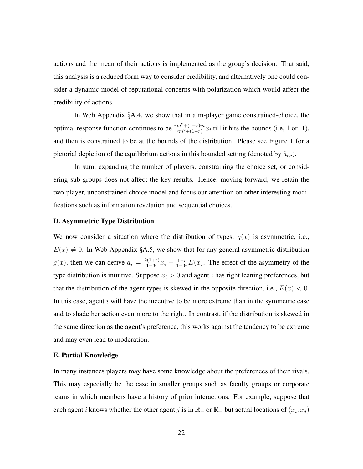actions and the mean of their actions is implemented as the group's decision. That said, this analysis is a reduced form way to consider credibility, and alternatively one could consider a dynamic model of reputational concerns with polarization which would affect the credibility of actions.

In Web Appendix §A.4, we show that in a m-player game constrained-choice, the optimal response function continues to be  $\frac{rm^2+(1-r)m}{rm^2+(1-r)}x_i$  till it hits the bounds (i.e, 1 or -1), and then is constrained to be at the bounds of the distribution. Please see Figure 1 for a pictorial depiction of the equilibrium actions in this bounded setting (denoted by  $\hat{a}_{c,i}$ ).

In sum, expanding the number of players, constraining the choice set, or considering sub-groups does not affect the key results. Hence, moving forward, we retain the two-player, unconstrained choice model and focus our attention on other interesting modifications such as information revelation and sequential choices.

#### D. Asymmetric Type Distribution

We now consider a situation where the distribution of types,  $g(x)$  is asymmetric, i.e.,  $E(x) \neq 0$ . In Web Appendix §A.5, we show that for any general asymmetric distribution  $g(x)$ , then we can derive  $a_i = \frac{2(1+r)}{1+3r}$  $\frac{1}{1+3r}x_i - \frac{1-r}{1+3r}E(x)$ . The effect of the asymmetry of the type distribution is intuitive. Suppose  $x_i > 0$  and agent i has right leaning preferences, but that the distribution of the agent types is skewed in the opposite direction, i.e.,  $E(x) < 0$ . In this case, agent  $i$  will have the incentive to be more extreme than in the symmetric case and to shade her action even more to the right. In contrast, if the distribution is skewed in the same direction as the agent's preference, this works against the tendency to be extreme and may even lead to moderation.

#### E. Partial Knowledge

In many instances players may have some knowledge about the preferences of their rivals. This may especially be the case in smaller groups such as faculty groups or corporate teams in which members have a history of prior interactions. For example, suppose that each agent *i* knows whether the other agent *j* is in  $\mathbb{R}_+$  or  $\mathbb{R}_-$  but actual locations of  $(x_i, x_j)$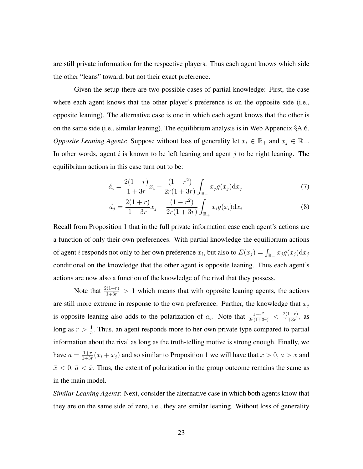are still private information for the respective players. Thus each agent knows which side the other "leans" toward, but not their exact preference.

Given the setup there are two possible cases of partial knowledge: First, the case where each agent knows that the other player's preference is on the opposite side (i.e., opposite leaning). The alternative case is one in which each agent knows that the other is on the same side (i.e., similar leaning). The equilibrium analysis is in Web Appendix  $\S$ A.6. *Opposite Leaning Agents*: Suppose without loss of generality let  $x_i \in \mathbb{R}_+$  and  $x_j \in \mathbb{R}_-$ . In other words, agent  $i$  is known to be left leaning and agent  $j$  to be right leaning. The equilibrium actions in this case turn out to be:

$$
\hat{a}_i = \frac{2(1+r)}{1+3r}x_i - \frac{(1-r^2)}{2r(1+3r)} \int_{\mathbb{R}_-} x_j g(x_j) dx_j \tag{7}
$$

$$
\hat{a_j} = \frac{2(1+r)}{1+3r}x_j - \frac{(1-r^2)}{2r(1+3r)} \int_{\mathbb{R}_+} x_i g(x_i) dx_i \tag{8}
$$

Recall from Proposition 1 that in the full private information case each agent's actions are a function of only their own preferences. With partial knowledge the equilibrium actions of agent *i* responds not only to her own preference  $x_i$ , but also to  $E(x_j) = \int_{\mathbb{R}_+} x_j g(x_j) \mathrm{d}x_j$ conditional on the knowledge that the other agent is opposite leaning. Thus each agent's actions are now also a function of the knowledge of the rival that they possess.

Note that  $\frac{2(1+r)}{1+3r} > 1$  which means that with opposite leaning agents, the actions are still more extreme in response to the own preference. Further, the knowledge that  $x_j$ is opposite leaning also adds to the polarization of  $a_i$ . Note that  $\frac{1-r^2}{2r(1+3r)} < \frac{2(1+r)}{1+3r}$  $\frac{x(1+r)}{1+3r}$ , as long as  $r > \frac{1}{5}$ . Thus, an agent responds more to her own private type compared to partial information about the rival as long as the truth-telling motive is strong enough. Finally, we have  $\bar{a} = \frac{1+r}{1+3r}$  $\frac{1+r}{1+3r}(x_i + x_j)$  and so similar to Proposition 1 we will have that  $\bar{x} > 0$ ,  $\bar{a} > \bar{x}$  and  $\bar{x}$  < 0,  $\bar{a}$  <  $\bar{x}$ . Thus, the extent of polarization in the group outcome remains the same as in the main model.

*Similar Leaning Agents*: Next, consider the alternative case in which both agents know that they are on the same side of zero, i.e., they are similar leaning. Without loss of generality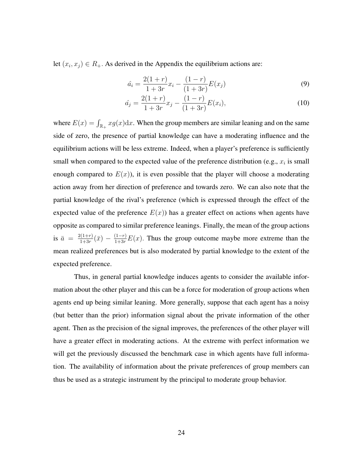let  $(x_i, x_j) \in R_+$ . As derived in the Appendix the equilibrium actions are:

$$
\hat{a}_i = \frac{2(1+r)}{1+3r}x_i - \frac{(1-r)}{(1+3r)}E(x_j)
$$
\n(9)

$$
\hat{a}_j = \frac{2(1+r)}{1+3r}x_j - \frac{(1-r)}{(1+3r)}E(x_i),\tag{10}
$$

where  $E(x) = \int_{\mathbb{R}_+} x g(x) dx$ . When the group members are similar leaning and on the same side of zero, the presence of partial knowledge can have a moderating influence and the equilibrium actions will be less extreme. Indeed, when a player's preference is sufficiently small when compared to the expected value of the preference distribution (e.g.,  $x_i$  is small enough compared to  $E(x)$ ), it is even possible that the player will choose a moderating action away from her direction of preference and towards zero. We can also note that the partial knowledge of the rival's preference (which is expressed through the effect of the expected value of the preference  $E(x)$ ) has a greater effect on actions when agents have opposite as compared to similar preference leanings. Finally, the mean of the group actions is  $\bar{a} = \frac{2(1+r)}{1+3r}$  $\frac{1}{1+3r}(\bar{x}) - \frac{(1-r)}{1+3r}E(x)$ . Thus the group outcome maybe more extreme than the mean realized preferences but is also moderated by partial knowledge to the extent of the expected preference.

Thus, in general partial knowledge induces agents to consider the available information about the other player and this can be a force for moderation of group actions when agents end up being similar leaning. More generally, suppose that each agent has a noisy (but better than the prior) information signal about the private information of the other agent. Then as the precision of the signal improves, the preferences of the other player will have a greater effect in moderating actions. At the extreme with perfect information we will get the previously discussed the benchmark case in which agents have full information. The availability of information about the private preferences of group members can thus be used as a strategic instrument by the principal to moderate group behavior.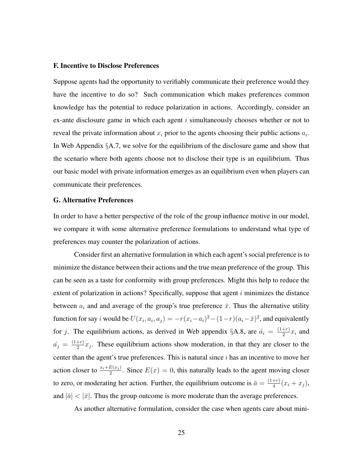#### F. Incentive to Disclose Preferences

Suppose agents had the opportunity to verifiably communicate their preference would they have the incentive to do so? Such communication which makes preferences common knowledge has the potential to reduce polarization in actions. Accordingly, consider an ex-ante disclosure game in which each agent  $i$  simultaneously chooses whether or not to reveal the private information about  $x_i$  prior to the agents choosing their public actions  $a_i$ . In Web Appendix §A.7, we solve for the equilibrium of the disclosure game and show that the scenario where both agents choose not to disclose their type is an equilibrium. Thus our basic model with private information emerges as an equilibrium even when players can communicate their preferences.

#### G. Alternative Preferences

In order to have a better perspective of the role of the group influence motive in our model, we compare it with some alternative preference formulations to understand what type of preferences may counter the polarization of actions.

Consider first an alternative formulation in which each agent's social preference is to minimize the distance between their actions and the true mean preference of the group. This can be seen as a taste for conformity with group preferences. Might this help to reduce the extent of polarization in actions? Specifically, suppose that agent  $i$  minimizes the distance between  $a_i$  and and average of the group's true preference  $\bar{x}$ . Thus the alternative utility function for say *i* would be  $U(x_i, a_i, a_j) = -r(x_i - a_i)^2 - (1 - r)(a_i - \bar{x})^2$ , and equivalently for j. The equilibrium actions, as derived in Web appendix §A.8, are  $\hat{a}_i = \frac{(1+r)}{2}$  $rac{+r_j}{2}x_i$  and  $\hat{a_j} = \frac{(1+r)}{2}$  $\frac{(-r)}{2}x_j$ . These equilibrium actions show moderation, in that they are closer to the center than the agent's true preferences. This is natural since  $i$  has an incentive to move her action closer to  $\frac{x_i+E(x_j)}{2}$ . Since  $E(x)=0$ , this naturally leads to the agent moving closer to zero, or moderating her action. Further, the equilibrium outcome is  $\bar{a} = \frac{(1+r)}{4}$  $rac{+r}{4}(x_i+x_j),$ and  $|\bar{a}| < |\bar{x}|$ . Thus the group outcome is more moderate than the average preferences.

As another alternative formulation, consider the case when agents care about mini-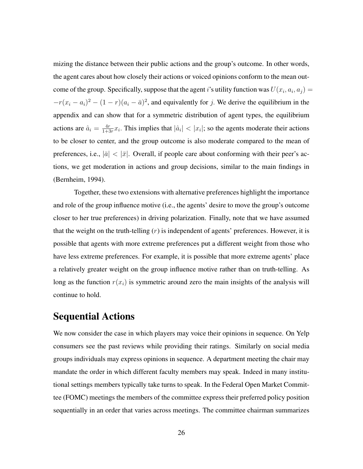mizing the distance between their public actions and the group's outcome. In other words, the agent cares about how closely their actions or voiced opinions conform to the mean outcome of the group. Specifically, suppose that the agent i's utility function was  $U(x_i, a_i, a_j) =$  $-r(x_i - a_i)^2 - (1 - r)(a_i - \bar{a})^2$ , and equivalently for j. We derive the equilibrium in the appendix and can show that for a symmetric distribution of agent types, the equilibrium actions are  $\hat{a}_i = \frac{4r}{1+i^2}$  $\frac{4r}{1+3r}x_i$ . This implies that  $|\hat{a}_i| < |x_i|$ ; so the agents moderate their actions to be closer to center, and the group outcome is also moderate compared to the mean of preferences, i.e.,  $|\bar{a}| < |\bar{x}|$ . Overall, if people care about conforming with their peer's actions, we get moderation in actions and group decisions, similar to the main findings in (Bernheim, 1994).

Together, these two extensions with alternative preferences highlight the importance and role of the group influence motive (i.e., the agents' desire to move the group's outcome closer to her true preferences) in driving polarization. Finally, note that we have assumed that the weight on the truth-telling  $(r)$  is independent of agents' preferences. However, it is possible that agents with more extreme preferences put a different weight from those who have less extreme preferences. For example, it is possible that more extreme agents' place a relatively greater weight on the group influence motive rather than on truth-telling. As long as the function  $r(x_i)$  is symmetric around zero the main insights of the analysis will continue to hold.

### Sequential Actions

We now consider the case in which players may voice their opinions in sequence. On Yelp consumers see the past reviews while providing their ratings. Similarly on social media groups individuals may express opinions in sequence. A department meeting the chair may mandate the order in which different faculty members may speak. Indeed in many institutional settings members typically take turns to speak. In the Federal Open Market Committee (FOMC) meetings the members of the committee express their preferred policy position sequentially in an order that varies across meetings. The committee chairman summarizes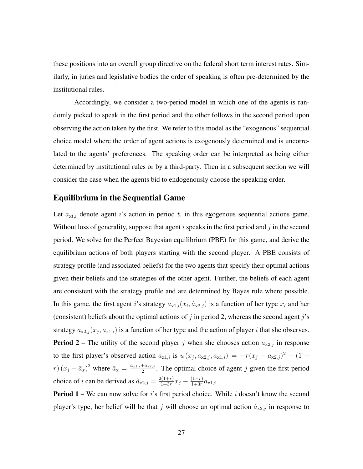these positions into an overall group directive on the federal short term interest rates. Similarly, in juries and legislative bodies the order of speaking is often pre-determined by the institutional rules.

Accordingly, we consider a two-period model in which one of the agents is randomly picked to speak in the first period and the other follows in the second period upon observing the action taken by the first. We refer to this model as the "exogenous" sequential choice model where the order of agent actions is exogenously determined and is uncorrelated to the agents' preferences. The speaking order can be interpreted as being either determined by institutional rules or by a third-party. Then in a subsequent section we will consider the case when the agents bid to endogenously choose the speaking order.

### Equilibrium in the Sequential Game

Let  $a_{xt,i}$  denote agent i's action in period t, in this exogenous sequential actions game. Without loss of generality, suppose that agent  $i$  speaks in the first period and  $j$  in the second period. We solve for the Perfect Bayesian equilibrium (PBE) for this game, and derive the equilibrium actions of both players starting with the second player. A PBE consists of strategy profile (and associated beliefs) for the two agents that specify their optimal actions given their beliefs and the strategies of the other agent. Further, the beliefs of each agent are consistent with the strategy profile and are determined by Bayes rule where possible. In this game, the first agent i's strategy  $a_{x1,i}(x_i, \hat{a}_{x2,j})$  is a function of her type  $x_i$  and her (consistent) beliefs about the optimal actions of j in period 2, whereas the second agent j's strategy  $a_{x2,j}(x_j, a_{x1,i})$  is a function of her type and the action of player *i* that she observes. **Period 2** – The utility of the second player j when she chooses action  $a_{x2,j}$  in response to the first player's observed action  $a_{x1,i}$  is  $u(x_j, a_{x2,i}, a_{x1,i}) = -r(x_j - a_{x2,i})^2 - (1$  $r) (x_j - \bar{a}_x)^2$  where  $\bar{a}_x = \frac{a_{x1,i} + a_{x2,j}}{2}$  $\frac{a_{x2,j}}{2}$ . The optimal choice of agent j given the first period choice of i can be derived as  $\hat{a}_{x2,j} = \frac{2(1+r)}{1+3r}$  $\frac{2(1+r)}{1+3r}x_j - \frac{(1-r)}{1+3r}$  $\frac{(1-r)}{1+3r}a_{x1,i}.$ 

**Period 1** – We can now solve for i's first period choice. While i doesn't know the second player's type, her belief will be that j will choose an optimal action  $\hat{a}_{x2,j}$  in response to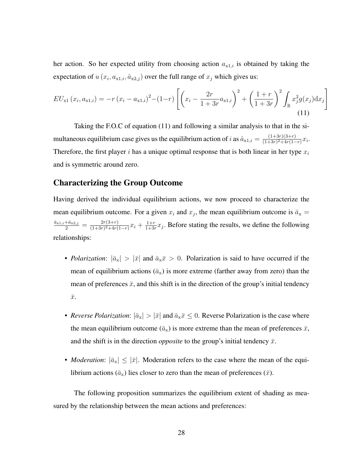her action. So her expected utility from choosing action  $a_{x1,i}$  is obtained by taking the expectation of  $u(x_i, a_{x1,i}, \hat{a}_{x2,j})$  over the full range of  $x_j$  which gives us:

$$
EU_{x1}(x_i, a_{x1,i}) = -r(x_i - a_{x1,i})^2 - (1-r)\left[ \left( x_i - \frac{2r}{1+3r} a_{x1,i} \right)^2 + \left( \frac{1+r}{1+3r} \right)^2 \int_{\mathbb{R}} x_j^2 g(x_j) dx_j \right]
$$
\n(11)

Taking the F.O.C of equation (11) and following a similar analysis to that in the simultaneous equilibrium case gives us the equilibrium action of i as  $\hat{a}_{x} = \frac{(1+3r)(3+r)}{(1+3r)^2+4r(1-r)}$  $\frac{(1+3r)(3+r)}{(1+3r)^2+4r(1-r)}x_i.$ Therefore, the first player i has a unique optimal response that is both linear in her type  $x_i$ and is symmetric around zero.

### Characterizing the Group Outcome

Having derived the individual equilibrium actions, we now proceed to characterize the mean equilibrium outcome. For a given  $x_i$  and  $x_j$ , the mean equilibrium outcome is  $\bar{a}_x =$  $\frac{\hat{a}_{x1,i}+\hat{a}_{x2,j}}{2} = \frac{2r(3+r)}{(1+3r)^2+4r(r)}$  $\frac{2r(3+r)}{(1+3r)^2+4r(1-r)}x_i+\frac{1+r}{1+3r}$  $\frac{1+r}{1+3r}x_j$ . Before stating the results, we define the following relationships:

- *Polarization*:  $|\bar{a}_x| > |\bar{x}|$  and  $\bar{a}_x \bar{x} > 0$ . Polarization is said to have occurred if the mean of equilibrium actions  $(\bar{a}_x)$  is more extreme (farther away from zero) than the mean of preferences  $\bar{x}$ , and this shift is in the direction of the group's initial tendency  $\bar{x}$ .
- *Reverse Polarization*:  $|\bar{a}_x| > |\bar{x}|$  and  $\bar{a}_x \bar{x} \leq 0$ . Reverse Polarization is the case where the mean equilibrium outcome  $(\bar{a}_x)$  is more extreme than the mean of preferences  $\bar{x}$ , and the shift is in the direction *opposite* to the group's initial tendency  $\bar{x}$ .
- *Moderation*:  $|\bar{a}_x| \leq |\bar{x}|$ . Moderation refers to the case where the mean of the equilibrium actions ( $\bar{a}_x$ ) lies closer to zero than the mean of preferences ( $\bar{x}$ ).

The following proposition summarizes the equilibrium extent of shading as measured by the relationship between the mean actions and preferences: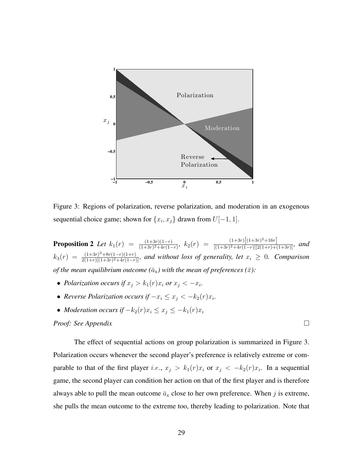

Figure 3: Regions of polarization, reverse polarization, and moderation in an exogenous sequential choice game; shown for  $\{x_i, x_j\}$  drawn from  $U[-1, 1]$ .

**Proposition 2** *Let*  $k_1(r) = \frac{(1+3r)(1-r)}{(1+3r)^2+4r(1-r)}$ ,  $k_2(r) = \frac{(1+3r)\left[(1+3r)^2+16r\right]}{[(1+3r)^2+4r(1-r)][2(1+r)+6r(1-r)]}$  $\frac{(1+3r)(1+3r)+10r}{[(1+3r)^2+4r(1-r)][2(1+r)+(1+3r)]}$ *, and*  $k_3(r) = \frac{(1+3r)^3 + 8r(1-r)(1+r)}{2(1+r)[(1+3r)^2 + 4r(1-r)}$  $\frac{(1+3r)^3+8r(1-r)(1+r)}{2(1+r)[(1+3r)^2+4r(1-r)]}$ , and without loss of generality, let  $x_i \geq 0$ . Comparison *of the mean equilibrium outcome* ( $\bar{a}_x$ ) with the mean of preferences ( $\bar{x}$ ):

- *Polarization occurs if*  $x_j > k_1(r)x_i$  *or*  $x_j < -x_i$ *.*
- *Reverse Polarization occurs if*  $-x_i \le x_j < -k_2(r)x_i$ .
- *Moderation occurs if*  $-k_2(r)x_i \le x_j \le -k_1(r)x_i$

#### *Proof: See Appendix*

The effect of sequential actions on group polarization is summarized in Figure 3. Polarization occurs whenever the second player's preference is relatively extreme or comparable to that of the first player *i.e.*,  $x_j > k_1(r)x_i$  or  $x_j < -k_2(r)x_i$ . In a sequential game, the second player can condition her action on that of the first player and is therefore always able to pull the mean outcome  $\bar{a}_x$  close to her own preference. When j is extreme, she pulls the mean outcome to the extreme too, thereby leading to polarization. Note that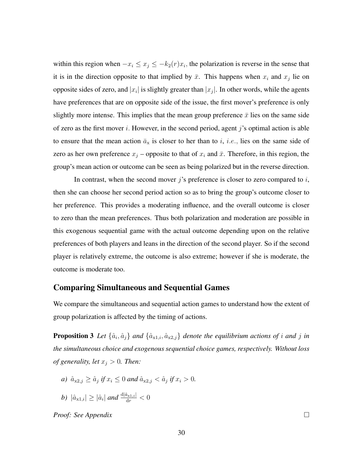within this region when  $-x_i \le x_j \le -k_2(r)x_i$ , the polarization is reverse in the sense that it is in the direction opposite to that implied by  $\bar{x}$ . This happens when  $x_i$  and  $x_j$  lie on opposite sides of zero, and  $|x_i|$  is slightly greater than  $|x_j|$ . In other words, while the agents have preferences that are on opposite side of the issue, the first mover's preference is only slightly more intense. This implies that the mean group preference  $\bar{x}$  lies on the same side of zero as the first mover i. However, in the second period, agent j's optimal action is able to ensure that the mean action  $\bar{a}_x$  is closer to her than to i, i.e., lies on the same side of zero as her own preference  $x_j$  – opposite to that of  $x_i$  and  $\bar{x}$ . Therefore, in this region, the group's mean action or outcome can be seen as being polarized but in the reverse direction.

In contrast, when the second mover j's preference is closer to zero compared to i, then she can choose her second period action so as to bring the group's outcome closer to her preference. This provides a moderating influence, and the overall outcome is closer to zero than the mean preferences. Thus both polarization and moderation are possible in this exogenous sequential game with the actual outcome depending upon on the relative preferences of both players and leans in the direction of the second player. So if the second player is relatively extreme, the outcome is also extreme; however if she is moderate, the outcome is moderate too.

### Comparing Simultaneous and Sequential Games

We compare the simultaneous and sequential action games to understand how the extent of group polarization is affected by the timing of actions.

**Proposition 3** Let  $\{\hat{a}_i, \hat{a}_j\}$  and  $\{\hat{a}_{x1,i}, \hat{a}_{x2,j}\}$  denote the equilibrium actions of i and j in *the simultaneous choice and exogenous sequential choice games, respectively. Without loss of generality, let*  $x_j > 0$ *. Then:* 

- *a*)  $\hat{a}_{x2,j} \ge \hat{a}_j$  if  $x_i \le 0$  and  $\hat{a}_{x2,j} < \hat{a}_j$  if  $x_i > 0$ .
- *b*)  $|\hat{a}_{x1,i}| \geq |\hat{a}_i|$  and  $\frac{d|\hat{a}_{x1,i}|}{dr} < 0$

*Proof: See Appendix*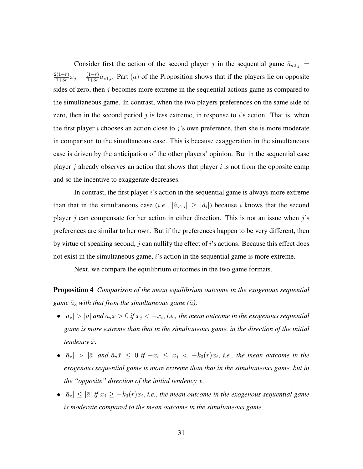Consider first the action of the second player j in the sequential game  $\hat{a}_{x2,j}$  =  $2(1+r)$  $\frac{2(1+r)}{1+3r}x_j - \frac{(1-r)}{1+3r}$  $\frac{(1-r)}{1+3r}\hat{a}_{x1,i}$ . Part  $(a)$  of the Proposition shows that if the players lie on opposite sides of zero, then  $j$  becomes more extreme in the sequential actions game as compared to the simultaneous game. In contrast, when the two players preferences on the same side of zero, then in the second period j is less extreme, in response to i's action. That is, when the first player i chooses an action close to j's own preference, then she is more moderate in comparison to the simultaneous case. This is because exaggeration in the simultaneous case is driven by the anticipation of the other players' opinion. But in the sequential case player  $j$  already observes an action that shows that player  $i$  is not from the opposite camp and so the incentive to exaggerate decreases.

In contrast, the first player  $i$ 's action in the sequential game is always more extreme than that in the simultaneous case (*i.e.*,  $|\hat{a}_{x1,i}| \geq |\hat{a}_i|$ ) because *i* knows that the second player j can compensate for her action in either direction. This is not an issue when j's preferences are similar to her own. But if the preferences happen to be very different, then by virtue of speaking second,  $j$  can nullify the effect of  $i$ 's actions. Because this effect does not exist in the simultaneous game, *i*'s action in the sequential game is more extreme.

Next, we compare the equilibrium outcomes in the two game formats.

Proposition 4 *Comparison of the mean equilibrium outcome in the exogenous sequential game*  $\bar{a}_x$  *with that from the simultaneous game* ( $\bar{a}$ *)*:

- $|\bar{a}_{x}| > |\bar{a}|$  and  $\bar{a}_{x}\bar{x} > 0$  if  $x_{j} < -x_{i}$ , *i.e., the mean outcome in the exogenous sequential game is more extreme than that in the simultaneous game, in the direction of the initial tendency*  $\bar{x}$ *.*
- $|\bar{a}_x| > |\bar{a}|$  and  $\bar{a}_x \bar{x} \leq 0$  if  $-x_i \leq x_j < -k_3(r)x_i$ , *i.e.*, the mean outcome in the *exogenous sequential game is more extreme than that in the simultaneous game, but in the "opposite" direction of the initial tendency*  $\bar{x}$ *.*
- $|\bar{a}_x| \leq |\bar{a}|$  if  $x_j \geq -k_3(r)x_i$ , *i.e., the mean outcome in the exogenous sequential game is moderate compared to the mean outcome in the simultaneous game,*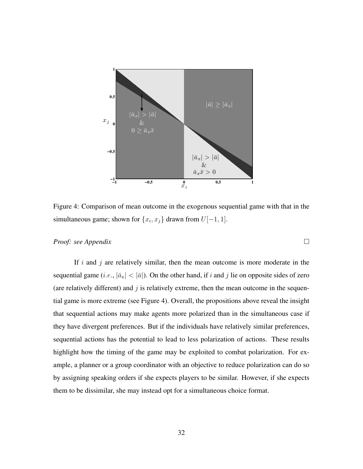

Figure 4: Comparison of mean outcome in the exogenous sequential game with that in the simultaneous game; shown for  $\{x_i, x_j\}$  drawn from  $U[-1, 1]$ .

#### *Proof: see Appendix*

If i and j are relatively similar, then the mean outcome is more moderate in the sequential game (*i.e.*,  $|\bar{a}_x| < |\bar{a}|$ ). On the other hand, if *i* and *j* lie on opposite sides of zero (are relatively different) and  $j$  is relatively extreme, then the mean outcome in the sequential game is more extreme (see Figure 4). Overall, the propositions above reveal the insight that sequential actions may make agents more polarized than in the simultaneous case if they have divergent preferences. But if the individuals have relatively similar preferences, sequential actions has the potential to lead to less polarization of actions. These results highlight how the timing of the game may be exploited to combat polarization. For example, a planner or a group coordinator with an objective to reduce polarization can do so by assigning speaking orders if she expects players to be similar. However, if she expects them to be dissimilar, she may instead opt for a simultaneous choice format.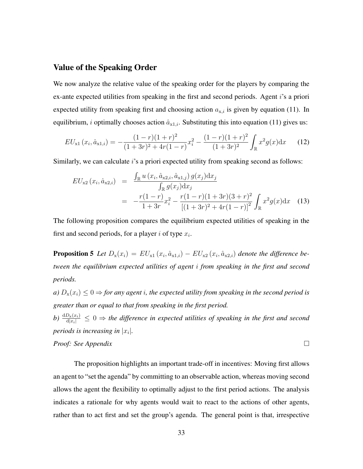### Value of the Speaking Order

We now analyze the relative value of the speaking order for the players by comparing the ex-ante expected utilities from speaking in the first and second periods. Agent i's a priori expected utility from speaking first and choosing action  $a_{x,i}$  is given by equation (11). In equilibrium, *i* optimally chooses action  $\hat{a}_{x1,i}$ . Substituting this into equation (11) gives us:

$$
EU_{x1}(x_i, \hat{a}_{x1,i}) = -\frac{(1-r)(1+r)^2}{(1+3r)^2 + 4r(1-r)}x_i^2 - \frac{(1-r)(1+r)^2}{(1+3r)^2} \int_{\mathbb{R}} x^2 g(x) dx \qquad (12)
$$

Similarly, we can calculate i's a priori expected utility from speaking second as follows:

$$
EU_{x2}(x_i, \hat{a}_{x2,i}) = \frac{\int_{\mathbb{R}} u(x_i, \hat{a}_{x2,i}, \hat{a}_{x1,j}) g(x_j) dx_j}{\int_{\mathbb{R}} g(x_j) dx_j}
$$
  
= 
$$
-\frac{r(1-r)}{1+3r} x_i^2 - \frac{r(1-r)(1+3r)(3+r)^2}{[(1+3r)^2+4r(1-r)]^2} \int_{\mathbb{R}} x^2 g(x) dx
$$
 (13)

The following proposition compares the equilibrium expected utilities of speaking in the first and second periods, for a player i of type  $x_i$ .

**Proposition 5** Let  $D_x(x_i) = EU_{x1}(x_i, \hat{a}_{x1,i}) - EU_{x2}(x_i, \hat{a}_{x2,i})$  denote the difference be*tween the equilibrium expected utilities of agent* i *from speaking in the first and second periods.*

*a)*  $D_x(x_i) \leq 0 \Rightarrow$  *for any agent i, the expected utility from speaking in the second period is greater than or equal to that from speaking in the first period.*

*b*)  $\frac{dD_x(x_i)}{d|x_i|} \leq 0 \Rightarrow$  *the difference in expected utilities of speaking in the first and second periods is increasing in*  $|x_i|$ .

*Proof:* See Appendix 
$$
\Box
$$

The proposition highlights an important trade-off in incentives: Moving first allows an agent to "set the agenda" by committing to an observable action, whereas moving second allows the agent the flexibility to optimally adjust to the first period actions. The analysis indicates a rationale for why agents would wait to react to the actions of other agents, rather than to act first and set the group's agenda. The general point is that, irrespective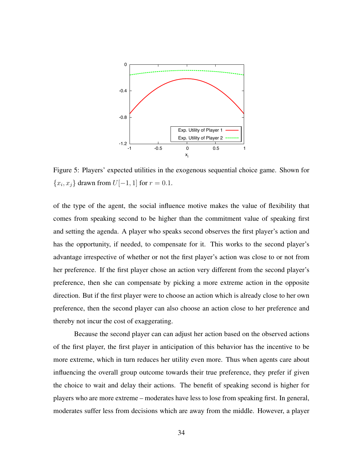

Figure 5: Players' expected utilities in the exogenous sequential choice game. Shown for  ${x_i, x_j}$  drawn from  $U[-1, 1]$  for  $r = 0.1$ .

of the type of the agent, the social influence motive makes the value of flexibility that comes from speaking second to be higher than the commitment value of speaking first and setting the agenda. A player who speaks second observes the first player's action and has the opportunity, if needed, to compensate for it. This works to the second player's advantage irrespective of whether or not the first player's action was close to or not from her preference. If the first player chose an action very different from the second player's preference, then she can compensate by picking a more extreme action in the opposite direction. But if the first player were to choose an action which is already close to her own preference, then the second player can also choose an action close to her preference and thereby not incur the cost of exaggerating.

Because the second player can can adjust her action based on the observed actions of the first player, the first player in anticipation of this behavior has the incentive to be more extreme, which in turn reduces her utility even more. Thus when agents care about influencing the overall group outcome towards their true preference, they prefer if given the choice to wait and delay their actions. The benefit of speaking second is higher for players who are more extreme – moderates have less to lose from speaking first. In general, moderates suffer less from decisions which are away from the middle. However, a player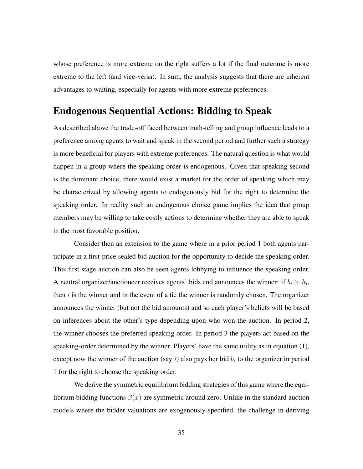whose preference is more extreme on the right suffers a lot if the final outcome is more extreme to the left (and vice-versa). In sum, the analysis suggests that there are inherent advantages to waiting, especially for agents with more extreme preferences.

### Endogenous Sequential Actions: Bidding to Speak

As described above the trade-off faced between truth-telling and group influence leads to a preference among agents to wait and speak in the second period and further such a strategy is more beneficial for players with extreme preferences. The natural question is what would happen in a group where the speaking order is endogenous. Given that speaking second is the dominant choice, there would exist a market for the order of speaking which may be characterized by allowing agents to endogenously bid for the right to determine the speaking order. In reality such an endogenous choice game implies the idea that group members may be willing to take costly actions to determine whether they are able to speak in the most favorable position.

Consider then an extension to the game where in a prior period 1 both agents participate in a first-price sealed bid auction for the opportunity to decide the speaking order. This first stage auction can also be seen agents lobbying to influence the speaking order. A neutral organizer/auctioneer receives agents' bids and announces the winner: if  $b_i > b_j$ , then  $i$  is the winner and in the event of a tie the winner is randomly chosen. The organizer announces the winner (but not the bid amounts) and so each player's beliefs will be based on inferences about the other's type depending upon who won the auction. In period 2, the winner chooses the preferred speaking order. In period 3 the players act based on the speaking-order determined by the winner. Players' have the same utility as in equation (1), except now the winner of the auction (say i) also pays her bid  $b_i$  to the organizer in period 1 for the right to choose the speaking order.

We derive the symmetric equilibrium bidding strategies of this game where the equilibrium bidding functions  $\beta(x)$  are symmetric around zero. Unlike in the standard auction models where the bidder valuations are exogenously specified, the challenge in deriving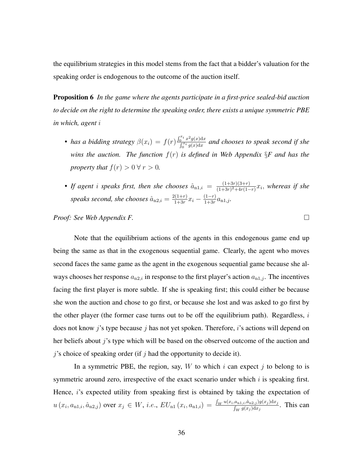the equilibrium strategies in this model stems from the fact that a bidder's valuation for the speaking order is endogenous to the outcome of the auction itself.

Proposition 6 *In the game where the agents participate in a first-price sealed-bid auction to decide on the right to determine the speaking order, there exists a unique symmetric PBE in which, agent* i

- *has a bidding strategy*  $\beta(x_i) = f(r) \frac{\int_0^{x_i} x^2 g(x) dx}{\int_0^{x_i} g(x) dx}$  $\frac{\int_{0}^{\infty}x^{-}g(x)\mathrm{d}x}{\int_{0}^{\pi i}g(x)\mathrm{d}x}$  and chooses to speak second if she *wins the auction. The function*  $f(r)$  *is defined in Web Appendix*  $\S F$  *and has the property that*  $f(r) > 0 \forall r > 0$ *.*
- If agent *i* speaks first, then she chooses  $\hat{a}_{n1,i} = \frac{(1+3r)(3+r)}{(1+3r)^2+4r(1-r)}$  $\frac{(1+3r)(3+r)}{(1+3r)^2+4r(1-r)}x_i$ , whereas if she speaks second, she chooses  $\hat{a}_{n2,i} = \frac{2(1+r)}{1+3r}$  $\frac{2(1+r)}{1+3r}x_i - \frac{(1-r)}{1+3r}$  $\frac{(1-r)}{1+3r}a_{n1,j}$ .

*Proof: See Web Appendix F.*

Note that the equilibrium actions of the agents in this endogenous game end up being the same as that in the exogenous sequential game. Clearly, the agent who moves second faces the same game as the agent in the exogenous sequential game because she always chooses her response  $a_{n2,i}$  in response to the first player's action  $a_{n1,i}$ . The incentives facing the first player is more subtle. If she is speaking first; this could either be because she won the auction and chose to go first, or because she lost and was asked to go first by the other player (the former case turns out to be off the equilibrium path). Regardless,  $i$ does not know  $j$ 's type because  $j$  has not yet spoken. Therefore,  $i$ 's actions will depend on her beliefs about j's type which will be based on the observed outcome of the auction and  $j$ 's choice of speaking order (if  $j$  had the opportunity to decide it).

In a symmetric PBE, the region, say,  $W$  to which  $i$  can expect  $j$  to belong to is symmetric around zero, irrespective of the exact scenario under which  $i$  is speaking first. Hence, i's expected utility from speaking first is obtained by taking the expectation of  $u(x_i, a_{n1,i}, \hat{a}_{n2,j})$  over  $x_j \in W$ , *i.e.*,  $EU_{n1}(x_i, a_{n1,i}) = \frac{\int_W u(x_i, a_{n1,i}, \hat{a}_{n2,j}) g(x_j) dx_j}{\int_W g(x_j) dx_j}$ . This can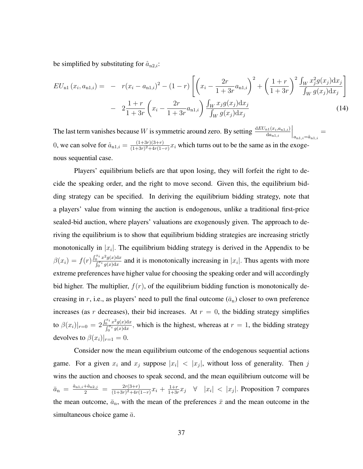be simplified by substituting for  $\hat{a}_{n2,i}$ :

$$
EU_{n1}(x_i, a_{n1,i}) = -r(x_i - a_{n1,i})^2 - (1 - r) \left[ \left( x_i - \frac{2r}{1 + 3r} a_{n1,i} \right)^2 + \left( \frac{1 + r}{1 + 3r} \right)^2 \frac{\int_W x_j^2 g(x_j) dx_j}{\int_W g(x_j) dx_j} \right] - 2 \frac{1 + r}{1 + 3r} \left( x_i - \frac{2r}{1 + 3r} a_{n1,i} \right) \frac{\int_W x_j g(x_j) dx_j}{\int_W g(x_j) dx_j} \tag{14}
$$

The last term vanishes because W is symmetric around zero. By setting  $\frac{dEU_{n1}(x_i,a_{n1,i})}{da_{n1,i}}$  $\bigg\vert_{a_{\mathrm{n}1,i}=\hat{a}_{\mathrm{n}1,i}}$ = 0, we can solve for  $\hat{a}_{n1,i} = \frac{(1+3r)(3+r)}{(1+3r)^2+4r(1-r)}$  $\frac{(1+3r)(3+r)}{(1+3r)^2+4r(1-r)}x_i$  which turns out to be the same as in the exogenous sequential case.

Players' equilibrium beliefs are that upon losing, they will forfeit the right to decide the speaking order, and the right to move second. Given this, the equilibrium bidding strategy can be specified. In deriving the equilibrium bidding strategy, note that a players' value from winning the auction is endogenous, unlike a traditional first-price sealed-bid auction, where players' valuations are exogenously given. The approach to deriving the equilibrium is to show that equilibrium bidding strategies are increasing strictly monotonically in  $|x_i|$ . The equilibrium bidding strategy is derived in the Appendix to be  $\beta(x_i) = f(r) \frac{\int_0^{x_i} x^2 g(x) dx}{\int_0^{x_i} g(x) dx}$  $\int_0^{\infty} \frac{x - g(x) \, dx}{\int_0^{\pi i} g(x) \, dx}$  and it is monotonically increasing in  $|x_i|$ . Thus agents with more extreme preferences have higher value for choosing the speaking order and will accordingly bid higher. The multiplier,  $f(r)$ , of the equilibrium bidding function is monotonically decreasing in r, i.e., as players' need to pull the final outcome  $(\bar{a}_n)$  closer to own preference increases (as r decreases), their bid increases. At  $r = 0$ , the bidding strategy simplifies to  $\beta(x_i)|_{r=0} = 2 \frac{\int_0^{x_i} x^2 g(x) dx}{\int_0^{x_i} g(x) dx}$  $\int_{0}^{\infty} \frac{x - g(x) \, dx}{\int_{0}^{\pi} g(x) \, dx}$ , which is the highest, whereas at  $r = 1$ , the bidding strategy devolves to  $\beta(x_i)|_{r=1} = 0$ .

Consider now the mean equilibrium outcome of the endogenous sequential actions game. For a given  $x_i$  and  $x_j$  suppose  $|x_i| < |x_j|$ , without loss of generality. Then j wins the auction and chooses to speak second, and the mean equilibrium outcome will be  $\bar{a}_{\rm n} = \frac{\hat{a}_{\rm n1,i} + \hat{a}_{\rm n2,j}}{2} = \frac{2r(3+r)}{(1+3r)^2+4r(r)}$  $\frac{2r(3+r)}{(1+3r)^2+4r(1-r)}x_i + \frac{1+r}{1+3r}$  $\frac{1+r}{1+3r}x_j \quad \forall \quad |x_i| < |x_j|$ . Proposition 7 compares the mean outcome,  $\bar{a}_{n}$ , with the mean of the preferences  $\bar{x}$  and the mean outcome in the simultaneous choice game  $\bar{a}$ .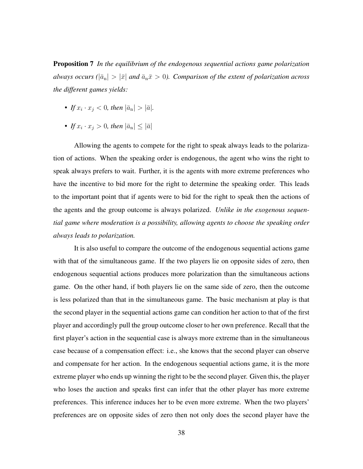Proposition 7 *In the equilibrium of the endogenous sequential actions game polarization always occurs* ( $|\bar{a}_{n}| > |\bar{x}|$  *and*  $\bar{a}_{n}\bar{x} > 0$ *). Comparison of the extent of polarization across the different games yields:*

- If  $x_i \cdot x_j < 0$ , then  $|\bar{a}_n| > |\bar{a}|$ .
- If  $x_i \cdot x_j > 0$ , then  $|\bar{a}_n| \leq |\bar{a}|$

Allowing the agents to compete for the right to speak always leads to the polarization of actions. When the speaking order is endogenous, the agent who wins the right to speak always prefers to wait. Further, it is the agents with more extreme preferences who have the incentive to bid more for the right to determine the speaking order. This leads to the important point that if agents were to bid for the right to speak then the actions of the agents and the group outcome is always polarized. *Unlike in the exogenous sequential game where moderation is a possibility, allowing agents to choose the speaking order always leads to polarization.*

It is also useful to compare the outcome of the endogenous sequential actions game with that of the simultaneous game. If the two players lie on opposite sides of zero, then endogenous sequential actions produces more polarization than the simultaneous actions game. On the other hand, if both players lie on the same side of zero, then the outcome is less polarized than that in the simultaneous game. The basic mechanism at play is that the second player in the sequential actions game can condition her action to that of the first player and accordingly pull the group outcome closer to her own preference. Recall that the first player's action in the sequential case is always more extreme than in the simultaneous case because of a compensation effect: i.e., she knows that the second player can observe and compensate for her action. In the endogenous sequential actions game, it is the more extreme player who ends up winning the right to be the second player. Given this, the player who loses the auction and speaks first can infer that the other player has more extreme preferences. This inference induces her to be even more extreme. When the two players' preferences are on opposite sides of zero then not only does the second player have the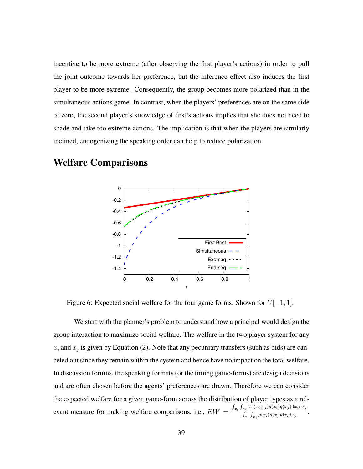incentive to be more extreme (after observing the first player's actions) in order to pull the joint outcome towards her preference, but the inference effect also induces the first player to be more extreme. Consequently, the group becomes more polarized than in the simultaneous actions game. In contrast, when the players' preferences are on the same side of zero, the second player's knowledge of first's actions implies that she does not need to shade and take too extreme actions. The implication is that when the players are similarly inclined, endogenizing the speaking order can help to reduce polarization.



### Welfare Comparisons

Figure 6: Expected social welfare for the four game forms. Shown for  $U[-1, 1]$ .

We start with the planner's problem to understand how a principal would design the group interaction to maximize social welfare. The welfare in the two player system for any  $x_i$  and  $x_j$  is given by Equation (2). Note that any pecuniary transfers (such as bids) are canceled out since they remain within the system and hence have no impact on the total welfare. In discussion forums, the speaking formats (or the timing game-forms) are design decisions and are often chosen before the agents' preferences are drawn. Therefore we can consider the expected welfare for a given game-form across the distribution of player types as a relevant measure for making welfare comparisons, i.e.,  $EW = \frac{\int_{x_i} \int_{x_j} W(x_i, x_j) g(x_i) g(x_j) dx_i dx_j}{\int_{x_j} \int_{x_j} g(x_j) g(x_j) dx_j dx_j}$  $\frac{\int_{x_j} f_{x_j} g(x_i)g(x_j) \mathrm{d}x_i \mathrm{d}x_j}{\int_{x_i} \int_{x_j} g(x_i)g(x_j) \mathrm{d}x_i \mathrm{d}x_j}.$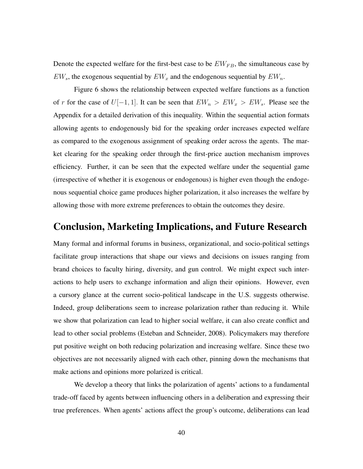Denote the expected welfare for the first-best case to be  $EW_{FB}$ , the simultaneous case by  $EW_s$ , the exogenous sequential by  $EW_x$  and the endogenous sequential by  $EW_n$ .

Figure 6 shows the relationship between expected welfare functions as a function of r for the case of  $U[-1, 1]$ . It can be seen that  $EW_n > EW_s$ . Please see the Appendix for a detailed derivation of this inequality. Within the sequential action formats allowing agents to endogenously bid for the speaking order increases expected welfare as compared to the exogenous assignment of speaking order across the agents. The market clearing for the speaking order through the first-price auction mechanism improves efficiency. Further, it can be seen that the expected welfare under the sequential game (irrespective of whether it is exogenous or endogenous) is higher even though the endogenous sequential choice game produces higher polarization, it also increases the welfare by allowing those with more extreme preferences to obtain the outcomes they desire.

### Conclusion, Marketing Implications, and Future Research

Many formal and informal forums in business, organizational, and socio-political settings facilitate group interactions that shape our views and decisions on issues ranging from brand choices to faculty hiring, diversity, and gun control. We might expect such interactions to help users to exchange information and align their opinions. However, even a cursory glance at the current socio-political landscape in the U.S. suggests otherwise. Indeed, group deliberations seem to increase polarization rather than reducing it. While we show that polarization can lead to higher social welfare, it can also create conflict and lead to other social problems (Esteban and Schneider, 2008). Policymakers may therefore put positive weight on both reducing polarization and increasing welfare. Since these two objectives are not necessarily aligned with each other, pinning down the mechanisms that make actions and opinions more polarized is critical.

We develop a theory that links the polarization of agents' actions to a fundamental trade-off faced by agents between influencing others in a deliberation and expressing their true preferences. When agents' actions affect the group's outcome, deliberations can lead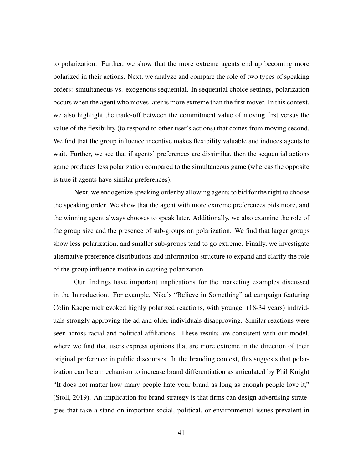to polarization. Further, we show that the more extreme agents end up becoming more polarized in their actions. Next, we analyze and compare the role of two types of speaking orders: simultaneous vs. exogenous sequential. In sequential choice settings, polarization occurs when the agent who moves later is more extreme than the first mover. In this context, we also highlight the trade-off between the commitment value of moving first versus the value of the flexibility (to respond to other user's actions) that comes from moving second. We find that the group influence incentive makes flexibility valuable and induces agents to wait. Further, we see that if agents' preferences are dissimilar, then the sequential actions game produces less polarization compared to the simultaneous game (whereas the opposite is true if agents have similar preferences).

Next, we endogenize speaking order by allowing agents to bid for the right to choose the speaking order. We show that the agent with more extreme preferences bids more, and the winning agent always chooses to speak later. Additionally, we also examine the role of the group size and the presence of sub-groups on polarization. We find that larger groups show less polarization, and smaller sub-groups tend to go extreme. Finally, we investigate alternative preference distributions and information structure to expand and clarify the role of the group influence motive in causing polarization.

Our findings have important implications for the marketing examples discussed in the Introduction. For example, Nike's "Believe in Something" ad campaign featuring Colin Kaepernick evoked highly polarized reactions, with younger (18-34 years) individuals strongly approving the ad and older individuals disapproving. Similar reactions were seen across racial and political affiliations. These results are consistent with our model, where we find that users express opinions that are more extreme in the direction of their original preference in public discourses. In the branding context, this suggests that polarization can be a mechanism to increase brand differentiation as articulated by Phil Knight "It does not matter how many people hate your brand as long as enough people love it," (Stoll, 2019). An implication for brand strategy is that firms can design advertising strategies that take a stand on important social, political, or environmental issues prevalent in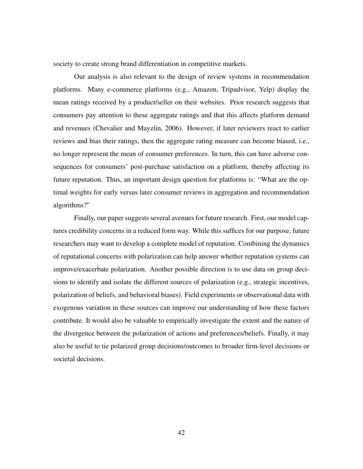society to create strong brand differentiation in competitive markets.

Our analysis is also relevant to the design of review systems in recommendation platforms. Many e-commerce platforms (e.g., Amazon, Tripadvisor, Yelp) display the mean ratings received by a product/seller on their websites. Prior research suggests that consumers pay attention to these aggregate ratings and that this affects platform demand and revenues (Chevalier and Mayzlin, 2006). However, if later reviewers react to earlier reviews and bias their ratings, then the aggregate rating measure can become biased, i.e., no longer represent the mean of consumer preferences. In turn, this can have adverse consequences for consumers' post-purchase satisfaction on a platform, thereby affecting its future reputation. Thus, an important design question for platforms is: "What are the optimal weights for early versus later consumer reviews in aggregation and recommendation algorithms?"

Finally, our paper suggests several avenues for future research. First, our model captures credibility concerns in a reduced form way. While this suffices for our purpose, future researchers may want to develop a complete model of reputation. Combining the dynamics of reputational concerns with polarization can help answer whether reputation systems can improve/exacerbate polarization. Another possible direction is to use data on group decisions to identify and isolate the different sources of polarization (e.g., strategic incentives, polarization of beliefs, and behavioral biases). Field experiments or observational data with exogenous variation in these sources can improve our understanding of how these factors contribute. It would also be valuable to empirically investigate the extent and the nature of the divergence between the polarization of actions and preferences/beliefs. Finally, it may also be useful to tie polarized group decisions/outcomes to broader firm-level decisions or societal decisions.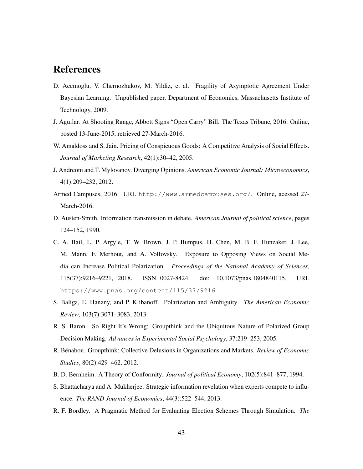### References

- D. Acemoglu, V. Chernozhukov, M. Yildiz, et al. Fragility of Asymptotic Agreement Under Bayesian Learning. Unpublished paper, Department of Economics, Massachusetts Institute of Technology, 2009.
- J. Aguilar. At Shooting Range, Abbott Signs "Open Carry" Bill. The Texas Tribune, 2016. Online, posted 13-June-2015, retrieved 27-March-2016.
- W. Amaldoss and S. Jain. Pricing of Conspicuous Goods: A Competitive Analysis of Social Effects. *Journal of Marketing Research*, 42(1):30–42, 2005.
- J. Andreoni and T. Mylovanov. Diverging Opinions. *American Economic Journal: Microeconomics*, 4(1):209–232, 2012.
- Armed Campuses, 2016. URL http://www.armedcampuses.org/. Online, acessed 27- March-2016.
- D. Austen-Smith. Information transmission in debate. *American Journal of political science*, pages 124–152, 1990.
- C. A. Bail, L. P. Argyle, T. W. Brown, J. P. Bumpus, H. Chen, M. B. F. Hunzaker, J. Lee, M. Mann, F. Merhout, and A. Volfovsky. Exposure to Opposing Views on Social Media can Increase Political Polarization. *Proceedings of the National Academy of Sciences*, 115(37):9216–9221, 2018. ISSN 0027-8424. doi: 10.1073/pnas.1804840115. URL https://www.pnas.org/content/115/37/9216.
- S. Baliga, E. Hanany, and P. Klibanoff. Polarization and Ambiguity. *The American Economic Review*, 103(7):3071–3083, 2013.
- R. S. Baron. So Right It's Wrong: Groupthink and the Ubiquitous Nature of Polarized Group Decision Making. *Advances in Experimental Social Psychology*, 37:219–253, 2005.
- R. Bénabou. Groupthink: Collective Delusions in Organizations and Markets. *Review of Economic Studies*, 80(2):429–462, 2012.
- B. D. Bernheim. A Theory of Conformity. *Journal of political Economy*, 102(5):841–877, 1994.
- S. Bhattacharya and A. Mukherjee. Strategic information revelation when experts compete to influence. *The RAND Journal of Economics*, 44(3):522–544, 2013.
- R. F. Bordley. A Pragmatic Method for Evaluating Election Schemes Through Simulation. *The*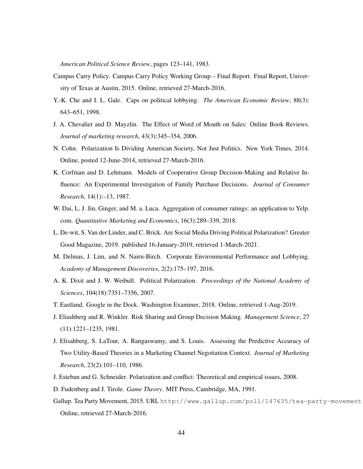*American Political Science Review*, pages 123–141, 1983.

- Campus Carry Policy. Campus Carry Policy Working Group Final Report. Final Report, University of Texas at Austin, 2015. Online, retrieved 27-March-2016.
- Y.-K. Che and I. L. Gale. Caps on political lobbying. *The American Economic Review*, 88(3): 643–651, 1998.
- J. A. Chevalier and D. Mayzlin. The Effect of Word of Mouth on Sales: Online Book Reviews. *Journal of marketing research*, 43(3):345–354, 2006.
- N. Cohn. Polarization Is Dividing American Society, Not Just Politics. New York Times, 2014. Online, posted 12-June-2014, retrieved 27-March-2016.
- K. Corfman and D. Lehmann. Models of Cooperative Group Decision-Making and Relative Influence: An Experimental Investigation of Family Purchase Decisions. *Journal of Consumer Research*, 14(1):–13, 1987.
- W. Dai, L. J. Jin, Ginger, and M. a. Luca. Aggregation of consumer ratings: an application to Yelp. com. *Quantitative Marketing and Economics*, 16(3):289–339, 2018.
- L. De-wit, S. Van der Linder, and C. Brick. Are Social Media Driving Political Polarization? Greater Good Magazine, 2019. published 16-January-2019, retrieved 1-March-2021.
- M. Delmas, J. Lim, and N. Nairn-Birch. Corporate Environmental Performance and Lobbying. *Academy of Management Discoveries*, 2(2):175–197, 2016.
- A. K. Dixit and J. W. Weibull. Political Polarization. *Proceedings of the National Academy of Sciences*, 104(18):7351–7356, 2007.
- T. Eastland. Google in the Dock. Washington Examiner, 2018. Online, retrieved 1-Aug-2019.
- J. Eliashberg and R. Winkler. Risk Sharing and Group Decision Making. *Management Science*, 27 (11):1221–1235, 1981.
- J. Elisahberg, S. LaTour, A. Rangaswamy, and S. Louis. Assessing the Predictive Accuracy of Two Utility-Based Theories in a Marketing Channel Negotiation Context. *Journal of Marketing Research*, 23(2):101–110, 1986.
- J. Esteban and G. Schneider. Polarization and conflict: Theoretical and empirical issues, 2008.
- D. Fudenberg and J. Tirole. *Game Theory*. MIT Press, Cambridge, MA, 1991.
- Gallup. Tea Party Movement, 2015. URL http://www.gallup.com/poll/147635/tea-party-movement Online, retrieved 27-March-2016.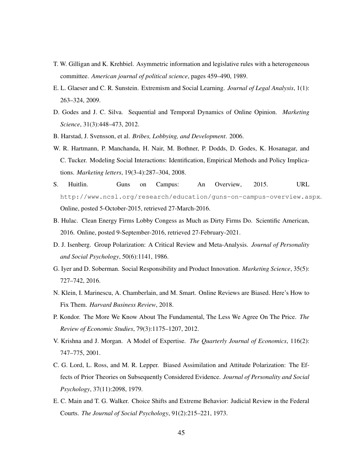- T. W. Gilligan and K. Krehbiel. Asymmetric information and legislative rules with a heterogeneous committee. *American journal of political science*, pages 459–490, 1989.
- E. L. Glaeser and C. R. Sunstein. Extremism and Social Learning. *Journal of Legal Analysis*, 1(1): 263–324, 2009.
- D. Godes and J. C. Silva. Sequential and Temporal Dynamics of Online Opinion. *Marketing Science*, 31(3):448–473, 2012.
- B. Harstad, J. Svensson, et al. *Bribes, Lobbying, and Development*. 2006.
- W. R. Hartmann, P. Manchanda, H. Nair, M. Bothner, P. Dodds, D. Godes, K. Hosanagar, and C. Tucker. Modeling Social Interactions: Identification, Empirical Methods and Policy Implications. *Marketing letters*, 19(3-4):287–304, 2008.
- S. Huitlin. Guns on Campus: An Overview, 2015. URL http://www.ncsl.org/research/education/guns-on-campus-overview.aspx. Online, posted 5-October-2015, retrieved 27-March-2016.
- B. Hulac. Clean Energy Firms Lobby Congess as Much as Dirty Firms Do. Scientific American, 2016. Online, posted 9-September-2016, retrieved 27-February-2021.
- D. J. Isenberg. Group Polarization: A Critical Review and Meta-Analysis. *Journal of Personality and Social Psychology*, 50(6):1141, 1986.
- G. Iyer and D. Soberman. Social Responsibility and Product Innovation. *Marketing Science*, 35(5): 727–742, 2016.
- N. Klein, I. Marinescu, A. Chamberlain, and M. Smart. Online Reviews are Biased. Here's How to Fix Them. *Harvard Business Review*, 2018.
- P. Kondor. The More We Know About The Fundamental, The Less We Agree On The Price. *The Review of Economic Studies*, 79(3):1175–1207, 2012.
- V. Krishna and J. Morgan. A Model of Expertise. *The Quarterly Journal of Economics*, 116(2): 747–775, 2001.
- C. G. Lord, L. Ross, and M. R. Lepper. Biased Assimilation and Attitude Polarization: The Effects of Prior Theories on Subsequently Considered Evidence. *Journal of Personality and Social Psychology*, 37(11):2098, 1979.
- E. C. Main and T. G. Walker. Choice Shifts and Extreme Behavior: Judicial Review in the Federal Courts. *The Journal of Social Psychology*, 91(2):215–221, 1973.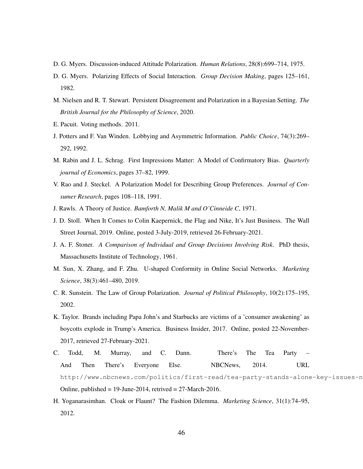- D. G. Myers. Discussion-induced Attitude Polarization. *Human Relations*, 28(8):699–714, 1975.
- D. G. Myers. Polarizing Effects of Social Interaction. *Group Decision Making*, pages 125–161, 1982.
- M. Nielsen and R. T. Stewart. Persistent Disagreement and Polarization in a Bayesian Setting. *The British Journal for the Philosophy of Science*, 2020.
- E. Pacuit. Voting methods. 2011.
- J. Potters and F. Van Winden. Lobbying and Asymmetric Information. *Public Choice*, 74(3):269– 292, 1992.
- M. Rabin and J. L. Schrag. First Impressions Matter: A Model of Confirmatory Bias. *Quarterly journal of Economics*, pages 37–82, 1999.
- V. Rao and J. Steckel. A Polarization Model for Describing Group Preferences. *Journal of Consumer Research*, pages 108–118, 1991.
- J. Rawls. A Theory of Justice. *Bamforth N, Malik M and O'Cinneide C*, 1971.
- J. D. Stoll. When It Comes to Colin Kaepernick, the Flag and Nike, It's Just Business. The Wall Street Journal, 2019. Online, posted 3-July-2019, retrieved 26-February-2021.
- J. A. F. Stoner. *A Comparison of Individual and Group Decisions Involving Risk*. PhD thesis, Massachusetts Institute of Technology, 1961.
- M. Sun, X. Zhang, and F. Zhu. U-shaped Conformity in Online Social Networks. *Marketing Science*, 38(3):461–480, 2019.
- C. R. Sunstein. The Law of Group Polarization. *Journal of Political Philosophy*, 10(2):175–195, 2002.
- K. Taylor. Brands including Papa John's and Starbucks are victims of a 'consumer awakening' as boycotts explode in Trump's America. Business Insider, 2017. Online, posted 22-November-2017, retrieved 27-February-2021.
- C. Todd, M. Murray, and C. Dann. There's The Tea Party And Then There's Everyone Else. NBCNews, 2014. URL http://www.nbcnews.com/politics/first-read/tea-party-stands-alone-key-issues-n Online, published =  $19$ -June-2014, retrived =  $27$ -March-2016.
- H. Yoganarasimhan. Cloak or Flaunt? The Fashion Dilemma. *Marketing Science*, 31(1):74–95, 2012.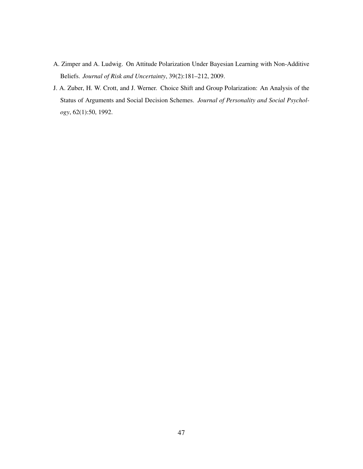- A. Zimper and A. Ludwig. On Attitude Polarization Under Bayesian Learning with Non-Additive Beliefs. *Journal of Risk and Uncertainty*, 39(2):181–212, 2009.
- J. A. Zuber, H. W. Crott, and J. Werner. Choice Shift and Group Polarization: An Analysis of the Status of Arguments and Social Decision Schemes. *Journal of Personality and Social Psychology*, 62(1):50, 1992.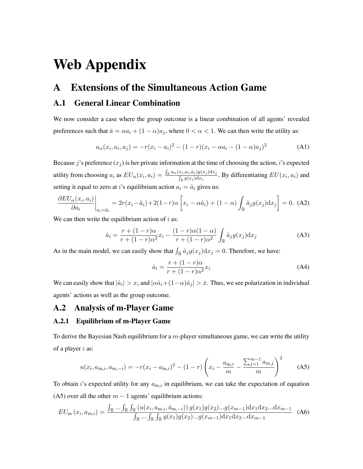# Web Appendix

### A Extensions of the Simultaneous Action Game

### A.1 General Linear Combination

We now consider a case where the group outcome is a linear combination of all agents' revealed preferences such that  $\bar{a} = \alpha a_i + (1 - \alpha)a_j$ , where  $0 < \alpha < 1$ . We can then write the utility as:

$$
u_{\alpha}(x_i, a_i, a_j) = -r(x_i - a_i)^2 - (1 - r)(x_i - \alpha a_i - (1 - \alpha)a_j)^2
$$
 (A1)

Because j's preference  $(x_i)$  is her private information at the time of choosing the action, i's expected utility from choosing  $a_i$  as  $EU_\alpha(x_i, a_i) = \frac{\int_{\mathbb{R}} u_\alpha(x_i, a_i, \hat{a}_j) g(x_j) dx_j}{\int_{\alpha(x_i)} d(x_i)}$  $\frac{L_{i},a_{i},a_{j},g(x_{j})dx_{j}}{\int_{\mathbb{R}} g(x_{j})dx_{j}}$ . By differentiating  $EU(x_{i},a_{i})$  and setting it equal to zero at *i*'s equilibrium action  $a_i = \hat{a}_i$  gives us:

$$
\frac{\partial EU_{\alpha}(x_i, a_i)}{\partial a_i}\bigg|_{a_i = \hat{a}_i} = 2r(x_i - \hat{a}_i) + 2(1 - r)\alpha \left[x_i - \alpha \hat{a}_i\right] + (1 - \alpha) \int_{\mathbb{R}} \hat{a}_j g(x_j) dx_j\bigg] = 0.
$$
 (A2)

We can then write the equilibrium action of  $i$  as:

$$
\hat{a}_i = \frac{r + (1 - r)\alpha}{r + (1 - r)\alpha^2} x_i - \frac{(1 - r)\alpha(1 - \alpha)}{r + (1 - r)\alpha^2} \int_{\mathbb{R}} \hat{a}_j g(x_j) dx_j
$$
\n(A3)

As in the main model, we can easily show that  $\int_{\mathbb{R}} \hat{a}_j g(x_j) dx_j = 0$ . Therefore, we have:

$$
\hat{a}_i = \frac{r + (1 - r)\alpha}{r + (1 - r)\alpha^2} x_i
$$
\n(A4)

We can easily show that  $|\hat{a}_i| > x_i$  and  $|\alpha \hat{a}_i + (1-\alpha)\hat{a}_j| > \bar{x}$ . Thus, we see polarization in individual agents' actions as well as the group outcome.

### A.2 Analysis of m-Player Game

#### A.2.1 Equilibrium of m-Player Game

To derive the Bayesian Nash equilibrium for a  $m$ -player simultaneous game, we can write the utility of a player  $i$  as:

$$
u(x_i, a_{m,i}, a_{m,-i}) = -r(x_i - a_{m,i})^2 - (1 - r) \left( x_i - \frac{a_{m,i}}{m} - \frac{\sum_{j=1}^{m-1} a_{m,j}}{m} \right)^2
$$
 (A5)

To obtain i's expected utility for any  $a_{m,i}$  in equilibrium, we can take the expectation of equation (A5) over all the other  $m - 1$  agents' equilibrium actions:

$$
EU_{\mathbf{m}}(x_i, a_{\mathbf{m},i}) = \frac{\int_{\mathbb{R}} \dots \int_{\mathbb{R}} \int_{\mathbb{R}} \left( u(x_i, a_{\mathbf{m},i}, \hat{a}_{\mathbf{m},-i}) \right) g(x_1) g(x_2) \dots g(x_{m-1}) dx_1 dx_2 \dots dx_{m-1}}{\int_{\mathbb{R}} \dots \int_{\mathbb{R}} \int_{\mathbb{R}} g(x_1) g(x_2) \dots g(x_{m-1}) dx_1 dx_2 \dots dx_{m-1}} \tag{A6}
$$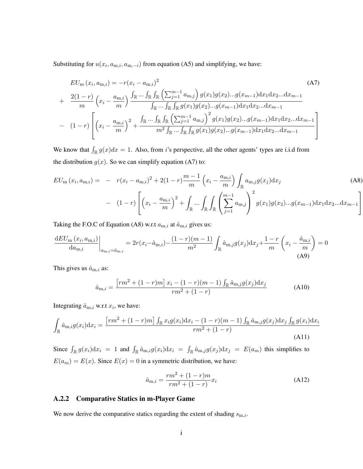Substituting for  $u(x_i, a_{m,i}, a_{m,-i})$  from equation (A5) and simplifying, we have:

$$
EU_{m}(x_{i}, a_{m,i}) = -r(x_{i} - a_{m,i})^{2}
$$
\n
$$
+ \frac{2(1-r)}{m} \left(x_{i} - \frac{a_{m,i}}{m}\right) \frac{\int_{\mathbb{R}} \cdots \int_{\mathbb{R}} \int_{\mathbb{R}} \left(\sum_{j=1}^{m-1} a_{m,j}\right) g(x_{1}) g(x_{2}) \dots g(x_{m-1}) dx_{1} dx_{2} \dots dx_{m-1}}{\int_{\mathbb{R}} \cdots \int_{\mathbb{R}} \int_{\mathbb{R}} g(x_{1}) g(x_{2}) \dots g(x_{m-1}) dx_{1} dx_{2} \dots dx_{m-1}}
$$
\n
$$
- (1-r) \left[ \left(x_{i} - \frac{a_{m,i}}{m}\right)^{2} + \frac{\int_{\mathbb{R}} \cdots \int_{\mathbb{R}} \int_{\mathbb{R}} \left(\sum_{j=1}^{m-1} a_{m,j}\right)^{2} g(x_{1}) g(x_{2}) \dots g(x_{m-1}) dx_{1} dx_{2} \dots dx_{m-1}}{\int_{\mathbb{R}} \int_{\mathbb{R}} \cdots \int_{\mathbb{R}} \int_{\mathbb{R}} g(x_{1}) g(x_{2}) \dots g(x_{m-1}) dx_{1} dx_{2} \dots dx_{m-1}} \right]
$$
\n(47)

We know that  $\int_{\mathbb{R}} g(x)dx = 1$ . Also, from i's perspective, all the other agents' types are i.i.d from the distribution  $g(x)$ . So we can simplify equation (A7) to:

$$
EU_{m}(x_{i}, a_{m,i}) = -r(x_{i} - a_{m,i})^{2} + 2(1 - r)\frac{m - 1}{m}\left(x_{i} - \frac{a_{m,i}}{m}\right)\int_{\mathbb{R}} a_{m,j}g(x_{j})dx_{j}
$$
(A8)  
- 
$$
(1 - r)\left[\left(x_{i} - \frac{a_{m,i}}{m}\right)^{2} + \int_{\mathbb{R}}...\int_{\mathbb{R}}\int_{\mathbb{R}}\left(\sum_{j=1}^{m-1}a_{m,j}\right)^{2}g(x_{1})g(x_{2})...g(x_{m-1})dx_{1}dx_{2}...dx_{m-1}\right]
$$

Taking the F.O.C of Equation (A8) w.r.t  $a_{m,i}$  at  $\hat{a}_{m,i}$  gives us:

$$
\frac{dEU_m(x_i, a_{m,i})}{da_{m,i}}\Big|_{a_{m,i}=\hat{a}_{m,i}} = 2r(x_i - \hat{a}_{m,i}) - \frac{(1-r)(m-1)}{m^2} \int_{\mathbb{R}} \hat{a}_{m,j} g(x_j) dx_j + \frac{1-r}{m} \left(x_i - \frac{\hat{a}_{m,i}}{m}\right) = 0
$$
\n(A9)

This gives us  $\hat{a}_{m,i}$  as:

$$
\hat{a}_{m,i} = \frac{\left[ rm^2 + (1-r)m \right] x_i - (1-r)(m-1) \int_{\mathbb{R}} \hat{a}_{m,j} g(x_j) dx_j}{rm^2 + (1-r)}
$$
(A10)

Integrating  $\hat{a}_{m,i}$  w.r.t  $x_i$ , we have:

$$
\int_{\mathbb{R}} \hat{a}_{m,i} g(x_i) dx_i = \frac{\left[ rm^2 + (1-r)m \right] \int_{\mathbb{R}} x_i g(x_i) dx_i - (1-r)(m-1) \int_{\mathbb{R}} \hat{a}_{m,j} g(x_j) dx_j \int_{\mathbb{R}} g(x_i) dx_i}{rm^2 + (1-r)}
$$
\n(A11)

Since  $\int_{\mathbb{R}} g(x_i) dx_i = 1$  and  $\int_{\mathbb{R}} \hat{a}_{m,i} g(x_i) dx_i = \int_{\mathbb{R}} \hat{a}_{m,j} g(x_j) dx_j = E(a_m)$  this simplifies to  $E(a_m) = E(x)$ . Since  $E(x) = 0$  in a symmetric distribution, we have:

$$
\hat{a}_{m,i} = \frac{rm^2 + (1 - r)m}{rm^2 + (1 - r)} x_i
$$
\n(A12)

#### A.2.2 Comparative Statics in m-Player Game

We now derive the comparative statics regarding the extent of shading  $s_{m,i}$ .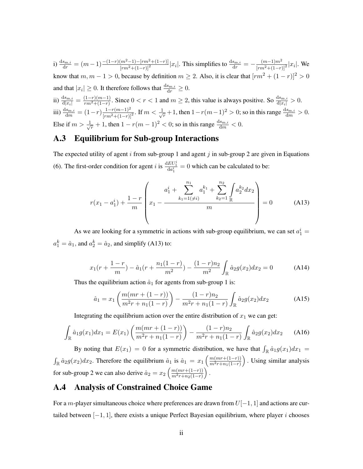i)  $\frac{ds_{m,i}}{dr} = (m-1) \frac{-(1-r)(m^2-1)-[rm^2+(1-r)]}{[rm^2+(1-r)]^2}|x_i|$ . This simplifies to  $\frac{ds_{m,i}}{dr} = -\frac{(m-1)m^2}{[rm^2+(1-r)]^2}|x_i|$ . We know that  $m, m - 1 > 0$ , because by definition  $m \ge 2$ . Also, it is clear that  $\lceil rm^2 + (1 - r) \rceil^2 > 0$ and that  $|x_i| \geq 0$ . It therefore follows that  $\frac{ds_{m,i}}{dr} \geq 0$ .

ii)  $\frac{ds_{m,i}}{d|x_i|} = \frac{(1-r)(m-1)}{rm^2+(1-r)}$  $\frac{(1-r)(m-1)}{rm^2+(1-r)}$ . Since  $0 < r < 1$  and  $m \ge 2$ , this value is always positive. So  $\frac{ds_{m,i}}{d|x_i|} > 0$ . iii)  $\frac{ds_{m,i}}{dm} = (1-r) \frac{1-r(m-1)^2}{[rm^2+(1-r)]^2}$ . If  $m < \frac{1}{\sqrt{2}}$  $\frac{1}{r}$  + 1, then  $1 - r(m-1)^2 > 0$ ; so in this range  $\frac{ds_{m,i}}{dm} > 0$ . Else if  $m > \frac{1}{\sqrt{2}}$  $\frac{1}{r}$  + 1, then  $1 - r(m-1)^2 < 0$ ; so in this range  $\frac{ds_{m,i}}{dm} < 0$ .

### A.3 Equilibrium for Sub-group Interactions

The expected utility of agent i from sub-group 1 and agent j in sub-group 2 are given in Equations (6). The first-order condition for agent *i* is  $\frac{dE U_1^i}{d a_1^i} = 0$  which can be calculated to be:

$$
r(x_1 - a_1^i) + \frac{1 - r}{m} \left( x_1 - \frac{a_1^i + \sum_{k_1=1}^{n_1} a_1^{k_1} + \sum_{k_2=1}^{n_2} \int_{\mathbb{R}} a_2^{k_2} dx_2}{m} \right) = 0 \quad (A13)
$$

As we are looking for a symmetric in actions with sub-group equilibrium, we can set  $a_1^i =$  $a_1^k = \hat{a}_1$ , and  $a_2^k = \hat{a}_2$ , and simplify (A13) to:

$$
x_1(r + \frac{1-r}{m}) - \hat{a}_1(r + \frac{n_1(1-r)}{m^2}) - \frac{(1-r)n_2}{m^2} \int_{\mathbb{R}} \hat{a}_2 g(x_2) dx_2 = 0 \tag{A14}
$$

Thus the equilibrium action  $\hat{a}_1$  for agents from sub-group 1 is:

$$
\hat{a}_1 = x_1 \left( \frac{m(mr + (1 - r))}{m^2r + n_1(1 - r)} \right) - \frac{(1 - r)n_2}{m^2r + n_1(1 - r)} \int_{\mathbb{R}} \hat{a}_2 g(x_2) dx_2 \tag{A15}
$$

Integrating the equilibrium action over the entire distribution of  $x_1$  we can get:

$$
\int_{\mathbb{R}} \hat{a}_1 g(x_1) dx_1 = E(x_1) \left( \frac{m(mr + (1 - r))}{m^2 r + n_1 (1 - r)} \right) - \frac{(1 - r)n_2}{m^2 r + n_1 (1 - r)} \int_{\mathbb{R}} \hat{a}_2 g(x_2) dx_2 \tag{A16}
$$

By noting that  $E(x_1) = 0$  for a symmetric distribution, we have that  $\int_{\mathbb{R}} \hat{a}_1 g(x_1) dx_1 =$  $\int_{\mathbb{R}} \hat{a}_2 g(x_2) dx_2$ . Therefore the equilibrium  $\hat{a}_1$  is  $\hat{a}_1 = x_1 \left( \frac{m(mr + (1-r))}{m^2 r + n_1(1-r)} \right)$  $\frac{m^2r+n_1(1-r)}{n}$  . Using similar analysis for sub-group 2 we can also derive  $\hat{a}_2 = x_2 \left( \frac{m(mr + (1-r))}{m^2 r + m_2(1-r)} \right)$  $m^2r+n_2(1-r)$  $\big)$  .

### A.4 Analysis of Constrained Choice Game

For a m-player simultaneous choice where preferences are drawn from  $U[-1, 1]$  and actions are curtailed between  $[-1, 1]$ , there exists a unique Perfect Bayesian equilibrium, where player i chooses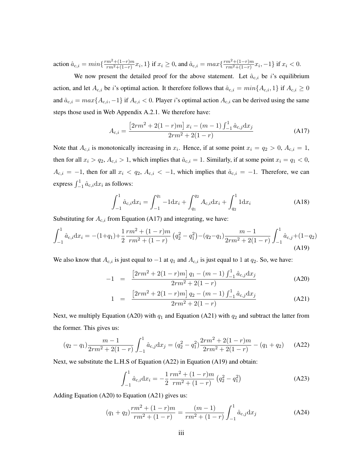action  $\hat{a}_{c,i} = min\{\frac{rm^2 + (1-r)m}{rm^2 + (1-r)}\}$  $\frac{m^2+(1-r)m}{rm^2+(1-r)}x_i,1\}$  if  $x_i\geq 0$ , and  $\hat a_{\text{c},i}=max\{\frac{rm^2+(1-r)m}{rm^2+(1-r)}\}$  $\frac{m^2+(1-r)m}{rm^2+(1-r)}x_i, -1$  if  $x_i < 0$ .

We now present the detailed proof for the above statement. Let  $\hat{a}_{c,i}$  be *i*'s equilibrium action, and let  $A_{c,i}$  be i's optimal action. It therefore follows that  $\hat{a}_{c,i} = min\{A_{c,i}, 1\}$  if  $A_{c,i} \ge 0$ and  $\hat{a}_{c,i} = max\{A_{c,i}, -1\}$  if  $A_{c,i} < 0$ . Player i's optimal action  $A_{c,i}$  can be derived using the same steps those used in Web Appendix A.2.1. We therefore have:

$$
A_{c,i} = \frac{\left[2rm^2 + 2(1-r)m\right]x_i - (m-1)\int_{-1}^1 \hat{a}_{c,j} dx_j}{2rm^2 + 2(1-r)}
$$
(A17)

Note that  $A_{c,i}$  is monotonically increasing in  $x_i$ . Hence, if at some point  $x_i = q_2 > 0$ ,  $A_{c,i} = 1$ , then for all  $x_i > q_2$ ,  $A_{c,i} > 1$ , which implies that  $\hat{a}_{c,i} = 1$ . Similarly, if at some point  $x_i = q_1 < 0$ ,  $A_{c,i} = -1$ , then for all  $x_i < q_2, A_{c,i} < -1$ , which implies that  $\hat{a}_{c,i} = -1$ . Therefore, we can express  $\int_{-1}^{1} \hat{a}_{c,i} dx_i$  as follows:

$$
\int_{-1}^{1} \hat{a}_{c,i} dx_i = \int_{-1}^{q_1} -1 dx_i + \int_{q_1}^{q_2} A_{c,i} dx_i + \int_{q_2}^{1} 1 dx_i
$$
 (A18)

Substituting for  $A_{c,i}$  from Equation (A17) and integrating, we have:

$$
\int_{-1}^{1} \hat{a}_{c,i} dx_i = -(1+q_1) + \frac{1}{2} \frac{rm^2 + (1-r)m}{rm^2 + (1-r)} \left( q_2^2 - q_1^2 \right) - (q_2 - q_1) \frac{m-1}{2rm^2 + 2(1-r)} \int_{-1}^{1} \hat{a}_{c,j} + (1-q_2) \tag{A19}
$$

We also know that  $A_{c,i}$  is just equal to  $-1$  at  $q_1$  and  $A_{c,i}$  is just equal to 1 at  $q_2$ . So, we have:

$$
-1 = \frac{\left[2rm^2 + 2(1-r)m\right]q_1 - (m-1)\int_{-1}^1 \hat{a}_{c,j}dx_j}{2rm^2 + 2(1-r)}
$$
(A20)

$$
1 = \frac{\left[2rm^2 + 2(1-r)m\right]q_2 - (m-1)\int_{-1}^1 \hat{a}_{c,j}dx_j}{2rm^2 + 2(1-r)}
$$
(A21)

Next, we multiply Equation (A20) with  $q_1$  and Equation (A21) with  $q_2$  and subtract the latter from the former. This gives us:

$$
(q_2 - q_1) \frac{m-1}{2rm^2 + 2(1-r)} \int_{-1}^1 \hat{a}_{c,j} dx_j = (q_2^2 - q_1^2) \frac{2rm^2 + 2(1-r)m}{2rm^2 + 2(1-r)} - (q_1 + q_2)
$$
 (A22)

Next, we substitute the L.H.S of Equation (A22) in Equation (A19) and obtain:

$$
\int_{-1}^{1} \hat{a}_{c,i} dx_i = -\frac{1}{2} \frac{rm^2 + (1 - r)m}{rm^2 + (1 - r)} \left( q_2^2 - q_1^2 \right)
$$
 (A23)

Adding Equation (A20) to Equation (A21) gives us:

$$
(q_1 + q_2)\frac{rm^2 + (1 - r)m}{rm^2 + (1 - r)} = \frac{(m - 1)}{rm^2 + (1 - r)}\int_{-1}^{1} \hat{a}_{c,j} dx_j
$$
 (A24)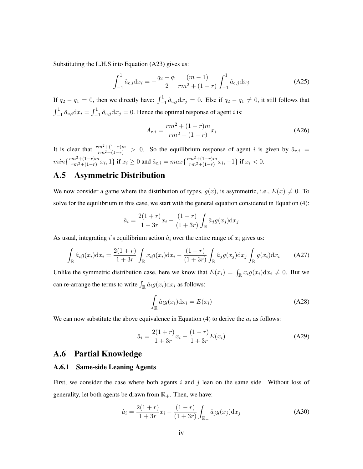Substituting the L.H.S into Equation (A23) gives us:

$$
\int_{-1}^{1} \hat{a}_{c,i} dx_i = -\frac{q_2 - q_1}{2} \frac{(m-1)}{rm^2 + (1-r)} \int_{-1}^{1} \hat{a}_{c,j} dx_j
$$
 (A25)

If  $q_2 - q_1 = 0$ , then we directly have:  $\int_{-1}^{1} \hat{a}_{c,j} dx_j = 0$ . Else if  $q_2 - q_1 \neq 0$ , it still follows that  $\int_{-1}^{1} \hat{a}_{c,i} dx_i = \int_{-1}^{1} \hat{a}_{c,j} dx_j = 0$ . Hence the optimal response of agent *i* is:

$$
A_{c,i} = \frac{rm^2 + (1 - r)m}{rm^2 + (1 - r)}x_i
$$
 (A26)

It is clear that  $\frac{rm^2+(1-r)m}{rm^2+(1-r)} > 0$ . So the equilibrium response of agent *i* is given by  $\hat{a}_{c,i}$  =  $min\{\frac{rm^2+(1-r)m}{rm^2+(1-r)}\}$  $\frac{m^2+(1-r)m}{rm^2+(1-r)}x_i,1\}$  if  $x_i\geq 0$  and  $\hat{a}_{\text{c},i}=max\{\frac{rm^2+(1-r)m}{rm^2+(1-r)}\}$  $\frac{m^2+(1-r)m}{rm^2+(1-r)}x_i, -1$ } if  $x_i < 0$ .

### A.5 Asymmetric Distribution

We now consider a game where the distribution of types,  $g(x)$ , is asymmetric, i.e.,  $E(x) \neq 0$ . To solve for the equilibrium in this case, we start with the general equation considered in Equation (4):

$$
\hat{a}_i = \frac{2(1+r)}{1+3r}x_i - \frac{(1-r)}{(1+3r)} \int_{\mathbb{R}} \hat{a}_j g(x_j) dx_j
$$

As usual, integrating i's equilibrium action  $\hat{a}_i$  over the entire range of  $x_i$  gives us:

$$
\int_{\mathbb{R}} \hat{a}_i g(x_i) dx_i = \frac{2(1+r)}{1+3r} \int_{\mathbb{R}} x_i g(x_i) dx_i - \frac{(1-r)}{(1+3r)} \int_{\mathbb{R}} \hat{a}_j g(x_j) dx_j \int_{\mathbb{R}} g(x_i) dx_i \tag{A27}
$$

Unlike the symmetric distribution case, here we know that  $E(x_i) = \int_{\mathbb{R}} x_i g(x_i) dx_i \neq 0$ . But we can re-arrange the terms to write  $\int_{\mathbb{R}} \hat{a}_i g(x_i) dx_i$  as follows:

$$
\int_{\mathbb{R}} \hat{a}_i g(x_i) \mathrm{d}x_i = E(x_i) \tag{A28}
$$

We can now substitute the above equivalence in Equation (4) to derive the  $a_i$  as follows:

$$
\hat{a}_i = \frac{2(1+r)}{1+3r}x_i - \frac{(1-r)}{1+3r}E(x_i)
$$
\n(A29)

#### A.6 Partial Knowledge

#### A.6.1 Same-side Leaning Agents

First, we consider the case where both agents i and j lean on the same side. Without loss of generality, let both agents be drawn from  $\mathbb{R}_+$ . Then, we have:

$$
\hat{a}_i = \frac{2(1+r)}{1+3r}x_i - \frac{(1-r)}{(1+3r)} \int_{\mathbb{R}_+} \hat{a}_j g(x_j) dx_j
$$
\n(A30)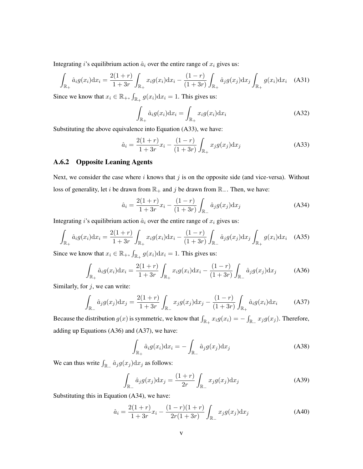Integrating *i*'s equilibrium action  $\hat{a}_i$  over the entire range of  $x_i$  gives us:

$$
\int_{\mathbb{R}_{+}} \hat{a}_{i} g(x_{i}) dx_{i} = \frac{2(1+r)}{1+3r} \int_{\mathbb{R}_{+}} x_{i} g(x_{i}) dx_{i} - \frac{(1-r)}{(1+3r)} \int_{\mathbb{R}_{+}} \hat{a}_{j} g(x_{j}) dx_{j} \int_{\mathbb{R}_{+}} g(x_{i}) dx_{i} \quad (A31)
$$

Since we know that  $x_i \in \mathbb{R}_+$ ,  $\int_{\mathbb{R}_+} g(x_i) dx_i = 1$ . This gives us:

$$
\int_{\mathbb{R}_+} \hat{a}_i g(x_i) dx_i = \int_{\mathbb{R}_+} x_i g(x_i) dx_i
$$
\n(A32)

Substituting the above equivalence into Equation (A33), we have:

$$
\hat{a}_i = \frac{2(1+r)}{1+3r}x_i - \frac{(1-r)}{(1+3r)} \int_{\mathbb{R}_+} x_j g(x_j) \mathrm{d}x_j \tag{A33}
$$

#### A.6.2 Opposite Leaning Agents

Next, we consider the case where  $i$  knows that  $j$  is on the opposite side (and vice-versa). Without loss of generality, let *i* be drawn from  $\mathbb{R}_+$  and *j* be drawn from  $\mathbb{R}_-$ . Then, we have:

$$
\hat{a}_i = \frac{2(1+r)}{1+3r}x_i - \frac{(1-r)}{(1+3r)} \int_{\mathbb{R}_-} \hat{a}_j g(x_j) dx_j
$$
\n(A34)

Integrating *i*'s equilibrium action  $\hat{a}_i$  over the entire range of  $x_i$  gives us:

$$
\int_{\mathbb{R}_{+}} \hat{a}_{i} g(x_{i}) dx_{i} = \frac{2(1+r)}{1+3r} \int_{\mathbb{R}_{+}} x_{i} g(x_{i}) dx_{i} - \frac{(1-r)}{(1+3r)} \int_{\mathbb{R}_{-}} \hat{a}_{j} g(x_{j}) dx_{j} \int_{\mathbb{R}_{+}} g(x_{i}) dx_{i} \quad (A35)
$$

Since we know that  $x_i \in \mathbb{R}_+$ ,  $\int_{\mathbb{R}_+} g(x_i) dx_i = 1$ . This gives us:

$$
\int_{\mathbb{R}_+} \hat{a}_i g(x_i) dx_i = \frac{2(1+r)}{1+3r} \int_{\mathbb{R}_+} x_i g(x_i) dx_i - \frac{(1-r)}{(1+3r)} \int_{\mathbb{R}_-} \hat{a}_j g(x_j) dx_j \tag{A36}
$$

Similarly, for  $j$ , we can write:

$$
\int_{\mathbb{R}_{-}} \hat{a}_{j} g(x_{j}) dx_{j} = \frac{2(1+r)}{1+3r} \int_{\mathbb{R}_{-}} x_{j} g(x_{j}) dx_{j} - \frac{(1-r)}{(1+3r)} \int_{\mathbb{R}_{+}} \hat{a}_{i} g(x_{i}) dx_{i} \tag{A37}
$$

Because the distribution  $g(x)$  is symmetric, we know that  $\int_{\mathbb{R}_+} x_i g(x_i) = -\int_{\mathbb{R}_-} x_j g(x_j)$ . Therefore, adding up Equations (A36) and (A37), we have:

$$
\int_{\mathbb{R}_+} \hat{a}_i g(x_i) dx_i = - \int_{\mathbb{R}_-} \hat{a}_j g(x_j) dx_j
$$
\n(A38)

We can thus write  $\int_{\mathbb{R}_-} \hat{a}_j g(x_j) dx_j$  as follows:

$$
\int_{\mathbb{R}_-} \hat{a}_j g(x_j) dx_j = \frac{(1+r)}{2r} \int_{\mathbb{R}_-} x_j g(x_j) dx_j
$$
\n(A39)

Substituting this in Equation (A34), we have:

$$
\hat{a}_i = \frac{2(1+r)}{1+3r}x_i - \frac{(1-r)(1+r)}{2r(1+3r)} \int_{\mathbb{R}_-} x_j g(x_j) \mathrm{d}x_j \tag{A40}
$$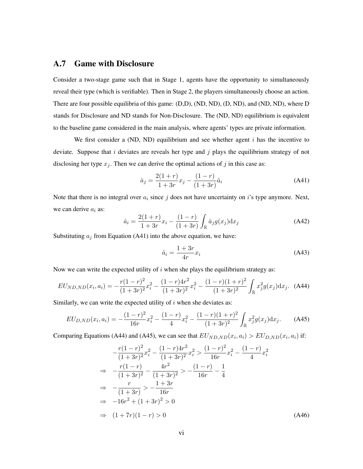### A.7 Game with Disclosure

Consider a two-stage game such that in Stage 1, agents have the opportunity to simultaneously reveal their type (which is verifiable). Then in Stage 2, the players simultaneously choose an action. There are four possible equilibria of this game: (D,D), (ND, ND), (D, ND), and (ND, ND), where D stands for Disclosure and ND stands for Non-Disclosure. The (ND, ND) equilibrium is equivalent to the baseline game considered in the main analysis, where agents' types are private information.

We first consider a (ND, ND) equilibrium and see whether agent  $i$  has the incentive to deviate. Suppose that i deviates are reveals her type and  $j$  plays the equilibrium strategy of not disclosing her type  $x_j$ . Then we can derive the optimal actions of j in this case as:

$$
\hat{a}_j = \frac{2(1+r)}{1+3r}x_j - \frac{(1-r)}{(1+3r)}\hat{a}_i
$$
\n(A41)

Note that there is no integral over  $a_i$  since j does not have uncertainty on i's type anymore. Next, we can derive  $a_i$  as:

$$
\hat{a}_i = \frac{2(1+r)}{1+3r}x_i - \frac{(1-r)}{(1+3r)} \int_{\mathbb{R}} \hat{a}_j g(x_j) dx_j
$$
\n(A42)

Substituting  $a_i$  from Equation (A41) into the above equation, we have:

$$
\hat{a}_i = \frac{1+3r}{4r}x_i\tag{A43}
$$

Now we can write the expected utility of  $i$  when she plays the equilibrium strategy as:

$$
EU_{ND,ND}(x_i, a_i) = -\frac{r(1-r)^2}{(1+3r)^2}x_i^2 - \frac{(1-r)4r^2}{(1+3r)^2}x_i^2 - \frac{(1-r)(1+r)^2}{(1+3r)^2} \int_{\mathbb{R}} x_j^2 g(x_j) dx_j.
$$
 (A44)

Similarly, we can write the expected utility of  $i$  when she deviates as:

$$
EU_{D,ND}(x_i, a_i) = -\frac{(1-r)^2}{16r}x_i^2 - \frac{(1-r)}{4}x_i^2 - \frac{(1-r)(1+r)^2}{(1+3r)^2} \int_{\mathbb{R}} x_j^2 g(x_j) dx_j.
$$
 (A45)

Comparing Equations (A44) and (A45), we can see that  $EU_{ND,ND}(x_i, a_i) > EU_{D,ND}(x_i, a_i)$  if:

$$
-\frac{r(1-r)^2}{(1+3r)^2}x_i^2 - \frac{(1-r)4r^2}{(1+3r)^2}x_i^2 > \frac{(1-r)^2}{16r}x_i^2 - \frac{(1-r)}{4}x_i^2
$$
\n
$$
\Rightarrow -\frac{r(1-r)}{(1+3r)^2} - \frac{4r^2}{(1+3r)^2} > -\frac{(1-r)}{16r} - \frac{1}{4}
$$
\n
$$
\Rightarrow -\frac{r}{(1+3r)} > -\frac{1+3r}{16r}
$$
\n
$$
\Rightarrow -16r^2 + (1+3r)^2 > 0
$$
\n
$$
\Rightarrow (1+7r)(1-r) > 0 \tag{A46}
$$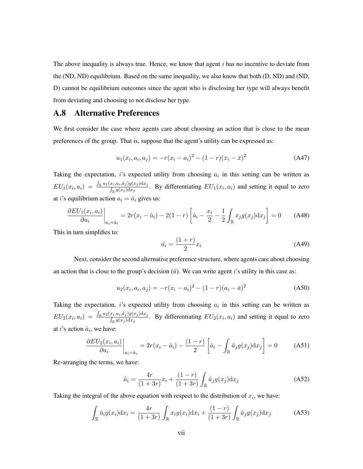The above inequality is always true. Hence, we know that agent  $i$  has no incentive to deviate from the (ND, ND) equilibrium. Based on the same inequality, we also know that both (D, ND) and (ND, D) cannot be equilibrium outcomes since the agent who is disclosing her type will always benefit from deviating and choosing to not disclose her type.

### A.8 Alternative Preferences

We first consider the case where agents care about choosing an action that is close to the mean preferences of the group. That is, suppose that the agent's utility can be expressed as:

$$
u_1(x_i, a_i, a_j) = -r(x_i - a_i)^2 - (1 - r)(x_i - \bar{x})^2
$$
 (A47)

Taking the expectation, i's expected utility from choosing  $a_i$  in this setting can be written as  $EU_1(x_i, a_i) = \frac{\int_{\mathbb{R}} u_1(x_i, a_i, \hat{a}_j) g(x_j) \mathrm{d}x_j}{\int_{\mathcal{A}} g(x_j) \mathrm{d}x_j}$  $\frac{\sum_{i} a_{i} a_{i} y_{j} y_{j} (x_{j}) dx_{j}}{\int_{\mathbb{R}} g(x_{j}) dx_{j}}$ . By differentiating  $EU_1(x_i, a_i)$  and setting it equal to zero at *i*'s equilibrium action  $a_i = \hat{a}_i$  gives us:

$$
\frac{\partial EU_1(x_i, a_i)}{\partial a_i}\bigg|_{a_i = \hat{a}_i} = 2r(x_i - \hat{a}_i) - 2(1 - r)\left[\hat{a}_i - \frac{x_i}{2} - \frac{1}{2}\int_{\mathbb{R}} x_j g(x_j) dx_j\right] = 0 \quad (A48)
$$

This in turn simplifies to:

$$
\hat{a}_i = \frac{(1+r)}{2} x_i \tag{A49}
$$

Next, consider the second alternative preference structure, where agents care about choosing an action that is close to the group's decision  $(\bar{a})$ . We can write agent i's utility in this case as:

$$
u_2(x_i, a_i, a_j) = -r(x_i - a_i)^2 - (1 - r)(a_i - \bar{a})^2
$$
 (A50)

Taking the expectation, i's expected utility from choosing  $a_i$  in this setting can be written as  $EU_2(x_i, a_i) = \frac{\int_{\mathbb{R}} u_2(x_i, a_i, \hat{a}_j) g(x_j) \mathrm{d}x_j}{\int_{\mathcal{A}} g(x_i) \mathrm{d}x_j}$  $\frac{\sum_{i} a_{i} a_{i} y_{j} y_{j} (x_{j}) dx_{j}}{\int_{\mathbb{R}} g(x_{j}) dx_{j}}$ . By differentiating  $EU_2(x_i, a_i)$  and setting it equal to zero at *i*'s action  $\hat{a}_i$ , we have:

$$
\frac{\partial EU_2(x_i, a_i)}{\partial a_i}\bigg|_{a_i = \hat{a}_i} = 2r(x_i - \hat{a}_i) - \frac{(1 - r)}{2} \left[\hat{a}_i - \int_{\mathbb{R}} \hat{a}_j g(x_j) dx_j\right] = 0 \tag{A51}
$$

Re-arranging the terms, we have:

$$
\hat{a}_i = \frac{4r}{(1+3r)}x_i + \frac{(1-r)}{(1+3r)} \int_{\mathbb{R}} \hat{a}_j g(x_j) dx_j
$$
 (A52)

Taking the integral of the above equation with respect to the distribution of  $x_i$ , we have:

$$
\int_{\mathbb{R}} \hat{a}_i g(x_i) dx_i = \frac{4r}{(1+3r)} \int_{\mathbb{R}} x_i g(x_i) dx_i + \frac{(1-r)}{(1+3r)} \int_{\mathbb{R}} \hat{a}_j g(x_j) dx_j \tag{A53}
$$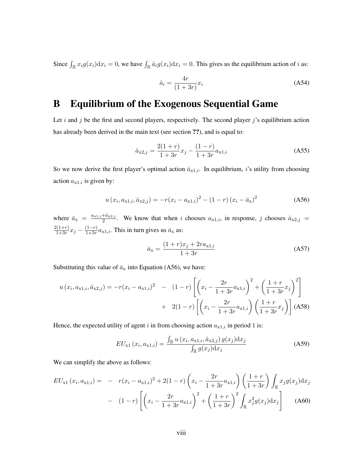Since  $\int_{\mathbb{R}} x_i g(x_i) dx_i = 0$ , we have  $\int_{\mathbb{R}} \hat{a}_i g(x_i) dx_i = 0$ . This gives us the equilibrium action of i as:

$$
\hat{a}_i = \frac{4r}{(1+3r)}x_i\tag{A54}
$$

### B Equilibrium of the Exogenous Sequential Game

Let i and j be the first and second players, respectively. The second player j's equilibrium action has already been derived in the main text (see section ??), and is equal to:

$$
\hat{a}_{x2,j} = \frac{2(1+r)}{1+3r}x_j - \frac{(1-r)}{1+3r}a_{x1,i}
$$
\n(A55)

So we now derive the first player's optimal action  $\hat{a}_{x1,i}$ . In equilibrium, i's utility from choosing action  $a_{x1,i}$  is given by:

$$
u(x_i, a_{x1,i}, \hat{a}_{x2,j}) = -r(x_i - a_{x1,i})^2 - (1 - r)(x_i - \bar{a}_x)^2
$$
 (A56)

where  $\bar{a}_{x} = \frac{a_{x1,i} + \hat{a}_{x2,j}}{2}$  $\frac{a_{x2,j}}{2}$ . We know that when i chooses  $a_{x1,i}$ , in response, j chooses  $\hat{a}_{x2,j}$  =  $2(1+r)$  $\frac{2(1+r)}{1+3r}x_j - \frac{(1-r)}{1+3r}$  $\frac{(1-r)}{1+3r}a_{x1,i}$ . This in turn gives us  $\bar{a}_x$  as:

$$
\bar{a}_{x} = \frac{(1+r)x_j + 2ra_{x1,i}}{1+3r} \tag{A57}
$$

Substituting this value of  $\bar{a}_x$  into Equation (A56), we have:

$$
u(x_i, a_{x1,i}, \hat{a}_{x2,j}) = -r(x_i - a_{x1,i})^2 - (1-r) \left[ \left( x_i - \frac{2r}{1+3r} a_{x1,i} \right)^2 + \left( \frac{1+r}{1+3r} x_j \right)^2 \right] + 2(1-r) \left[ \left( x_i - \frac{2r}{1+3r} a_{x1,i} \right) \left( \frac{1+r}{1+3r} x_j \right) \right] (A58)
$$

Hence, the expected utility of agent i in from choosing action  $a_{x1,i}$  in period 1 is:

$$
EU_{x1}\left(x_i, a_{x1,i}\right) = \frac{\int_{\mathbb{R}} u\left(x_i, a_{x1,i}, \hat{a}_{x2,j}\right) g(x_j) \mathrm{d}x_j}{\int_{\mathbb{R}} g(x_j) \mathrm{d}x_j} \tag{A59}
$$

We can simplify the above as follows:

$$
EU_{x1}(x_i, a_{x1,i}) = -r(x_i - a_{x1,i})^2 + 2(1-r)\left(x_i - \frac{2r}{1+3r}a_{x1,i}\right)\left(\frac{1+r}{1+3r}\right)\int_{\mathbb{R}} x_j g(x_j)dx_j
$$

$$
- (1-r)\left[\left(x_i - \frac{2r}{1+3r}a_{x1,i}\right)^2 + \left(\frac{1+r}{1+3r}\right)^2\int_{\mathbb{R}} x_j^2 g(x_j)dx_j\right]
$$
(A60)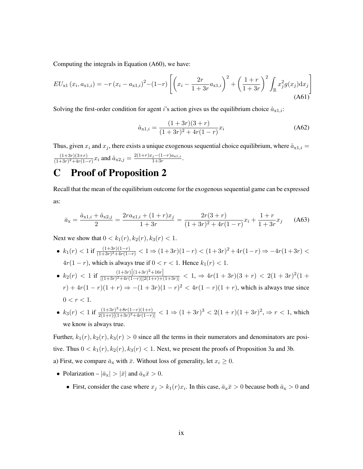Computing the integrals in Equation (A60), we have:

$$
EU_{x1}(x_i, a_{x1,i}) = -r(x_i - a_{x1,i})^2 - (1-r)\left[ \left( x_i - \frac{2r}{1+3r} a_{x1,i} \right)^2 + \left( \frac{1+r}{1+3r} \right)^2 \int_{\mathbb{R}} x_j^2 g(x_j) dx_j \right]
$$
\n(A61)

Solving the first-order condition for agent i's action gives us the equilibrium choice  $\hat{a}_{x1,i}$ :

$$
\hat{a}_{x1,i} = \frac{(1+3r)(3+r)}{(1+3r)^2 + 4r(1-r)}x_i
$$
\n(A62)

Thus, given  $x_i$  and  $x_j$ , there exists a unique exogenous sequential choice equilibrium, where  $\hat{a}_{x1,i} =$  $(1+3r)(3+r)$  $\frac{(1+3r)(3+r)}{(1+3r)^2+4r(1-r)}x_i$  and  $\hat{a}_{x2,j} = \frac{2(1+r)x_j-(1-r)a_{x1,i}}{1+3r}$  $\frac{j-(1-r)a_{x1,i}}{1+3r}$ .

### C Proof of Proposition 2

Recall that the mean of the equilibrium outcome for the exogenous sequential game can be expressed as:

$$
\bar{a}_{x} = \frac{\hat{a}_{x1,i} + \hat{a}_{x2,j}}{2} = \frac{2ra_{x1,i} + (1+r)x_j}{1+3r} = \frac{2r(3+r)}{(1+3r)^2 + 4r(1-r)}x_i + \frac{1+r}{1+3r}x_j
$$
 (A63)

Next we show that  $0 < k_1(r)$ ,  $k_2(r)$ ,  $k_3(r) < 1$ .

- $k_1(r)$  < 1 if  $\frac{(1+3r)(1-r)}{(1+3r)^2+4r(1-r)}$  < 1 ⇒  $(1+3r)(1-r)$  <  $(1+3r)^2+4r(1-r)$  ⇒  $-4r(1+3r)$  <  $4r(1 - r)$ , which is always true if  $0 < r < 1$ . Hence  $k_1(r) < 1$ .
- $k_2(r) < 1$  if  $\frac{(1+3r)\left[(1+3r)^2+16r\right]}{[(1+3r)^2+4r(1-r)][2(1+r)+6r]}$  $\frac{(1+3r)[(1+3r)^2+4r(1-r)][2(1+r)+(1+3r)]}{[(1+3r)^2+4r(1-r)][2(1+r)+(1+3r)]} < 1, \Rightarrow 4r(1+3r)(3+r) < 2(1+3r)^2(1+r)$  $r) + 4r(1 - r)(1 + r) \Rightarrow -(1 + 3r)(1 - r)^2 < 4r(1 - r)(1 + r)$ , which is always true since  $0 < r < 1$ .
- $k_3(r) < 1$  if  $\frac{(1+3r)^3+8r(1-r)(1+r)}{2(1+r)[(1+3r)^2+4r(1-r)}$  $\frac{(1+3r)^3+8r(1-r)(1+r)}{2(1+r)[(1+3r)^2+4r(1-r)]} < 1 \Rightarrow (1+3r)^3 < 2(1+r)(1+3r)^2, \Rightarrow r < 1$ , which we know is always true.

Further,  $k_1(r)$ ,  $k_2(r)$ ,  $k_3(r) > 0$  since all the terms in their numerators and denominators are positive. Thus  $0 < k_1(r)$ ,  $k_2(r)$ ,  $k_3(r) < 1$ . Next, we present the proofs of Proposition 3a and 3b. a) First, we compare  $\bar{a}_x$  with  $\bar{x}$ . Without loss of generality, let  $x_i \geq 0$ .

- Polarization  $|\bar{a}_x| > |\bar{x}|$  and  $\bar{a}_x \bar{x} > 0$ .
	- First, consider the case where  $x_j > k_1(r)x_i$ . In this case,  $\bar{a}_x \bar{x} > 0$  because both  $\bar{a}_x > 0$  and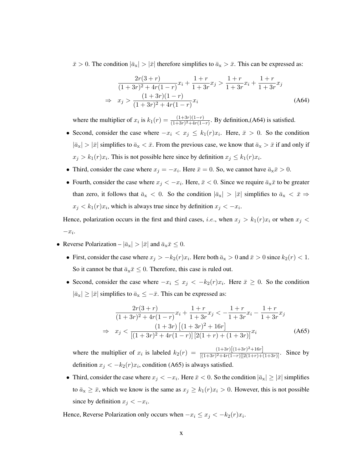$\bar{x} > 0$ . The condition  $|\bar{a}_x| > |\bar{x}|$  therefore simplifies to  $\bar{a}_x > \bar{x}$ . This can be expressed as:

$$
\frac{2r(3+r)}{(1+3r)^2+4r(1-r)}x_i + \frac{1+r}{1+3r}x_j > \frac{1+r}{1+3r}x_i + \frac{1+r}{1+3r}x_j
$$
\n
$$
\Rightarrow x_j > \frac{(1+3r)(1-r)}{(1+3r)^2+4r(1-r)}x_i
$$
\n(A64)

where the multiplier of  $x_i$  is  $k_1(r) = \frac{(1+3r)(1-r)}{(1+3r)^2+4r(1-r)}$ . By definition,(A64) is satisfied.

- Second, consider the case where  $-x_i < x_j \le k_1(r)x_i$ . Here,  $\bar{x} > 0$ . So the condition  $|\bar{a}_x| > |\bar{x}|$  simplifies to  $\bar{a}_x < \bar{x}$ . From the previous case, we know that  $\bar{a}_x > \bar{x}$  if and only if  $x_j > k_1(r)x_i$ . This is not possible here since by definition  $x_j \leq k_1(r)x_i$ .
- Third, consider the case where  $x_j = -x_i$ . Here  $\bar{x} = 0$ . So, we cannot have  $\bar{a}_{\bar{x}} \bar{x} > 0$ .
- Fourth, consider the case where  $x_j < -x_i$ . Here,  $\bar{x} < 0$ . Since we require  $\bar{a}_x \bar{x}$  to be greater than zero, it follows that  $\bar{a}_x < 0$ . So the condition  $|\bar{a}_x| > |\bar{x}|$  simplifies to  $\bar{a}_x < \bar{x} \Rightarrow$  $x_j < k_1(r)x_i$ , which is always true since by definition  $x_j < -x_i$ .

Hence, polarization occurs in the first and third cases, *i.e.*, when  $x_j > k_1(r)x_i$  or when  $x_j <$  $-x_i$ .

- Reverse Polarization  $|\bar{a}_x| > |\bar{x}|$  and  $\bar{a}_x \bar{x} \leq 0$ .
	- First, consider the case where  $x_j > -k_2(r)x_i$ . Here both  $\bar{a}_x > 0$  and  $\bar{x} > 0$  since  $k_2(r) < 1$ . So it cannot be that  $\bar{a}_x\bar{x} \leq 0$ . Therefore, this case is ruled out.
	- Second, consider the case where  $-x_i \leq x_j < -k_2(r)x_i$ . Here  $\bar{x} \geq 0$ . So the condition  $|\bar{a}_x| \geq |\bar{x}|$  simplifies to  $\bar{a}_x \leq -\bar{x}$ . This can be expressed as:

$$
\frac{2r(3+r)}{(1+3r)^2+4r(1-r)}x_i + \frac{1+r}{1+3r}x_j < -\frac{1+r}{1+3r}x_i - \frac{1+r}{1+3r}x_j
$$
\n
$$
\Rightarrow x_j < \frac{(1+3r)\left[(1+3r)^2+16r\right]}{[(1+3r)^2+4r(1-r)]\left[2(1+r)+(1+3r)\right]}x_i \tag{A65}
$$

where the multiplier of  $x_i$  is labeled  $k_2(r) = \frac{(1+3r)(1+3r)^2+16r}{[(1+3r)^2+4r(1-r)][9(1+r)+1+r]}$  $\frac{(1+3r)(1+3r)+13r}{[(1+3r)^2+4r(1-r)][2(1+r)+(1+3r)]}$ . Since by definition  $x_j < -k_2(r)x_i$ , condition (A65) is always satisfied.

• Third, consider the case where  $x_j < -x_i$ . Here  $\bar{x} < 0$ . So the condition  $|\bar{a}_x| \ge |\bar{x}|$  simplifies to  $\bar{a}_x \geq \bar{x}$ , which we know is the same as  $x_j \geq k_1(r)x_i > 0$ . However, this is not possible since by definition  $x_j < -x_i$ .

Hence, Reverse Polarization only occurs when  $-x_i \leq x_j < -k_2(r)x_i$ .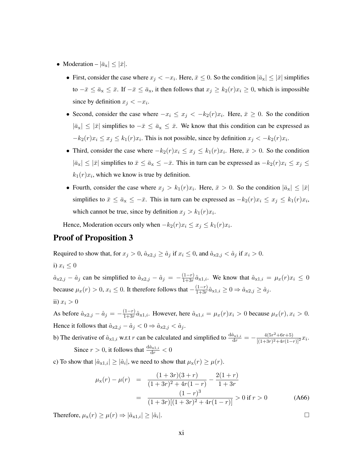- Moderation  $|\bar{a}_x| \leq |\bar{x}|$ .
	- First, consider the case where  $x_j < -x_i$ . Here,  $\bar{x} \le 0$ . So the condition  $|\bar{a}_x| \le |\bar{x}|$  simplifies to  $-\bar{x} \le \bar{a}_x \le \bar{x}$ . If  $-\bar{x} \le \bar{a}_x$ , it then follows that  $x_j \ge k_2(r)x_i \ge 0$ , which is impossible since by definition  $x_j < -x_i$ .
	- Second, consider the case where  $-x_i \leq x_j < -k_2(r)x_i$ . Here,  $\bar{x} \geq 0$ . So the condition  $|\bar{a}_x| \leq |\bar{x}|$  simplifies to  $-\bar{x} \leq \bar{a}_x \leq \bar{x}$ . We know that this condition can be expressed as  $-k_2(r)x_i \le x_j \le k_1(r)x_i$ . This is not possible, since by definition  $x_j < -k_2(r)x_i$ .
	- Third, consider the case where  $-k_2(r)x_i \leq x_j \leq k_1(r)x_i$ . Here,  $\bar{x} > 0$ . So the condition  $|\bar{a}_x| \leq |\bar{x}|$  simplifies to  $\bar{x} \leq \bar{a}_x \leq -\bar{x}$ . This in turn can be expressed as  $-k_2(r)x_i \leq x_j \leq$  $k_1(r)x_i$ , which we know is true by definition.
	- Fourth, consider the case where  $x_j > k_1(r)x_i$ . Here,  $\bar{x} > 0$ . So the condition  $|\bar{a}_x| \leq |\bar{x}|$ simplifies to  $\bar{x} \le \bar{a}_x \le -\bar{x}$ . This in turn can be expressed as  $-k_2(r)x_i \le x_j \le k_1(r)x_i$ , which cannot be true, since by definition  $x_j > k_1(r)x_i$ .

Hence, Moderation occurs only when  $-k_2(r)x_i \leq x_j \leq k_1(r)x_i$ .

### Proof of Proposition 3

Required to show that, for  $x_j > 0$ ,  $\hat{a}_{x2,j} \ge \hat{a}_j$  if  $x_i \le 0$ , and  $\hat{a}_{x2,j} < \hat{a}_j$  if  $x_i > 0$ .

i) 
$$
x_i \leq 0
$$

 $\hat{a}_{x2,j} - \hat{a}_j$  can be simplified to  $\hat{a}_{x2,j} - \hat{a}_j = -\frac{(1-r)}{1+3r}$  $\frac{(1-r)}{1+3r}\hat{a}_{x1,i}$ . We know that  $\hat{a}_{x1,i} = \mu_x(r)x_i \leq 0$ because  $\mu_x(r) > 0$ ,  $x_i \le 0$ . It therefore follows that  $-\frac{(1-r)}{1+3r}$  $\frac{(1-r)}{1+3r}\hat{a}_{x1,i} \geq 0 \Rightarrow \hat{a}_{x2,j} \geq \hat{a}_j.$ ii)  $x_i > 0$ 

As before  $\hat{a}_{x2,j} - \hat{a}_j = -\frac{(1-r)}{1+3r}$  $\frac{(1-r)}{1+3r}\hat{a}_{x1,i}$ . However, here  $\hat{a}_{x1,i} = \mu_x(r)x_i > 0$  because  $\mu_x(r), x_i > 0$ . Hence it follows that  $\hat{a}_{x2,j} - \hat{a}_j < 0 \Rightarrow \hat{a}_{x2,j} < \hat{a}_j$ .

b) The derivative of  $\hat{a}_{x1,i}$  w.r.t r can be calculated and simplified to  $\frac{d\hat{a}_{x1,i}}{dr} = -\frac{4(5r^2 + 6r + 5)}{[(1+3r)^2 + 4r(1-r)]}$  $\frac{4(3r + 6r + 3)}{[(1+3r)^2+4r(1-r)]^2}x_i.$ Since  $r > 0$ , it follows that  $\frac{d\hat{a}_{x_1,i}}{dr} < 0$ 

c) To show that  $|\hat{a}_{x1,i}| \geq |\hat{a}_i|$ , we need to show that  $\mu_x(r) \geq \mu(r)$ .

$$
\mu_{x}(r) - \mu(r) = \frac{(1+3r)(3+r)}{(1+3r)^{2} + 4r(1-r)} - \frac{2(1+r)}{1+3r}
$$

$$
= \frac{(1-r)^{3}}{(1+3r)[(1+3r)^{2} + 4r(1-r)]} > 0 \text{ if } r > 0 \qquad (A66)
$$

Therefore,  $\mu_{\mathbf{x}}(r) \geq \mu(r) \Rightarrow |\hat{a}_{\mathbf{x}}| \geq |\hat{a}_i|$ .

<sup>|</sup>.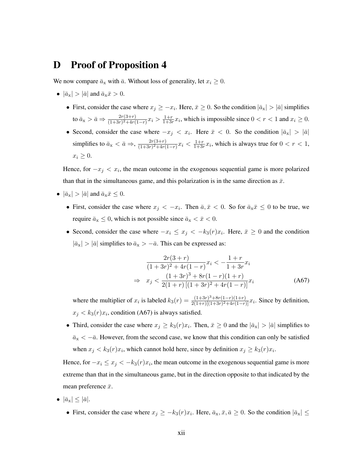### D Proof of Proposition 4

We now compare  $\bar{a}_x$  with  $\bar{a}$ . Without loss of generality, let  $x_i \geq 0$ .

- $|\bar{a}_x| > |\bar{a}|$  and  $\bar{a}_x \bar{x} > 0$ .
	- First, consider the case where  $x_j \geq -x_i$ . Here,  $\bar{x} \geq 0$ . So the condition  $|\bar{a}_x| > |\bar{a}|$  simplifies to  $\bar{a}_{\text{x}} > \bar{a} \Rightarrow \frac{2r(3+r)}{(1+3r)^2+4r(1-r)}x_i > \frac{1+r}{1+3r}$  $\frac{1+r}{1+3r}x_i$ , which is impossible since  $0 < r < 1$  and  $x_i \ge 0$ .
	- Second, consider the case where  $-x_j < x_i$ . Here  $\bar{x} < 0$ . So the condition  $|\bar{a}_x| > |\bar{a}|$ simplifies to  $\bar{a}_x < \bar{a} \Rightarrow, \frac{2r(3+r)}{(1+3r)^2+4r(r)}$  $\frac{2r(3+r)}{(1+3r)^2+4r(1-r)}x_i < \frac{1+r}{1+3r}$  $\frac{1+r}{1+3r}x_i$ , which is always true for  $0 < r < 1$ ,  $x_i \geq 0$ .

Hence, for  $-x_j < x_i$ , the mean outcome in the exogenous sequential game is more polarized than that in the simultaneous game, and this polarization is in the same direction as  $\bar{x}$ .

- $|\bar{a}_{x}| > |\bar{a}|$  and  $\bar{a}_{x}\bar{x} \leq 0$ .
	- First, consider the case where  $x_j < -x_i$ . Then  $\bar{a}, \bar{x} < 0$ . So for  $\bar{a}_x \bar{x} \leq 0$  to be true, we require  $\bar{a}_x \leq 0$ , which is not possible since  $\bar{a}_x < \bar{x} < 0$ .
	- Second, consider the case where  $-x_i \leq x_j < -k_3(r)x_i$ . Here,  $\bar{x} \geq 0$  and the condition  $|\bar{a}_x| > |\bar{a}|$  simplifies to  $\bar{a}_x > -\bar{a}$ . This can be expressed as:

$$
\frac{2r(3+r)}{(1+3r)^2+4r(1-r)}x_i < -\frac{1+r}{1+3r}x_i
$$
  
\n
$$
\Rightarrow x_j < \frac{(1+3r)^3+8r(1-r)(1+r)}{2(1+r)[(1+3r)^2+4r(1-r)]}x_i
$$
 (A67)

where the multiplier of  $x_i$  is labeled  $k_3(r) = \frac{(1+3r)^3 + 8r(1-r)(1+r)}{2(1+r)(1+3r)^2 + 4r(1-r)}$  $\frac{(1+3r)^3+8r(1-r)(1+r)}{2(1+r)[(1+3r)^2+4r(1-r)]}x_i$ . Since by definition,  $x_j < k_3(r)x_i$ , condition (A67) is always satisfied.

• Third, consider the case where  $x_j \ge k_3(r)x_i$ . Then,  $\bar{x} \ge 0$  and the  $|\bar{a}_x| > |\bar{a}|$  simplifies to  $\bar{a}_x < -\bar{a}$ . However, from the second case, we know that this condition can only be satisfied when  $x_j < k_3(r)x_i$ , which cannot hold here, since by definition  $x_j \ge k_3(r)x_i$ .

Hence, for  $-x_i \leq x_j < -k_3(r)x_i$ , the mean outcome in the exogenous sequential game is more extreme than that in the simultaneous game, but in the direction opposite to that indicated by the mean preference  $\bar{x}$ .

- $|\bar{a}_x| \leq |\bar{a}|.$ 
	- First, consider the case where  $x_j \geq -k_3(r)x_i$ . Here,  $\bar{a}_x, \bar{x}, \bar{a} \geq 0$ . So the condition  $|\bar{a}_x| \leq$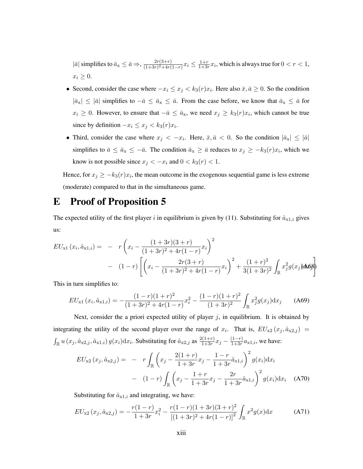$|\bar{a}|$  simplifies to  $\bar{a}_{x} \leq \bar{a} \Rightarrow, \frac{2r(3+r)}{(1+3r)^{2}+4r(r)}$  $\frac{2r(3+r)}{(1+3r)^2+4r(1-r)}x_i \leq \frac{1+r}{1+3r}$  $\frac{1+r}{1+3r}x_i$ , which is always true for  $0 < r < 1$ ,  $x_i \geq 0$ .

- Second, consider the case where  $-x_i \leq x_j < k_3(r)x_i$ . Here also  $\bar{x}, \bar{a} \geq 0$ . So the condition  $|\bar{a}_x| \leq |\bar{a}|$  simplifies to  $-\bar{a} \leq \bar{a}_x \leq \bar{a}$ . From the case before, we know that  $\bar{a}_x \leq \bar{a}$  for  $x_i \geq 0$ . However, to ensure that  $-\bar{a} \leq \bar{a}_{\rm x}$ , we need  $x_j \geq k_3(r)x_i$ , which cannot be true since by definition  $-x_i \leq x_j < k_3(r)x_i$ .
- Third, consider the case where  $x_j < -x_i$ . Here,  $\bar{x}, \bar{a} < 0$ . So the condition  $|\bar{a}_x| \leq |\bar{a}|$ simplifies to  $\bar{a} \le \bar{a}_x \le -\bar{a}$ . The condition  $\bar{a}_x \ge \bar{a}$  reduces to  $x_j \ge -k_3(r)x_i$ , which we know is not possible since  $x_j < -x_i$  and  $0 < k_3(r) < 1$ .

Hence, for  $x_j \geq -k_3(r)x_i$ , the mean outcome in the exogenous sequential game is less extreme (moderate) compared to that in the simultaneous game.

### E Proof of Proposition 5

The expected utility of the first player i in equilibrium is given by (11). Substituting for  $\hat{a}_{x1,i}$  gives us:

$$
EU_{x1}(x_i, \hat{a}_{x1,i}) = -r \left( x_i - \frac{(1+3r)(3+r)}{(1+3r)^2 + 4r(1-r)} x_i \right)^2
$$
  
- 
$$
(1-r) \left[ \left( x_i - \frac{2r(3+r)}{(1+3r)^2 + 4r(1-r)} x_i \right)^2 + \frac{(1+r)^2}{3(1+3r)^2} \int_{\mathbb{R}} x_j^2 g(x_j) d\mathbf{x} d\mathbf{x}
$$

This in turn simplifies to:

$$
EU_{x1}(x_i, \hat{a}_{x1,i}) = -\frac{(1-r)(1+r)^2}{(1+3r)^2 + 4r(1-r)}x_i^2 - \frac{(1-r)(1+r)^2}{(1+3r)^2} \int_{\mathbb{R}} x_j^2 g(x_j) dx_j \qquad (A69)
$$

Next, consider the a priori expected utility of player  $j$ , in equilibrium. It is obtained by integrating the utility of the second player over the range of  $x_i$ . That is,  $EU_{x2}(x_j, \hat{a}_{x2,j})$  =  $\int_{\mathbb{R}} u(x_i, \hat{a}_{x2,i}, \hat{a}_{x1,i}) g(x_i) dx_i$ . Substituting for  $\hat{a}_{x2,j}$  as  $\frac{2(1+r)}{1+3r}$  $\frac{2(1+r)}{1+3r}x_j - \frac{(1-r)}{1+3r}$  $\frac{(1-r)}{1+3r}a_{x1,i}$ , we have:

$$
EU_{x2}(x_j, \hat{a}_{x2,j}) = -r \int_{\mathbb{R}} \left( x_j - \frac{2(1+r)}{1+3r} x_j - \frac{1-r}{1+3r} \hat{a}_{x1,i} \right)^2 g(x_i) dx_i
$$

$$
- (1-r) \int_{\mathbb{R}} \left( x_j - \frac{1+r}{1+3r} x_j - \frac{2r}{1+3r} \hat{a}_{x1,i} \right)^2 g(x_i) dx_i \quad (A70)
$$

Substituting for  $\hat{a}_{x1,i}$  and integrating, we have:

$$
EU_{x2}(x_j, \hat{a}_{x2,j}) = -\frac{r(1-r)}{1+3r}x_i^2 - \frac{r(1-r)(1+3r)(3+r)^2}{[(1+3r)^2+4r(1-r)]^2} \int_{\mathbb{R}} x^2 g(x) dx \tag{A71}
$$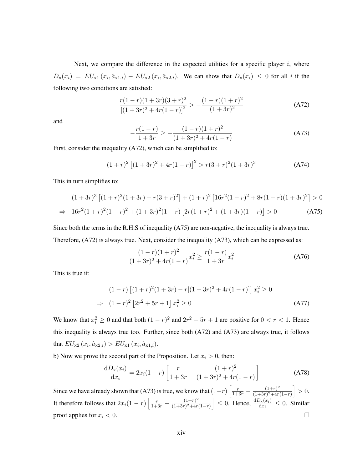Next, we compare the difference in the expected utilities for a specific player  $i$ , where  $D_{\mathbf{x}}(x_i) = EU_{\mathbf{x}1}(x_i, \hat{a}_{\mathbf{x}1,i}) - EU_{\mathbf{x}2}(x_i, \hat{a}_{\mathbf{x}2,i}).$  We can show that  $D_{\mathbf{x}}(x_i) \leq 0$  for all i if the following two conditions are satisfied:

$$
\frac{r(1-r)(1+3r)(3+r)^2}{[(1+3r)^2+4r(1-r)]^2} > -\frac{(1-r)(1+r)^2}{(1+3r)^2}
$$
(A72)

and

$$
-\frac{r(1-r)}{1+3r} \ge -\frac{(1-r)(1+r)^2}{(1+3r)^2+4r(1-r)}
$$
(A73)

First, consider the inequality (A72), which can be simplified to:

$$
(1+r)^{2} [(1+3r)^{2} + 4r(1-r)]^{2} > r(3+r)^{2}(1+3r)^{3}
$$
 (A74)

This in turn simplifies to:

$$
(1+3r)^3 \left[ (1+r)^2 (1+3r) - r(3+r)^2 \right] + (1+r)^2 \left[ 16r^2 (1-r)^2 + 8r(1-r)(1+3r)^2 \right] > 0
$$
  
\n
$$
\Rightarrow 16r^2 (1+r)^2 (1-r)^2 + (1+3r)^2 (1-r) \left[ 2r(1+r)^2 + (1+3r)(1-r) \right] > 0 \tag{A75}
$$

Since both the terms in the R.H.S of inequality (A75) are non-negative, the inequality is always true. Therefore, (A72) is always true. Next, consider the inequality (A73), which can be expressed as:

$$
\frac{(1-r)(1+r)^2}{(1+3r)^2+4r(1-r)}x_i^2 \ge \frac{r(1-r)}{1+3r}x_i^2
$$
\n(A76)

This is true if:

$$
(1-r)\left[(1+r)^{2}(1+3r) - r[(1+3r)^{2} + 4r(1-r)]\right]x_{i}^{2} \ge 0
$$
  
\n
$$
\Rightarrow (1-r)^{2}\left[2r^{2} + 5r + 1\right]x_{i}^{2} \ge 0
$$
\n(A77)

We know that  $x_i^2 \ge 0$  and that both  $(1 - r)^2$  and  $2r^2 + 5r + 1$  are positive for  $0 < r < 1$ . Hence this inequality is always true too. Further, since both (A72) and (A73) are always true, it follows that  $EU_{x2}(x_i, \hat{a}_{x2,i}) > EU_{x1}(x_i, \hat{a}_{x1,i}).$ 

b) Now we prove the second part of the Proposition. Let  $x_i > 0$ , then:

$$
\frac{dD_x(x_i)}{dx_i} = 2x_i(1-r)\left[\frac{r}{1+3r} - \frac{(1+r)^2}{(1+3r)^2 + 4r(1-r)}\right]
$$
(A78)

Since we have already shown that (A73) is true, we know that  $(1-r)\left[\frac{r}{1+3r} - \frac{(1+r)^2}{(1+3r)^2+4r}\right]$  $\frac{(1+r)^2}{(1+3r)^2+4r(1-r)}$  > 0. It therefore follows that  $2x_i(1 - r) \left[ \frac{r}{1+3r} - \frac{(1+r)^2}{(1+3r)^2+4r} \right]$  $\left(\frac{(1+r)^2}{(1+3r)^2+4r(1-r)}\right) \leq 0$ . Hence,  $\frac{dD_x(x_i)}{dx_i} \leq 0$ . Similar proof applies for  $x_i < 0$ .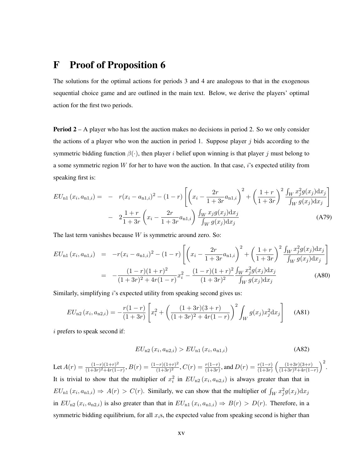### F Proof of Proposition 6

The solutions for the optimal actions for periods 3 and 4 are analogous to that in the exogenous sequential choice game and are outlined in the main text. Below, we derive the players' optimal action for the first two periods.

**Period 2** – A player who has lost the auction makes no decisions in period 2. So we only consider the actions of a player who won the auction in period 1. Suppose player  $j$  bids according to the symmetric bidding function  $\beta(\cdot)$ , then player i belief upon winning is that player j must belong to a some symmetric region  $W$  for her to have won the auction. In that case,  $i$ 's expected utility from speaking first is:

$$
EU_{n1}(x_i, a_{n1,i}) = -r(x_i - a_{n1,i})^2 - (1 - r) \left[ \left( x_i - \frac{2r}{1 + 3r} a_{n1,i} \right)^2 + \left( \frac{1 + r}{1 + 3r} \right)^2 \frac{\int_W x_j^2 g(x_j) dx_j}{\int_W g(x_j) dx_j} \right] - 2 \frac{1 + r}{1 + 3r} \left( x_i - \frac{2r}{1 + 3r} a_{n1,i} \right) \frac{\int_W x_j g(x_j) dx_j}{\int_W g(x_j) dx_j}
$$
(A79)

The last term vanishes because  $W$  is symmetric around zero. So:

$$
EU_{n1}(x_i, a_{n1,i}) = -r(x_i - a_{n1,i})^2 - (1 - r) \left[ \left( x_i - \frac{2r}{1 + 3r} a_{n1,i} \right)^2 + \left( \frac{1 + r}{1 + 3r} \right)^2 \frac{\int_W x_j^2 g(x_j) dx_j}{\int_W g(x_j) dx_j} \right]
$$

$$
= -\frac{(1 - r)(1 + r)^2}{(1 + 3r)^2 + 4r(1 - r)} x_i^2 - \frac{(1 - r)(1 + r)^2}{(1 + 3r)^2} \frac{\int_W x_j^2 g(x_j) dx_j}{\int_W g(x_j) dx_j}
$$
(A80)

Similarly, simplifying *i*'s expected utility from speaking second gives us:

$$
EU_{n2}(x_i, a_{n2,i}) = -\frac{r(1-r)}{(1+3r)} \left[ x_i^2 + \left( \frac{(1+3r)(3+r)}{(1+3r)^2 + 4r(1-r)} \right)^2 \int_W g(x_j) x_j^2 dx_j \right]
$$
 (A81)

i prefers to speak second if:

$$
EU_{n2}(x_i, a_{n2,i}) > EU_{n1}(x_i, a_{n1,i})
$$
\n(A82)

Let  $A(r) = \frac{(1-r)(1+r)^2}{(1+3r)^2+4r(1-r)}$  $\frac{(1-r)(1+r)^2}{(1+3r)^2+4r(1-r)}, B(r) = \frac{(1-r)(1+r)^2}{(1+3r)^2}$  $\frac{(-r)(1+r)^2}{(1+3r)^2}$ ,  $C(r) = \frac{r(1-r)}{(1+3r)}$ , and  $D(r) = \frac{r(1-r)}{(1+3r)} \left( \frac{(1+3r)(3+r)}{(1+3r)^2+4r(1-r)} \right)$  $\frac{(1+3r)(3+r)}{(1+3r)^2+4r(1-r)}$ <sup>2</sup>. It is trivial to show that the multiplier of  $x_i^2$  in  $EU_{n2}(x_i, a_{n2,i})$  is always greater than that in  $EU_{n1}(x_i, a_{n1,i}) \Rightarrow A(r) > C(r)$ . Similarly, we can show that the multiplier of  $\int_W x_j^2 g(x_j) dx_j$ in  $EU_{n2}(x_i, a_{n2,i})$  is also greater than that in  $EU_{n1}(x_i, a_{n1,i}) \Rightarrow B(r) > D(r)$ . Therefore, in a symmetric bidding equilibrium, for all  $x_i$ s, the expected value from speaking second is higher than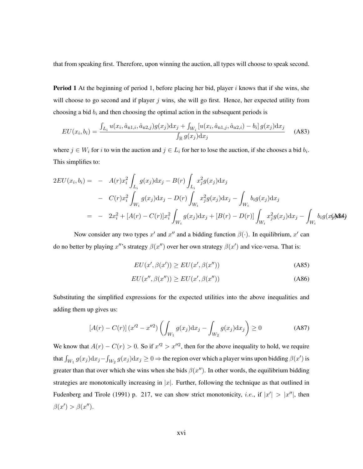that from speaking first. Therefore, upon winning the auction, all types will choose to speak second.

**Period 1** At the beginning of period 1, before placing her bid, player i knows that if she wins, she will choose to go second and if player  $j$  wins, she will go first. Hence, her expected utility from choosing a bid  $b_i$  and then choosing the optimal action in the subsequent periods is

$$
EU(x_i, b_i) = \frac{\int_{L_i} u(x_i, \hat{a}_{n1,i}, \hat{a}_{n2,j}) g(x_j) \mathrm{d}x_j + \int_{W_i} \left[ u(x_i, \hat{a}_{n1,j}, \hat{a}_{n2,i}) - b_i \right] g(x_j) \mathrm{d}x_j}{\int_{\mathbb{R}} g(x_j) \mathrm{d}x_j} \tag{A83}
$$

where  $j \in W_i$  for i to win the auction and  $j \in L_i$  for her to lose the auction, if she chooses a bid  $b_i$ . This simplifies to:

$$
2EU(x_i, b_i) = - A(r)x_i^2 \int_{L_i} g(x_j) dx_j - B(r) \int_{L_i} x_j^2 g(x_j) dx_j
$$
  
-  $C(r)x_i^2 \int_{W_i} g(x_j) dx_j - D(r) \int_{W_i} x_j^2 g(x_j) dx_j - \int_{W_i} b_i g(x_j) dx_j$   
=  $- 2x_i^2 + [A(r) - C(r)]x_i^2 \int_{W_i} g(x_j) dx_j + [B(r) - D(r)] \int_{W_i} x_j^2 g(x_j) dx_j - \int_{W_i} b_i g(x_j) dx_j$ 

Now consider any two types  $x'$  and  $x''$  and a bidding function  $\beta(\cdot)$ . In equilibrium,  $x'$  can do no better by playing  $x''$ 's strategy  $\beta(x'')$  over her own strategy  $\beta(x')$  and vice-versa. That is:

$$
EU(x', \beta(x')) \ge EU(x', \beta(x'')) \tag{A85}
$$

$$
EU(x'', \beta(x'')) \ge EU(x', \beta(x'')) \tag{A86}
$$

Substituting the simplified expressions for the expected utilities into the above inequalities and adding them up gives us:

$$
[A(r) - C(r)] (x'^2 - x''^2) \left( \int_{W_1} g(x_j) dx_j - \int_{W_2} g(x_j) dx_j \right) \ge 0
$$
 (A87)

We know that  $A(r) - C(r) > 0$ . So if  $x'^2 > x''^2$ , then for the above inequality to hold, we require that  $\int_{W_1} g(x_j) dx_j - \int_{W_2} g(x_j) dx_j \ge 0$   $\Rightarrow$  the region over which a player wins upon bidding  $\beta(x')$  is greater than that over which she wins when she bids  $\beta(x'')$ . In other words, the equilibrium bidding strategies are monotonically increasing in  $|x|$ . Further, following the technique as that outlined in Fudenberg and Tirole (1991) p. 217, we can show strict monotonicity, *i.e.*, if  $|x'| > |x''|$ , then  $\beta(x') > \beta(x'').$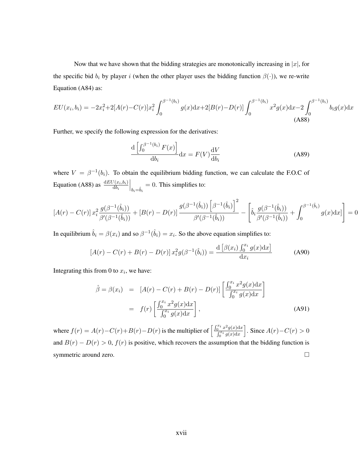Now that we have shown that the bidding strategies are monotonically increasing in  $|x|$ , for the specific bid  $b_i$  by player i (when the other player uses the bidding function  $\beta(\cdot)$ ), we re-write Equation (A84) as:

$$
EU(x_i, b_i) = -2x_i^2 + 2[A(r) - C(r)]x_i^2 \int_0^{\beta^{-1}(b_i)} g(x)dx + 2[B(r) - D(r)] \int_0^{\beta^{-1}(b_i)} x^2 g(x)dx - 2 \int_0^{\beta^{-1}(b_i)} b_i g(x)dx
$$
\n(A88)

Further, we specify the following expression for the derivatives:

$$
\frac{\mathrm{d}\left[\int_0^{\beta^{-1}(b_i)} F(x)\right]}{\mathrm{d}b_i} \mathrm{d}x = F(V) \frac{\mathrm{d}V}{\mathrm{d}b_i}
$$
 (A89)

where  $V = \beta^{-1}(b_i)$ . To obtain the equilibrium bidding function, we can calculate the F.O.C of Equation (A88) as  $\frac{\text{d}EU(x_i, b_i)}{\text{d}b_i}$  $\Big|_{b_i=\hat{b}_i}=0.$  This simplifies to:

$$
\left[A(r) - C(r)\right] x_i^2 \frac{g(\beta^{-1}(\hat{b}_i))}{\beta'(\beta^{-1}(\hat{b}_i))} + \left[B(r) - D(r)\right] \frac{g(\beta^{-1}(\hat{b}_i)) \left[\beta^{-1}(\hat{b}_i)\right]^2}{\beta'(\beta^{-1}(\hat{b}_i))} - \left[\hat{b}_i \frac{g(\beta^{-1}(\hat{b}_i))}{\beta'(\beta^{-1}(\hat{b}_i))} + \int_0^{\beta^{-1}(\hat{b}_i)} g(x) dx\right] = 0
$$

In equilibrium  $\hat{b}_i = \beta(x_i)$  and so  $\beta^{-1}(\hat{b}_i) = x_i$ . So the above equation simplifies to:

$$
[A(r) - C(r) + B(r) - D(r)] x_i^2 g(\beta^{-1}(\hat{b}_i)) = \frac{\mathrm{d} \left[ \beta(x_i) \int_0^{x_i} g(x) \mathrm{d}x \right]}{\mathrm{d}x_i}
$$
(A90)

Integrating this from 0 to  $x_i$ , we have:

$$
\hat{\beta} = \beta(x_i) = [A(r) - C(r) + B(r) - D(r)] \left[ \frac{\int_0^{x_i} x^2 g(x) dx}{\int_0^{x_i} g(x) dx} \right]
$$

$$
= f(r) \left[ \frac{\int_0^{x_i} x^2 g(x) dx}{\int_0^{x_i} g(x) dx} \right],
$$
(A91)

where  $f(r) = A(r) - C(r) + B(r) - D(r)$  is the multiplier of  $\left[\frac{\int_0^{x_i} x^2 g(x) dx}{\int_0^{x_i} g(x) dx}\right]$  $\int_0^{x_i} g(x) dx$ ]. Since  $A(r) - C(r) > 0$ and  $B(r) - D(r) > 0$ ,  $f(r)$  is positive, which recovers the assumption that the bidding function is symmetric around zero.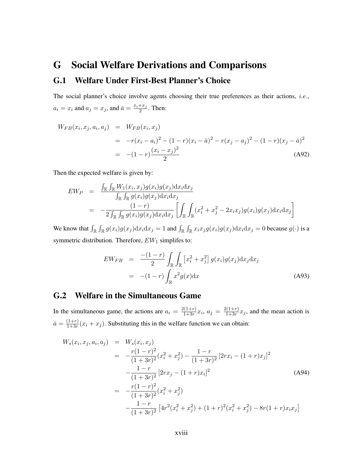## G Social Welfare Derivations and Comparisons G.1 Welfare Under First-Best Planner's Choice

The social planner's choice involve agents choosing their true preferences as their actions, *i.e.*,  $a_i = x_i$  and  $a_j = x_j$ , and  $\bar{a} = \frac{x_i + x_j}{2}$  $\frac{+x_j}{2}$ . Then:

$$
W_{FB}(x_i, x_j, a_i, a_j) = W_{FB}(x_i, x_j)
$$
  
= 
$$
-r(x_i - a_i)^2 - (1 - r)(x_i - \bar{a})^2 - r(x_j - a_j)^2 - (1 - r)(x_j - \bar{a})^2
$$
  
= 
$$
-(1 - r)\frac{(x_i - x_j)^2}{2}
$$
(A92)

Then the expected welfare is given by:

$$
EW_P = \frac{\int_{\mathbb{R}} \int_{\mathbb{R}} W_1(x_i, x_j) g(x_i) g(x_j) \mathrm{d}x_i \mathrm{d}x_j}{\int_{\mathbb{R}} \int_{\mathbb{R}} g(x_i) g(x_j) \mathrm{d}x_i \mathrm{d}x_j}
$$
  
= 
$$
-\frac{(1-r)}{2 \int_{\mathbb{R}} \int_{\mathbb{R}} g(x_i) g(x_j) \mathrm{d}x_i \mathrm{d}x_j} \left[ \int_{\mathbb{R}} \int_{\mathbb{R}} (x_i^2 + x_j^2 - 2x_i x_j) g(x_i) g(x_j) \mathrm{d}x_i \mathrm{d}x_j \right]
$$

We know that  $\int_{\mathbb{R}} \int_{\mathbb{R}} g(x_i)g(x_j)dx_i dx_j = 1$  and  $\int_{\mathbb{R}} \int_{\mathbb{R}} x_i x_j g(x_i)g(x_j)dx_i dx_j = 0$  because  $g(\cdot)$  is a symmetric distribution. Therefore,  $EW_1$  simplifes to:

$$
EW_{FB} = \frac{-(1-r)}{2} \int_{\mathbb{R}} \int_{\mathbb{R}} \left[ x_i^2 + x_j^2 \right] g(x_i) g(x_j) \mathrm{d}x_j \mathrm{d}x_j
$$

$$
= -(1-r) \int_{\mathbb{R}} x^2 g(x) \mathrm{d}x \tag{A93}
$$

### G.2 Welfare in the Simultaneous Game

In the simultaneous game, the actions are  $a_i = \frac{2(1+r)}{1+3r}$  $\frac{2(1+r)}{1+3r}x_i, a_j = \frac{2(1+r)}{1+3r}$  $\frac{1+3r}{1+3r}x_j$ , and the mean action is  $\bar{a} = \frac{(1+r)}{1+3r}$  $\frac{(1+r)}{1+3r}(x_i+x_j)$ . Substituting this in the welfare function we can obtain:

$$
W_s(x_i, x_j, a_i, a_j) = W_s(x_i, x_j)
$$
  
= 
$$
-\frac{r(1-r)^2}{(1+3r)^2}(x_i^2 + x_j^2) - \frac{1-r}{(1+3r)^2}[2rx_i - (1+r)x_j]^2
$$
  

$$
-\frac{1-r}{(1+3r)^2}[2rx_j - (1+r)x_i]^2
$$
(A94)  
= 
$$
-\frac{r(1-r)^2}{(1+3r)^2}(x_i^2 + x_j^2)
$$
  

$$
-\frac{1-r}{(1+3r)^2}[4r^2(x_i^2 + x_j^2) + (1+r)^2(x_i^2 + x_j^2) - 8r(1+r)x_ix_j]
$$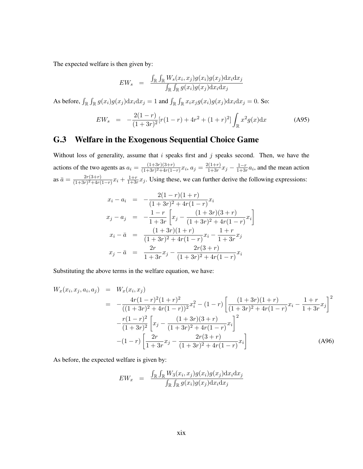The expected welfare is then given by:

$$
EW_s \;\; = \;\; \frac{\int_\mathbb{R} \int_\mathbb{R} W_s(x_i,x_j) g(x_i) g(x_j) \mathrm{d} x_i \mathrm{d} x_j}{\int_\mathbb{R} \int_\mathbb{R} g(x_i) g(x_j) \mathrm{d} x_i \mathrm{d} x_j}
$$

As before,  $\int_{\mathbb{R}} \int_{\mathbb{R}} g(x_i)g(x_j)dx_i dx_j = 1$  and  $\int_{\mathbb{R}} \int_{\mathbb{R}} x_i x_j g(x_i)g(x_j)dx_i dx_j = 0$ . So:

$$
EW_s = -\frac{2(1-r)}{(1+3r)^2} [r(1-r) + 4r^2 + (1+r)^2] \int_{\mathbb{R}} x^2 g(x) dx
$$
 (A95)

### G.3 Welfare in the Exogenous Sequential Choice Game

Without loss of generality, assume that  $i$  speaks first and  $j$  speaks second. Then, we have the actions of the two agents as  $a_i = \frac{(1+3r)(3+r)}{(1+3r)^2+4r(1-r)}$  $\frac{(1+3r)(3+r)}{(1+3r)^2+4r(1-r)}x_i, a_j = \frac{2(1+r)}{1+3r}$  $\frac{1}{1+3r}x_j - \frac{1-r}{1+3r}$  $\frac{1-r}{1+3r}a_i$ , and the mean action as  $\bar{a} = \frac{2r(3+r)}{(1+3r)^2+4r}$  $\frac{2r(3+r)}{(1+3r)^2+4r(1-r)}x_i+\frac{1+r}{1+3r}$  $\frac{1+r}{1+3r}x_j$ . Using these, we can further derive the following expressions:

$$
x_i - a_i = -\frac{2(1-r)(1+r)}{(1+3r)^2 + 4r(1-r)}x_i
$$
  
\n
$$
x_j - a_j = -\frac{1-r}{1+3r} \left[ x_j - \frac{(1+3r)(3+r)}{(1+3r)^2 + 4r(1-r)}x_i \right]
$$
  
\n
$$
x_i - \bar{a} = \frac{(1+3r)(1+r)}{(1+3r)^2 + 4r(1-r)}x_i - \frac{1+r}{1+3r}x_j
$$
  
\n
$$
x_j - \bar{a} = \frac{2r}{1+3r}x_j - \frac{2r(3+r)}{(1+3r)^2 + 4r(1-r)}x_i
$$

Substituting the above terms in the welfare equation, we have:

$$
W_x(x_i, x_j, a_i, a_j) = W_x(x_i, x_j)
$$
  
= 
$$
-\frac{4r(1-r)^2(1+r)^2}{((1+3r)^2+4r(1-r))^2}x_i^2 - (1-r)\left[\frac{(1+3r)(1+r)}{(1+3r)^2+4r(1-r)}x_i - \frac{1+r}{1+3r}x_j\right]^2
$$

$$
-\frac{r(1-r)^2}{(1+3r)^2}\left[x_j - \frac{(1+3r)(3+r)}{(1+3r)^2+4r(1-r)}x_i\right]^2
$$

$$
-(1-r)\left[\frac{2r}{1+3r}x_j - \frac{2r(3+r)}{(1+3r)^2+4r(1-r)}x_i\right]
$$
(A96)

As before, the expected welfare is given by:

$$
EW_x = \frac{\int_{\mathbb{R}} \int_{\mathbb{R}} W_3(x_i, x_j) g(x_i) g(x_j) \mathrm{d}x_i \mathrm{d}x_j}{\int_{\mathbb{R}} \int_{\mathbb{R}} g(x_i) g(x_j) \mathrm{d}x_i \mathrm{d}x_j}
$$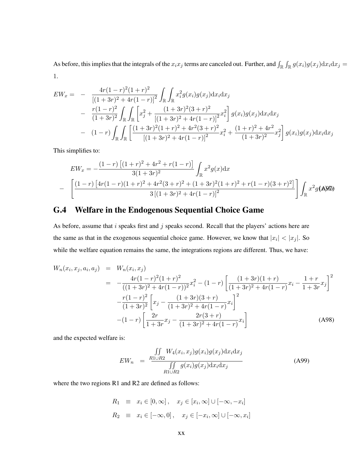As before, this implies that the integrals of the  $x_ix_j$  terms are canceled out. Further, and  $\int_{\mathbb{R}} \int_{\mathbb{R}} g(x_i)g(x_j)dx_i dx_j =$ 1.

$$
EW_x = -\frac{4r(1-r)^2(1+r)^2}{[(1+3r)^2+4r(1-r)]^2} \int_{\mathbb{R}} \int_{\mathbb{R}} x_i^2 g(x_i)g(x_j)dx_i dx_j
$$
  
 
$$
-\frac{r(1-r)^2}{(1+3r)^2} \int_{\mathbb{R}} \int_{\mathbb{R}} \left[ x_j^2 + \frac{(1+3r)^2(3+r)^2}{[(1+3r)^2+4r(1-r)]^2} x_i^2 \right] g(x_i)g(x_j)dx_i dx_j
$$
  
 
$$
-\frac{(1-r)\int_{\mathbb{R}} \int_{\mathbb{R}} \left[ \frac{(1+3r)^2(1+r)^2+4r^2(3+r)^2}{[(1+3r)^2+4r(1-r)]^2} x_i^2 + \frac{(1+r)^2+4r^2}{(1+3r)^2} x_j^2 \right] g(x_i)g(x_j)dx_i dx_j
$$

This simplifies to:

$$
EW_x = -\frac{(1-r)\left[ (1+r)^2 + 4r^2 + r(1-r) \right]}{3(1+3r)^2} \int_{\mathbb{R}} x^2 g(x) dx
$$
  
- 
$$
\left[ \frac{(1-r)\left[4r(1-r)(1+r)^2 + 4r^2(3+r)^2 + (1+3r)^2(1+r)^2 + r(1-r)(3+r)^2\right]}{3\left[ (1+3r)^2 + 4r(1-r) \right]^2} \right] \int_{\mathbb{R}} x^2 g(\mathbf{A}) d\mathbf{b}
$$

### G.4 Welfare in the Endogenous Sequential Choice Game

As before, assume that  $i$  speaks first and  $j$  speaks second. Recall that the players' actions here are the same as that in the exogenous sequential choice game. However, we know that  $|x_i| < |x_j|$ . So while the welfare equation remains the same, the integrations regions are different. Thus, we have:

$$
W_n(x_i, x_j, a_i, a_j) = W_n(x_i, x_j)
$$
  
= 
$$
-\frac{4r(1-r)^2(1+r)^2}{((1+3r)^2 + 4r(1-r))^2}x_i^2 - (1-r)\left[\frac{(1+3r)(1+r)}{(1+3r)^2 + 4r(1-r)}x_i - \frac{1+r}{1+3r}x_j\right]^2
$$

$$
-\frac{r(1-r)^2}{(1+3r)^2}\left[x_j - \frac{(1+3r)(3+r)}{(1+3r)^2 + 4r(1-r)}x_i\right]^2
$$

$$
-(1-r)\left[\frac{2r}{1+3r}x_j - \frac{2r(3+r)}{(1+3r)^2 + 4r(1-r)}x_i\right]
$$
(A98)

and the expected welfare is:

$$
EW_n = \frac{\iint\limits_{R1 \cup R2} W_4(x_i, x_j) g(x_i) g(x_j) \mathrm{d}x_i \mathrm{d}x_j}{\iint\limits_{R1 \cup R2} g(x_i) g(x_j) \mathrm{d}x_i \mathrm{d}x_j}
$$
(A99)

where the two regions R1 and R2 are defined as follows:

$$
R_1 \equiv x_i \in [0, \infty], \quad x_j \in [x_i, \infty] \cup [-\infty, -x_i]
$$
  

$$
R_2 \equiv x_i \in [-\infty, 0], \quad x_j \in [-x_i, \infty] \cup [-\infty, x_i]
$$